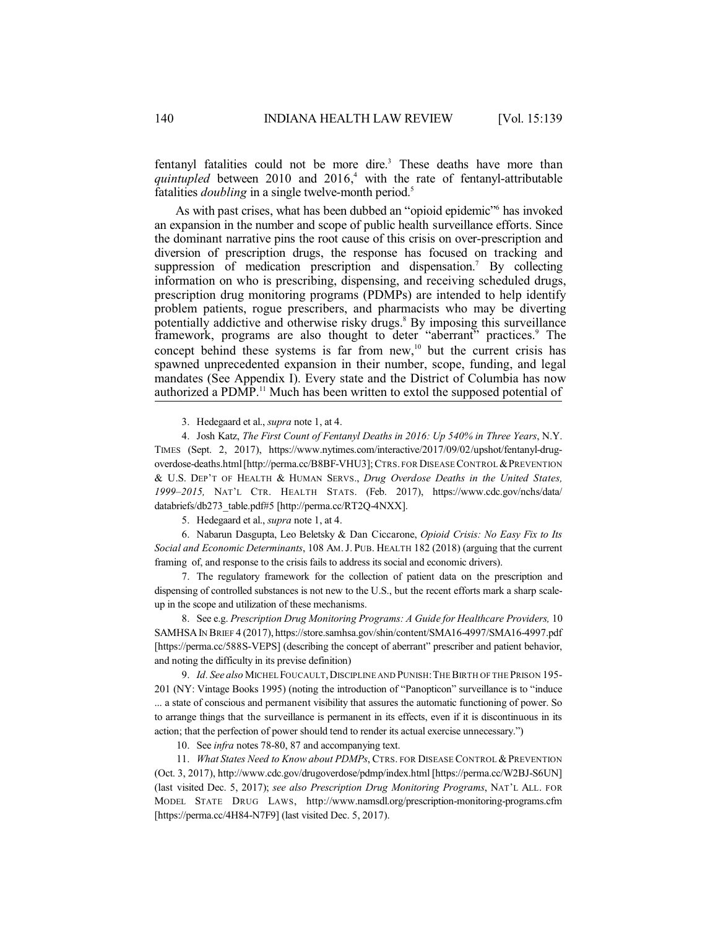fentanyl fatalities could not be more dire.<sup>3</sup> These deaths have more than quintupled between 2010 and 2016,<sup>4</sup> with the rate of fentanyl-attributable fatalities *doubling* in a single twelve-month period.<sup>5</sup>

As with past crises, what has been dubbed an "opioid epidemic" has invoked an expansion in the number and scope of public health surveillance efforts. Since the dominant narrative pins the root cause of this crisis on over-prescription and diversion of prescription drugs, the response has focused on tracking and suppression of medication prescription and dispensation.<sup>7</sup> By collecting information on who is prescribing, dispensing, and receiving scheduled drugs, prescription drug monitoring programs (PDMPs) are intended to help identify problem patients, rogue prescribers, and pharmacists who may be diverting potentially addictive and otherwise risky drugs.<sup>8</sup> By imposing this surveillance framework, programs are also thought to deter "aberrant" practices. The concept behind these systems is far from  $new$ ,<sup>10</sup> but the current crisis has spawned unprecedented expansion in their number, scope, funding, and legal mandates (See Appendix I). Every state and the District of Columbia has now authorized a PDMP.<sup>11</sup> Much has been written to extol the supposed potential of

3. Hedegaard et al., *supra* note 1, at 4.

4. Josh Katz, *The First Count of Fentanyl Deaths in 2016: Up 540% in Three Years*, N.Y. TIMES (Sept. 2, 2017), https://www.nytimes.com/interactive/2017/09/02/upshot/fentanyl-drugoverdose-deaths.html [http://perma.cc/B8BF-VHU3]; CTRS. FOR DISEASE CONTROL &PREVENTION & U.S. DEP'T OF HEALTH & HUMAN SERVS., *Drug Overdose Deaths in the United States, 1999–2015,* NAT'L CTR. HEALTH STATS. (Feb. 2017), https://www.cdc.gov/nchs/data/ databriefs/db273\_table.pdf#5 [http://perma.cc/RT2Q-4NXX].

5. Hedegaard et al., *supra* note 1, at 4.

6. Nabarun Dasgupta, Leo Beletsky & Dan Ciccarone, *Opioid Crisis: No Easy Fix to Its Social and Economic Determinants*, 108 AM.J. PUB. HEALTH 182 (2018) (arguing that the current framing of, and response to the crisis fails to address its social and economic drivers).

7. The regulatory framework for the collection of patient data on the prescription and dispensing of controlled substances is not new to the U.S., but the recent efforts mark a sharp scaleup in the scope and utilization of these mechanisms.

8. See e.g. *Prescription Drug Monitoring Programs: A Guide for Healthcare Providers,* 10 SAMHSA IN BRIEF 4 (2017), https://store.samhsa.gov/shin/content/SMA16-4997/SMA16-4997.pdf [https://perma.cc/588S-VEPS] (describing the concept of aberrant" prescriber and patient behavior, and noting the difficulty in its previse definition)

9. *Id. See also* MICHEL FOUCAULT,DISCIPLINE AND PUNISH:THE BIRTH OF THE PRISON 195- 201 (NY: Vintage Books 1995) (noting the introduction of "Panopticon" surveillance is to "induce ... a state of conscious and permanent visibility that assures the automatic functioning of power. So to arrange things that the surveillance is permanent in its effects, even if it is discontinuous in its action; that the perfection of power should tend to render its actual exercise unnecessary.")

10. See *infra* notes 78-80, 87 and accompanying text.

11. *What States Need to Know about PDMPs*, CTRS. FOR DISEASE CONTROL &PREVENTION (Oct. 3, 2017), http://www.cdc.gov/drugoverdose/pdmp/index.html [https://perma.cc/W2BJ-S6UN] (last visited Dec. 5, 2017); *see also Prescription Drug Monitoring Programs*, NAT'L ALL. FOR MODEL STATE DRUG LAWS, http://www.namsdl.org/prescription-monitoring-programs.cfm [https://perma.cc/4H84-N7F9] (last visited Dec. 5, 2017).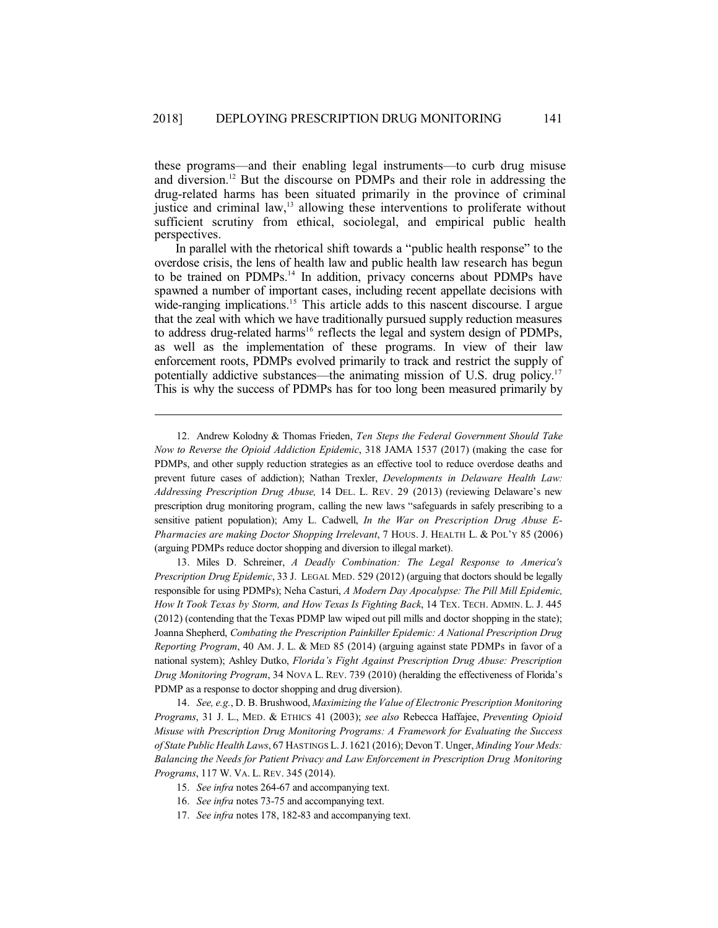these programs—and their enabling legal instruments—to curb drug misuse and diversion.<sup>12</sup> But the discourse on PDMPs and their role in addressing the drug-related harms has been situated primarily in the province of criminal justice and criminal law, $<sup>13</sup>$  allowing these interventions to proliferate without</sup> sufficient scrutiny from ethical, sociolegal, and empirical public health perspectives.

In parallel with the rhetorical shift towards a "public health response" to the overdose crisis, the lens of health law and public health law research has begun to be trained on PDMPs.<sup>14</sup> In addition, privacy concerns about PDMPs have spawned a number of important cases, including recent appellate decisions with wide-ranging implications.<sup>15</sup> This article adds to this nascent discourse. I argue that the zeal with which we have traditionally pursued supply reduction measures to address drug-related harms<sup>16</sup> reflects the legal and system design of PDMPs, as well as the implementation of these programs. In view of their law enforcement roots, PDMPs evolved primarily to track and restrict the supply of potentially addictive substances—the animating mission of U.S. drug policy.<sup>17</sup> This is why the success of PDMPs has for too long been measured primarily by

13. Miles D. Schreiner, *A Deadly Combination: The Legal Response to America's Prescription Drug Epidemic*, 33 J. LEGAL MED. 529 (2012) (arguing that doctors should be legally responsible for using PDMPs); Neha Casturi, *A Modern Day Apocalypse: The Pill Mill Epidemic, How It Took Texas by Storm, and How Texas Is Fighting Back*, 14 TEX. TECH. ADMIN. L. J. 445 (2012) (contending that the Texas PDMP law wiped out pill mills and doctor shopping in the state); Joanna Shepherd, *Combating the Prescription Painkiller Epidemic: A National Prescription Drug Reporting Program*, 40 AM. J. L. & MED 85 (2014) (arguing against state PDMPs in favor of a national system); Ashley Dutko, *Florida's Fight Against Prescription Drug Abuse: Prescription Drug Monitoring Program*, 34 NOVA L. REV. 739 (2010) (heralding the effectiveness of Florida's PDMP as a response to doctor shopping and drug diversion).

14. *See, e.g.*, D. B. Brushwood, *Maximizing the Value of Electronic Prescription Monitoring Programs*, 31 J. L., MED. & ETHICS 41 (2003); *see also* Rebecca Haffajee, *Preventing Opioid Misuse with Prescription Drug Monitoring Programs: A Framework for Evaluating the Success of State Public Health Laws*, 67 HASTINGS L.J. 1621 (2016); Devon T. Unger, *Minding Your Meds: Balancing the Needs for Patient Privacy and Law Enforcement in Prescription Drug Monitoring Programs*, 117 W. VA. L. REV. 345 (2014).

<sup>12.</sup> Andrew Kolodny & Thomas Frieden, *Ten Steps the Federal Government Should Take Now to Reverse the Opioid Addiction Epidemic*, 318 JAMA 1537 (2017) (making the case for PDMPs, and other supply reduction strategies as an effective tool to reduce overdose deaths and prevent future cases of addiction); Nathan Trexler, *Developments in Delaware Health Law: Addressing Prescription Drug Abuse,* 14 DEL. L. REV. 29 (2013) (reviewing Delaware's new prescription drug monitoring program, calling the new laws "safeguards in safely prescribing to a sensitive patient population); Amy L. Cadwell, *In the War on Prescription Drug Abuse E-Pharmacies are making Doctor Shopping Irrelevant*, 7 HOUS. J. HEALTH L. & POL'Y 85 (2006) (arguing PDMPs reduce doctor shopping and diversion to illegal market).

<sup>15.</sup> *See infra* notes 264-67 and accompanying text.

<sup>16.</sup> *See infra* notes 73-75 and accompanying text.

<sup>17.</sup> *See infra* notes 178, 182-83 and accompanying text.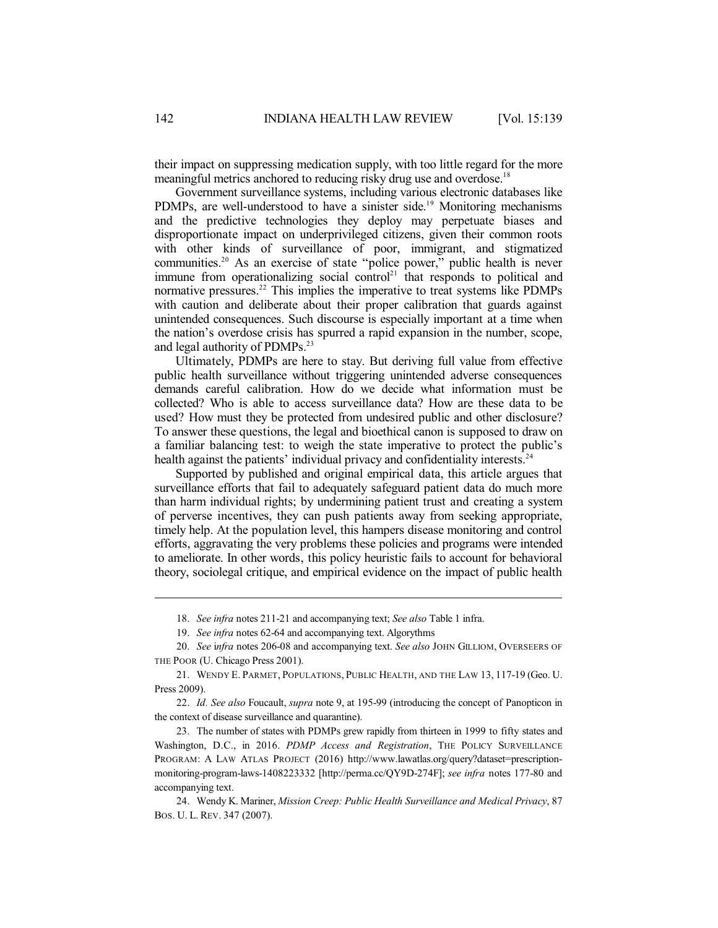their impact on suppressing medication supply, with too little regard for the more meaningful metrics anchored to reducing risky drug use and overdose.<sup>18</sup>

Government surveillance systems, including various electronic databases like PDMPs, are well-understood to have a sinister side. <sup>19</sup> Monitoring mechanisms and the predictive technologies they deploy may perpetuate biases and disproportionate impact on underprivileged citizens, given their common roots with other kinds of surveillance of poor, immigrant, and stigmatized communities.<sup>20</sup> As an exercise of state "police power," public health is never immune from operationalizing social control<sup>21</sup> that responds to political and normative pressures.<sup>22</sup> This implies the imperative to treat systems like PDMPs with caution and deliberate about their proper calibration that guards against unintended consequences. Such discourse is especially important at a time when the nation's overdose crisis has spurred a rapid expansion in the number, scope, and legal authority of PDMPs.<sup>23</sup>

Ultimately, PDMPs are here to stay. But deriving full value from effective public health surveillance without triggering unintended adverse consequences demands careful calibration. How do we decide what information must be collected? Who is able to access surveillance data? How are these data to be used? How must they be protected from undesired public and other disclosure? To answer these questions, the legal and bioethical canon is supposed to draw on a familiar balancing test: to weigh the state imperative to protect the public's health against the patients' individual privacy and confidentiality interests.<sup>24</sup>

Supported by published and original empirical data, this article argues that surveillance efforts that fail to adequately safeguard patient data do much more than harm individual rights; by undermining patient trust and creating a system of perverse incentives, they can push patients away from seeking appropriate, timely help. At the population level, this hampers disease monitoring and control efforts, aggravating the very problems these policies and programs were intended to ameliorate. In other words, this policy heuristic fails to account for behavioral theory, sociolegal critique, and empirical evidence on the impact of public health

18. *See infra* notes 211-21 and accompanying text; *See also* Table 1 infra.

19. *See infra* notes 62-64 and accompanying text. Algorythms

20. *See* i*nfra* notes 206-08 and accompanying text. *See also* JOHN GILLIOM, OVERSEERS OF THE POOR (U. Chicago Press 2001).

22. *Id. See also* Foucault, *supra* note 9, at 195-99 (introducing the concept of Panopticon in the context of disease surveillance and quarantine).

23. The number of states with PDMPs grew rapidly from thirteen in 1999 to fifty states and Washington, D.C., in 2016. *PDMP Access and Registration*, THE POLICY SURVEILLANCE PROGRAM: A LAW ATLAS PROJECT (2016) http://www.lawatlas.org/query?dataset=prescriptionmonitoring-program-laws-1408223332 [http://perma.cc/QY9D-274F]; *see infra* notes 177-80 and accompanying text.

<sup>21.</sup> WENDY E. PARMET, POPULATIONS, PUBLIC HEALTH, AND THE LAW 13, 117-19 (Geo. U. Press 2009).

<sup>24.</sup> Wendy K. Mariner, *Mission Creep: Public Health Surveillance and Medical Privacy*, 87 BOS. U. L. REV. 347 (2007).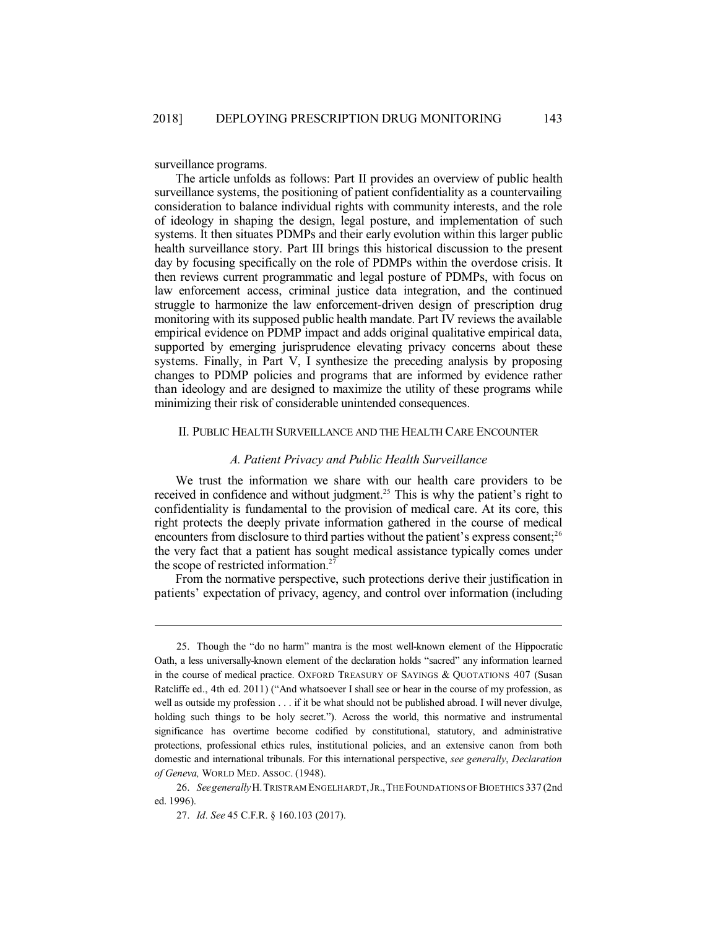surveillance programs.

The article unfolds as follows: Part II provides an overview of public health surveillance systems, the positioning of patient confidentiality as a countervailing consideration to balance individual rights with community interests, and the role of ideology in shaping the design, legal posture, and implementation of such systems. It then situates PDMPs and their early evolution within this larger public health surveillance story. Part III brings this historical discussion to the present day by focusing specifically on the role of PDMPs within the overdose crisis. It then reviews current programmatic and legal posture of PDMPs, with focus on law enforcement access, criminal justice data integration, and the continued struggle to harmonize the law enforcement-driven design of prescription drug monitoring with its supposed public health mandate. Part IV reviews the available empirical evidence on PDMP impact and adds original qualitative empirical data, supported by emerging jurisprudence elevating privacy concerns about these systems. Finally, in Part V, I synthesize the preceding analysis by proposing changes to PDMP policies and programs that are informed by evidence rather than ideology and are designed to maximize the utility of these programs while minimizing their risk of considerable unintended consequences.

# II. PUBLIC HEALTH SURVEILLANCE AND THE HEALTH CARE ENCOUNTER

## *A. Patient Privacy and Public Health Surveillance*

We trust the information we share with our health care providers to be received in confidence and without judgment.<sup>25</sup> This is why the patient's right to confidentiality is fundamental to the provision of medical care. At its core, this right protects the deeply private information gathered in the course of medical encounters from disclosure to third parties without the patient's express consent;  $2^{6}$ the very fact that a patient has sought medical assistance typically comes under the scope of restricted information.<sup>27</sup>

From the normative perspective, such protections derive their justification in patients' expectation of privacy, agency, and control over information (including

<sup>25.</sup> Though the "do no harm" mantra is the most well-known element of the Hippocratic Oath, a less universally-known element of the declaration holds "sacred" any information learned in the course of medical practice. OXFORD TREASURY OF SAYINGS & QUOTATIONS 407 (Susan Ratcliffe ed., 4th ed. 2011) ("And whatsoever I shall see or hear in the course of my profession, as well as outside my profession . . . if it be what should not be published abroad. I will never divulge, holding such things to be holy secret."). Across the world, this normative and instrumental significance has overtime become codified by constitutional, statutory, and administrative protections, professional ethics rules, institutional policies, and an extensive canon from both domestic and international tribunals. For this international perspective, *see generally*, *Declaration of Geneva,* WORLD MED. ASSOC. (1948).

<sup>26.</sup> *See generally* H.TRISTRAM ENGELHARDT,JR.,THE FOUNDATIONS OF BIOETHICS 337 (2nd ed. 1996).

<sup>27.</sup> *Id. See* 45 C.F.R. § 160.103 (2017).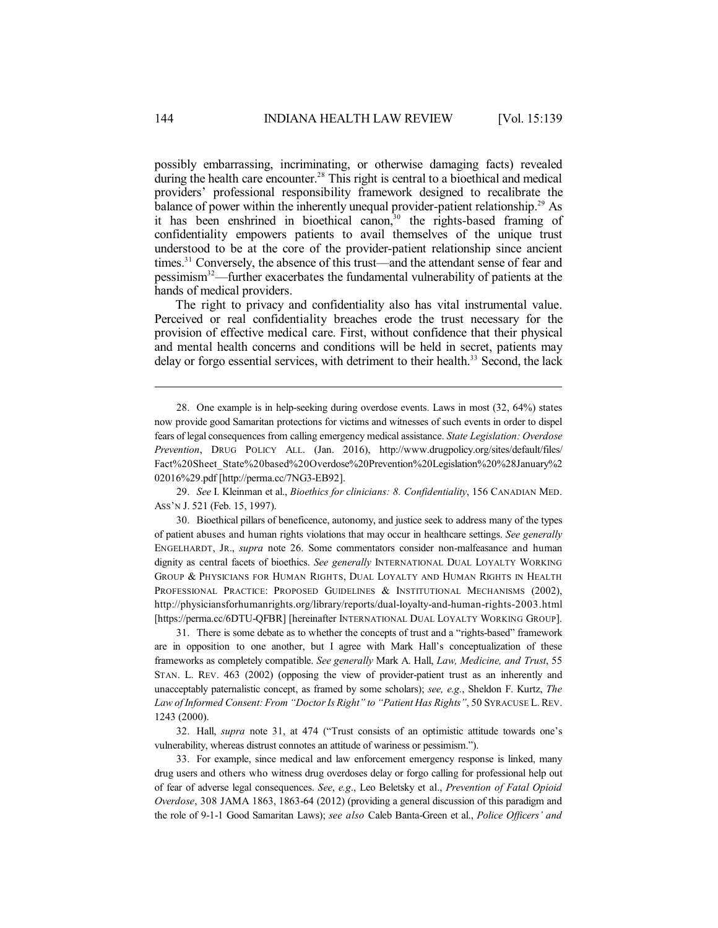possibly embarrassing, incriminating, or otherwise damaging facts) revealed during the health care encounter.<sup>28</sup> This right is central to a bioethical and medical providers' professional responsibility framework designed to recalibrate the balance of power within the inherently unequal provider-patient relationship.<sup>29</sup> As it has been enshrined in bioethical canon, $30$  the rights-based framing of confidentiality empowers patients to avail themselves of the unique trust understood to be at the core of the provider-patient relationship since ancient times.<sup>31</sup> Conversely, the absence of this trust—and the attendant sense of fear and pessimism<sup>32</sup>—further exacerbates the fundamental vulnerability of patients at the hands of medical providers.

The right to privacy and confidentiality also has vital instrumental value. Perceived or real confidentiality breaches erode the trust necessary for the provision of effective medical care. First, without confidence that their physical and mental health concerns and conditions will be held in secret, patients may delay or forgo essential services, with detriment to their health.<sup>33</sup> Second, the lack

29. *See* I. Kleinman et al., *Bioethics for clinicians: 8. Confidentiality*, 156 CANADIAN MED. ASS'N J. 521 (Feb. 15, 1997).

30. Bioethical pillars of beneficence, autonomy, and justice seek to address many of the types of patient abuses and human rights violations that may occur in healthcare settings. *See generally* ENGELHARDT, JR., *supra* note 26. Some commentators consider non-malfeasance and human dignity as central facets of bioethics. *See generally* INTERNATIONAL DUAL LOYALTY WORKING GROUP & PHYSICIANS FOR HUMAN RIGHTS, DUAL LOYALTY AND HUMAN RIGHTS IN HEALTH PROFESSIONAL PRACTICE: PROPOSED GUIDELINES & INSTITUTIONAL MECHANISMS (2002), http://physiciansforhumanrights.org/library/reports/dual-loyalty-and-human-rights-2003.html [https://perma.cc/6DTU-QFBR] [hereinafter INTERNATIONAL DUAL LOYALTY WORKING GROUP].

31. There is some debate as to whether the concepts of trust and a "rights-based" framework are in opposition to one another, but I agree with Mark Hall's conceptualization of these frameworks as completely compatible. *See generally* Mark A. Hall, *Law, Medicine, and Trust*, 55 STAN. L. REV. 463 (2002) (opposing the view of provider-patient trust as an inherently and unacceptably paternalistic concept, as framed by some scholars); *see, e.g.*, Sheldon F. Kurtz, *The Law of Informed Consent: From "Doctor Is Right" to "Patient Has Rights"*, 50 SYRACUSE L. REV. 1243 (2000).

32. Hall, *supra* note 31, at 474 ("Trust consists of an optimistic attitude towards one's vulnerability, whereas distrust connotes an attitude of wariness or pessimism.").

33. For example, since medical and law enforcement emergency response is linked, many drug users and others who witness drug overdoses delay or forgo calling for professional help out of fear of adverse legal consequences. *See*, *e.g*., Leo Beletsky et al., *Prevention of Fatal Opioid Overdose*, 308 JAMA 1863, 1863-64 (2012) (providing a general discussion of this paradigm and the role of 9-1-1 Good Samaritan Laws); *see also* Caleb Banta-Green et al., *Police Officers' and*

<sup>28.</sup> One example is in help-seeking during overdose events. Laws in most (32, 64%) states now provide good Samaritan protections for victims and witnesses of such events in order to dispel fears of legal consequences from calling emergency medical assistance. *State Legislation: Overdose Prevention*, DRUG POLICY ALL. (Jan. 2016), http://www.drugpolicy.org/sites/default/files/ Fact%20Sheet\_State%20based%20Overdose%20Prevention%20Legislation%20%28January%2 02016%29.pdf [http://perma.cc/7NG3-EB92].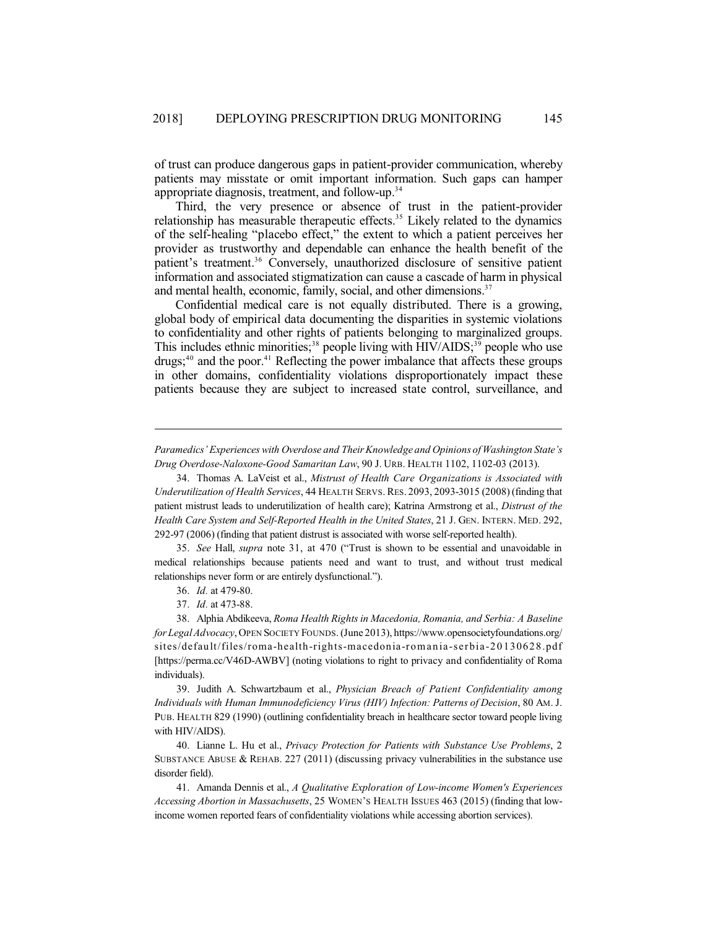of trust can produce dangerous gaps in patient-provider communication, whereby patients may misstate or omit important information. Such gaps can hamper appropriate diagnosis, treatment, and follow-up.<sup>34</sup>

Third, the very presence or absence of trust in the patient-provider relationship has measurable therapeutic effects.<sup>35</sup> Likely related to the dynamics of the self-healing "placebo effect," the extent to which a patient perceives her provider as trustworthy and dependable can enhance the health benefit of the patient's treatment.<sup>36</sup> Conversely, unauthorized disclosure of sensitive patient information and associated stigmatization can cause a cascade of harm in physical and mental health, economic, family, social, and other dimensions.<sup>37</sup>

Confidential medical care is not equally distributed. There is a growing, global body of empirical data documenting the disparities in systemic violations to confidentiality and other rights of patients belonging to marginalized groups. This includes ethnic minorities;<sup>38</sup> people living with HIV/AIDS;<sup>39</sup> people who use  $drugs; <sup>40</sup>$  and the poor.<sup>41</sup> Reflecting the power imbalance that affects these groups in other domains, confidentiality violations disproportionately impact these patients because they are subject to increased state control, surveillance, and

*Paramedics' Experiences with Overdose and Their Knowledge and Opinions of Washington State's Drug Overdose-Naloxone-Good Samaritan Law*, 90 J. URB. HEALTH 1102, 1102-03 (2013).

34. Thomas A. LaVeist et al., *Mistrust of Health Care Organizations is Associated with Underutilization of Health Services*, 44 HEALTH SERVS. RES. 2093, 2093-3015 (2008)(finding that patient mistrust leads to underutilization of health care); Katrina Armstrong et al., *Distrust of the Health Care System and Self-Reported Health in the United States*, 21 J. GEN. INTERN. MED. 292, 292-97 (2006) (finding that patient distrust is associated with worse self-reported health).

35. *See* Hall, *supra* note 31, at 470 ("Trust is shown to be essential and unavoidable in medical relationships because patients need and want to trust, and without trust medical relationships never form or are entirely dysfunctional.").

37. *Id.* at 473-88.

38. Alphia Abdikeeva, *Roma Health Rights in Macedonia, Romania, and Serbia: A Baseline for Legal Advocacy*, OPEN SOCIETY FOUNDS. (June 2013), https://www.opensocietyfoundations.org/ sites/default/files/roma-health-rights-macedonia-rom an ia-serbia-2 0 130628.pdf [https://perma.cc/V46D-AWBV] (noting violations to right to privacy and confidentiality of Roma individuals).

39. Judith A. Schwartzbaum et al., *Physician Breach of Patient Confidentiality among Individuals with Human Immunodeficiency Virus (HIV) Infection: Patterns of Decision*, 80 AM. J. PUB. HEALTH 829 (1990) (outlining confidentiality breach in healthcare sector toward people living with HIV/AIDS).

40. Lianne L. Hu et al., *Privacy Protection for Patients with Substance Use Problems*, 2 SUBSTANCE ABUSE & REHAB. 227 (2011) (discussing privacy vulnerabilities in the substance use disorder field).

41. Amanda Dennis et al., *A Qualitative Exploration of Low-income Women's Experiences Accessing Abortion in Massachusetts*, 25 WOMEN'S HEALTH ISSUES 463 (2015) (finding that lowincome women reported fears of confidentiality violations while accessing abortion services).

<sup>36.</sup> *Id.* at 479-80.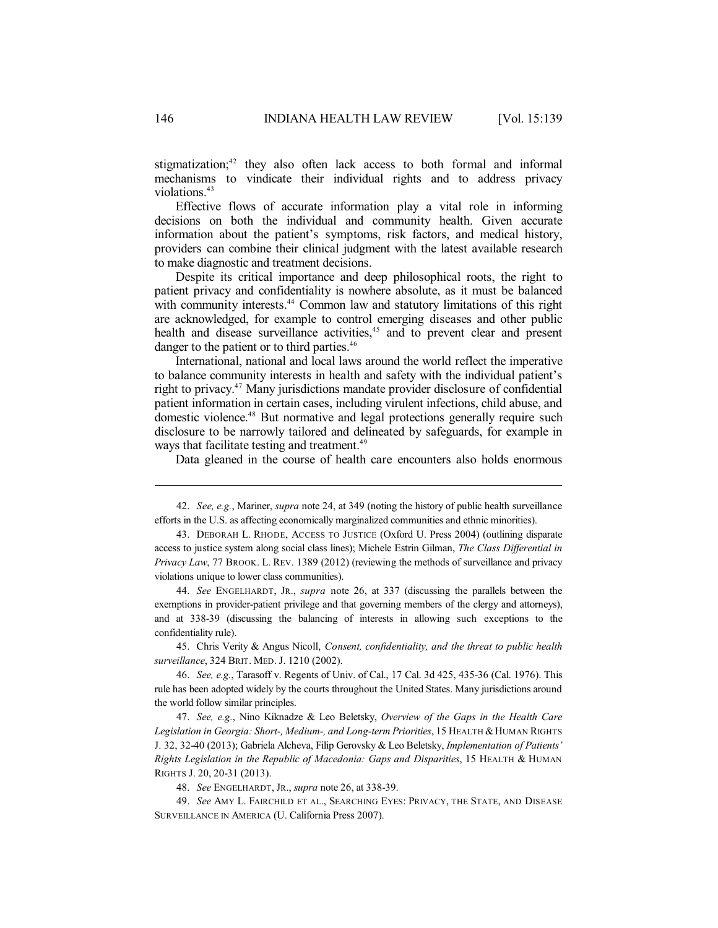stigmatization; 42 they also often lack access to both formal and informal mechanisms to vindicate their individual rights and to address privacy violations.<sup>43</sup>

Effective flows of accurate information play a vital role in informing decisions on both the individual and community health. Given accurate information about the patient's symptoms, risk factors, and medical history, providers can combine their clinical judgment with the latest available research to make diagnostic and treatment decisions.

Despite its critical importance and deep philosophical roots, the right to patient privacy and confidentiality is nowhere absolute, as it must be balanced with community interests.<sup>44</sup> Common law and statutory limitations of this right are acknowledged, for example to control emerging diseases and other public health and disease surveillance activities,<sup>45</sup> and to prevent clear and present danger to the patient or to third parties.<sup>46</sup>

International, national and local laws around the world reflect the imperative to balance community interests in health and safety with the individual patient's right to privacy. <sup>47</sup> Many jurisdictions mandate provider disclosure of confidential patient information in certain cases, including virulent infections, child abuse, and domestic violence. <sup>48</sup> But normative and legal protections generally require such disclosure to be narrowly tailored and delineated by safeguards, for example in ways that facilitate testing and treatment.<sup>49</sup>

Data gleaned in the course of health care encounters also holds enormous

44. *See* ENGELHARDT, JR., *supra* note 26, at 337 (discussing the parallels between the exemptions in provider-patient privilege and that governing members of the clergy and attorneys), and at 338-39 (discussing the balancing of interests in allowing such exceptions to the confidentiality rule).

45. Chris Verity & Angus Nicoll, *Consent, confidentiality, and the threat to public health surveillance*, 324 BRIT. MED. J. 1210 (2002).

46. *See, e.g.*, Tarasoff v. Regents of Univ. of Cal., 17 Cal. 3d 425, 435-36 (Cal. 1976). This rule has been adopted widely by the courts throughout the United States. Many jurisdictions around the world follow similar principles.

47. *See, e.g.*, Nino Kiknadze & Leo Beletsky, *Overview of the Gaps in the Health Care Legislation in Georgia: Short-, Medium-, and Long-term Priorities*, 15 HEALTH &HUMAN RIGHTS J. 32, 32-40 (2013); Gabriela Alcheva, Filip Gerovsky & Leo Beletsky, *Implementation of Patients' Rights Legislation in the Republic of Macedonia: Gaps and Disparities*, 15 HEALTH & HUMAN RIGHTS J. 20, 20-31 (2013).

48. *See* ENGELHARDT, JR., *supra* note 26, at 338-39.

49. *See* AMY L. FAIRCHILD ET AL., SEARCHING EYES: PRIVACY, THE STATE, AND DISEASE SURVEILLANCE IN AMERICA (U. California Press 2007).

<sup>42.</sup> *See, e.g.*, Mariner, *supra* note 24, at 349 (noting the history of public health surveillance efforts in the U.S. as affecting economically marginalized communities and ethnic minorities).

<sup>43.</sup> DEBORAH L. RHODE, ACCESS TO JUSTICE (Oxford U. Press 2004) (outlining disparate access to justice system along social class lines); Michele Estrin Gilman, *The Class Differential in Privacy Law*, 77 BROOK. L. REV. 1389 (2012) (reviewing the methods of surveillance and privacy violations unique to lower class communities).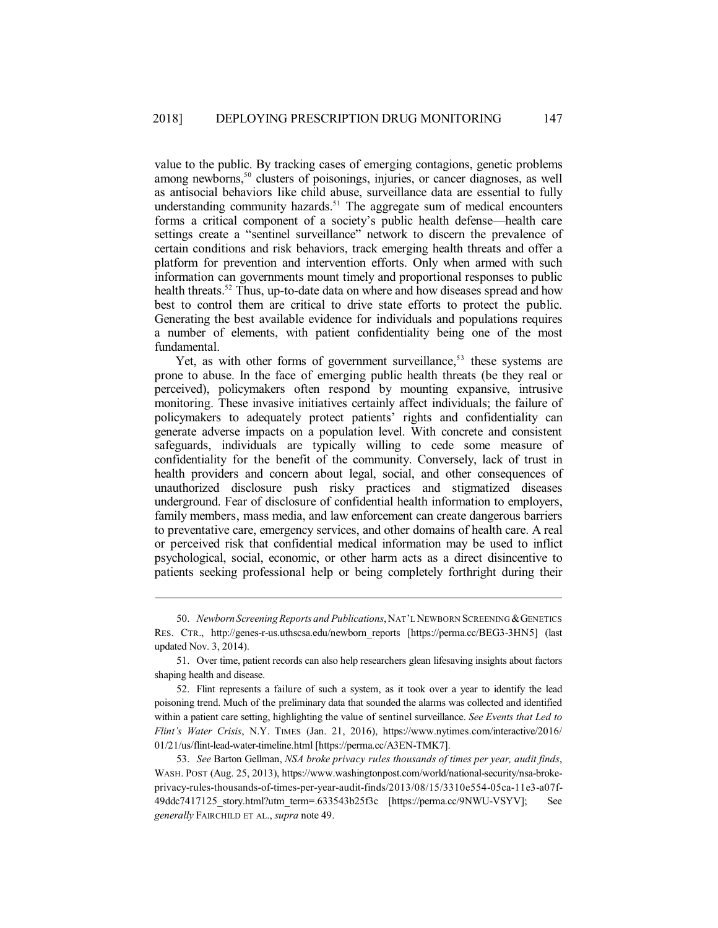value to the public. By tracking cases of emerging contagions, genetic problems among newborns,<sup>50</sup> clusters of poisonings, injuries, or cancer diagnoses, as well as antisocial behaviors like child abuse, surveillance data are essential to fully understanding community hazards.<sup>51</sup> The aggregate sum of medical encounters forms a critical component of a society's public health defense—health care settings create a "sentinel surveillance" network to discern the prevalence of certain conditions and risk behaviors, track emerging health threats and offer a platform for prevention and intervention efforts. Only when armed with such information can governments mount timely and proportional responses to public health threats.<sup>52</sup> Thus, up-to-date data on where and how diseases spread and how best to control them are critical to drive state efforts to protect the public. Generating the best available evidence for individuals and populations requires a number of elements, with patient confidentiality being one of the most fundamental.

Yet, as with other forms of government surveillance,<sup>53</sup> these systems are prone to abuse. In the face of emerging public health threats (be they real or perceived), policymakers often respond by mounting expansive, intrusive monitoring. These invasive initiatives certainly affect individuals; the failure of policymakers to adequately protect patients' rights and confidentiality can generate adverse impacts on a population level. With concrete and consistent safeguards, individuals are typically willing to cede some measure of confidentiality for the benefit of the community. Conversely, lack of trust in health providers and concern about legal, social, and other consequences of unauthorized disclosure push risky practices and stigmatized diseases underground. Fear of disclosure of confidential health information to employers, family members, mass media, and law enforcement can create dangerous barriers to preventative care, emergency services, and other domains of health care. A real or perceived risk that confidential medical information may be used to inflict psychological, social, economic, or other harm acts as a direct disincentive to patients seeking professional help or being completely forthright during their

<sup>50.</sup> *Newborn ScreeningReports and Publications*,NAT'LNEWBORN SCREENING&GENETICS RES. CTR., http://genes-r-us.uthscsa.edu/newborn\_reports [https://perma.cc/BEG3-3HN5] (last updated Nov. 3, 2014).

<sup>51.</sup> Over time, patient records can also help researchers glean lifesaving insights about factors shaping health and disease.

<sup>52.</sup> Flint represents a failure of such a system, as it took over a year to identify the lead poisoning trend. Much of the preliminary data that sounded the alarms was collected and identified within a patient care setting, highlighting the value of sentinel surveillance. *See Events that Led to Flint's Water Crisis*, N.Y. TIMES (Jan. 21, 2016), https://www.nytimes.com/interactive/2016/ 01/21/us/flint-lead-water-timeline.html [https://perma.cc/A3EN-TMK7].

<sup>53.</sup> *See* Barton Gellman, *NSA broke privacy rules thousands of times per year, audit finds*, WASH. POST (Aug. 25, 2013), https://www.washingtonpost.com/world/national-security/nsa-brokeprivacy-rules-thousands-of-times-per-year-audit-finds/2013/08/15/3310e554-05ca-11e3-a07f-49ddc7417125\_story.html?utm\_term=.633543b25f3c [https://perma.cc/9NWU-VSYV]; See *generally* FAIRCHILD ET AL., *supra* note 49.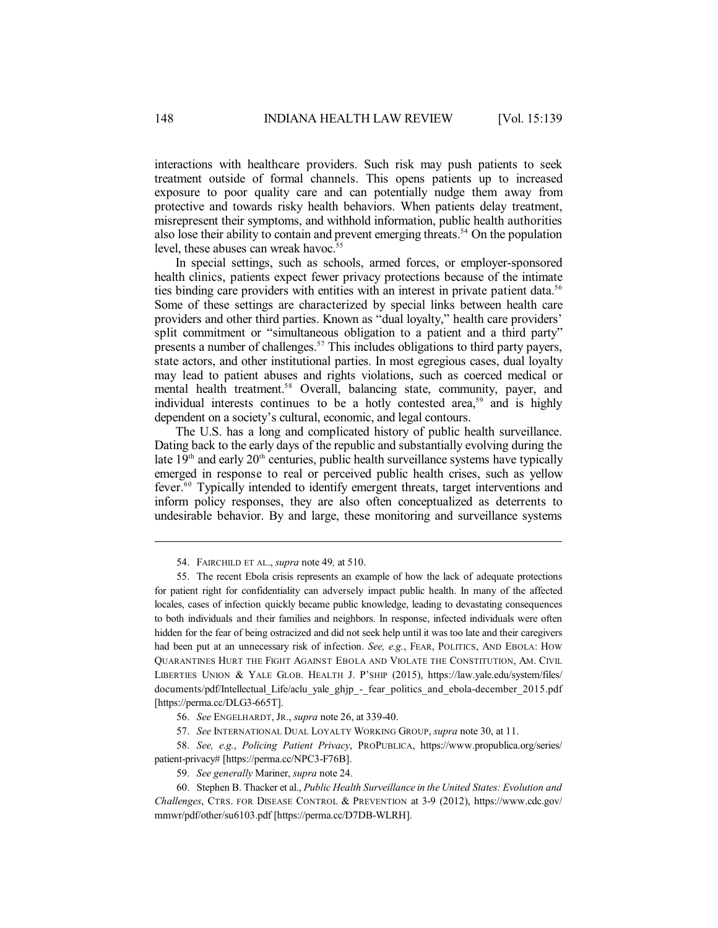interactions with healthcare providers. Such risk may push patients to seek treatment outside of formal channels. This opens patients up to increased exposure to poor quality care and can potentially nudge them away from protective and towards risky health behaviors. When patients delay treatment, misrepresent their symptoms, and withhold information, public health authorities also lose their ability to contain and prevent emerging threats.<sup>54</sup> On the population level, these abuses can wreak havoc.<sup>55</sup>

In special settings, such as schools, armed forces, or employer-sponsored health clinics, patients expect fewer privacy protections because of the intimate ties binding care providers with entities with an interest in private patient data.<sup>56</sup> Some of these settings are characterized by special links between health care providers and other third parties. Known as "dual loyalty," health care providers' split commitment or "simultaneous obligation to a patient and a third party" presents a number of challenges.<sup>57</sup> This includes obligations to third party payers, state actors, and other institutional parties. In most egregious cases, dual loyalty may lead to patient abuses and rights violations, such as coerced medical or mental health treatment.<sup>58</sup> Overall, balancing state, community, payer, and individual interests continues to be a hotly contested area,<sup>59</sup> and is highly dependent on a society's cultural, economic, and legal contours.

The U.S. has a long and complicated history of public health surveillance. Dating back to the early days of the republic and substantially evolving during the late  $19<sup>th</sup>$  and early  $20<sup>th</sup>$  centuries, public health surveillance systems have typically emerged in response to real or perceived public health crises, such as yellow fever.<sup>60</sup> Typically intended to identify emergent threats, target interventions and inform policy responses, they are also often conceptualized as deterrents to undesirable behavior. By and large, these monitoring and surveillance systems

<sup>54.</sup> FAIRCHILD ET AL., *supra* note 49*,* at 510.

<sup>55.</sup> The recent Ebola crisis represents an example of how the lack of adequate protections for patient right for confidentiality can adversely impact public health. In many of the affected locales, cases of infection quickly became public knowledge, leading to devastating consequences to both individuals and their families and neighbors. In response, infected individuals were often hidden for the fear of being ostracized and did not seek help until it was too late and their caregivers had been put at an unnecessary risk of infection. *See, e.g.*, FEAR, POLITICS, AND EBOLA: HOW QUARANTINES HURT THE FIGHT AGAINST EBOLA AND VIOLATE THE CONSTITUTION, AM. CIVIL LIBERTIES UNION & YALE GLOB. HEALTH J. P'SHIP (2015), https://law.yale.edu/system/files/ documents/pdf/Intellectual\_Life/aclu\_yale\_ghjp\_-\_fear\_politics\_and\_ebola-december\_2015.pdf [https://perma.cc/DLG3-665T].

<sup>56.</sup> *See* ENGELHARDT, JR., *supra* note 26, at 339-40.

<sup>57.</sup> *See* INTERNATIONAL DUAL LOYALTY WORKING GROUP, *supra* note 30, at 11.

<sup>58.</sup> *See, e.g.*, *Policing Patient Privacy*, PROPUBLICA, https://www.propublica.org/series/ patient-privacy# [https://perma.cc/NPC3-F76B].

<sup>59.</sup> *See generally* Mariner, *supra* note 24.

<sup>60.</sup> Stephen B. Thacker et al., *Public Health Surveillance in the United States: Evolution and Challenges*, CTRS. FOR DISEASE CONTROL & PREVENTION at 3-9 (2012), https://www.cdc.gov/ mmwr/pdf/other/su6103.pdf [https://perma.cc/D7DB-WLRH].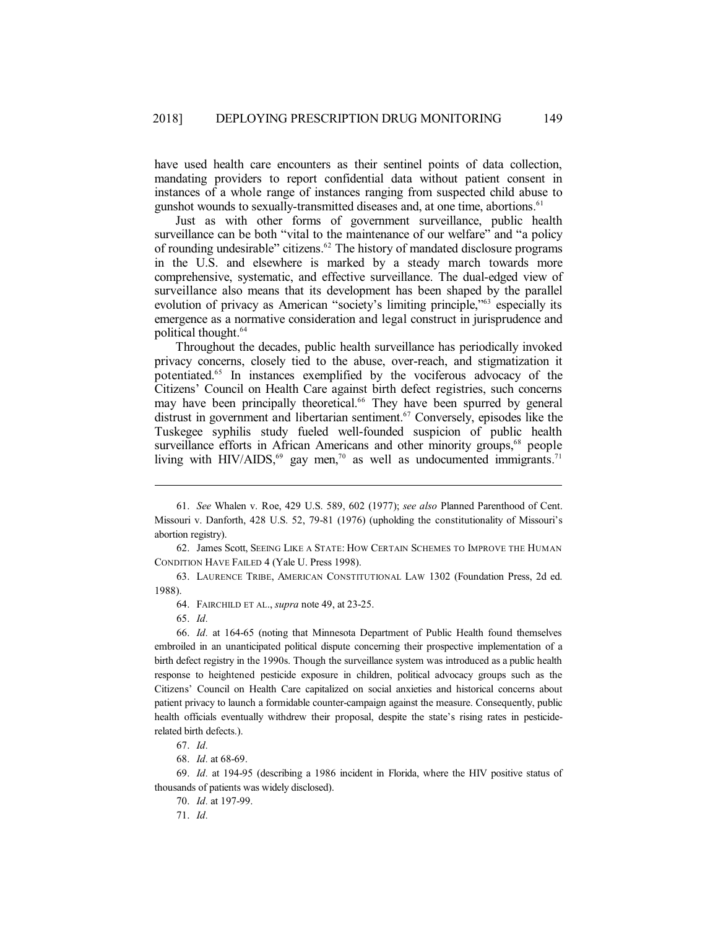have used health care encounters as their sentinel points of data collection, mandating providers to report confidential data without patient consent in instances of a whole range of instances ranging from suspected child abuse to gunshot wounds to sexually-transmitted diseases and, at one time, abortions.<sup>61</sup>

Just as with other forms of government surveillance, public health surveillance can be both "vital to the maintenance of our welfare" and "a policy of rounding undesirable" citizens.<sup>62</sup> The history of mandated disclosure programs in the U.S. and elsewhere is marked by a steady march towards more comprehensive, systematic, and effective surveillance. The dual-edged view of surveillance also means that its development has been shaped by the parallel evolution of privacy as American "society's limiting principle,"<sup>63</sup> especially its emergence as a normative consideration and legal construct in jurisprudence and political thought.<sup>64</sup>

Throughout the decades, public health surveillance has periodically invoked privacy concerns, closely tied to the abuse, over-reach, and stigmatization it potentiated.<sup>65</sup> In instances exemplified by the vociferous advocacy of the Citizens' Council on Health Care against birth defect registries, such concerns may have been principally theoretical.<sup>66</sup> They have been spurred by general distrust in government and libertarian sentiment.<sup>67</sup> Conversely, episodes like the Tuskegee syphilis study fueled well-founded suspicion of public health surveillance efforts in African Americans and other minority groups,<sup>68</sup> people living with HIV/AIDS,<sup>69</sup> gay men,<sup>70</sup> as well as undocumented immigrants.<sup>71</sup>

63. LAURENCE TRIBE, AMERICAN CONSTITUTIONAL LAW 1302 (Foundation Press, 2d ed. 1988).

64. FAIRCHILD ET AL., *supra* note 49, at 23-25.

66. *Id.* at 164-65 (noting that Minnesota Department of Public Health found themselves embroiled in an unanticipated political dispute concerning their prospective implementation of a birth defect registry in the 1990s. Though the surveillance system was introduced as a public health response to heightened pesticide exposure in children, political advocacy groups such as the Citizens' Council on Health Care capitalized on social anxieties and historical concerns about patient privacy to launch a formidable counter-campaign against the measure. Consequently, public health officials eventually withdrew their proposal, despite the state's rising rates in pesticiderelated birth defects.).

68. *Id.* at 68-69.

69. *Id.* at 194-95 (describing a 1986 incident in Florida, where the HIV positive status of thousands of patients was widely disclosed).

70. *Id.* at 197-99.

71. *Id.*

<sup>61.</sup> *See* Whalen v. Roe, 429 U.S. 589, 602 (1977); *see also* Planned Parenthood of Cent. Missouri v. Danforth, 428 U.S. 52, 79-81 (1976) (upholding the constitutionality of Missouri's abortion registry).

<sup>62.</sup> James Scott, SEEING LIKE A STATE: HOW CERTAIN SCHEMES TO IMPROVE THE HUMAN CONDITION HAVE FAILED 4 (Yale U. Press 1998).

<sup>65.</sup> *Id.*

<sup>67.</sup> *Id.*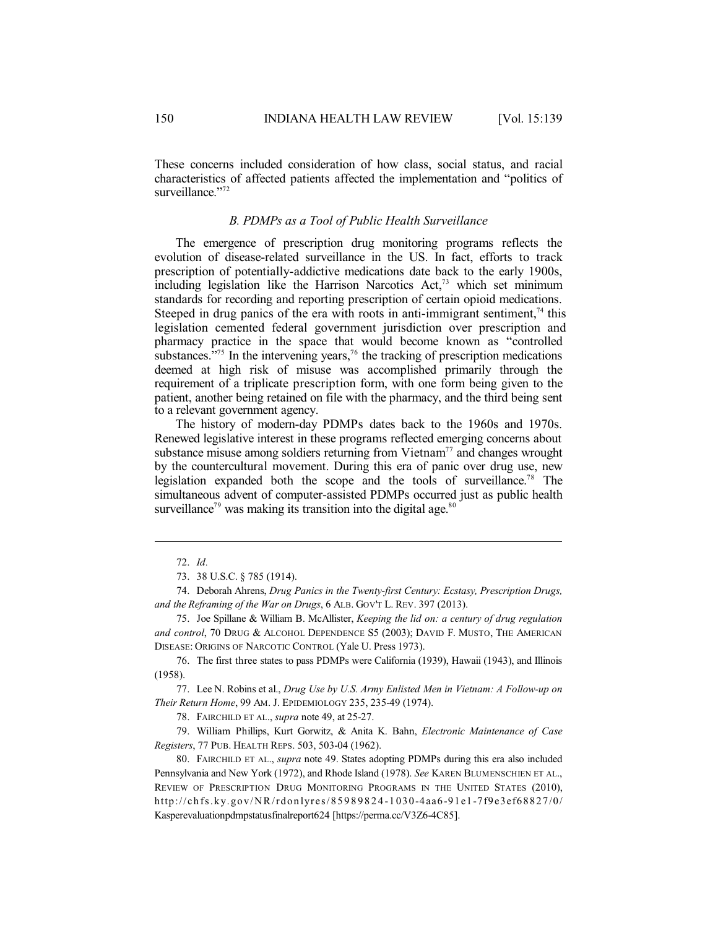These concerns included consideration of how class, social status, and racial characteristics of affected patients affected the implementation and "politics of surveillance."72

# *B. PDMPs as a Tool of Public Health Surveillance*

The emergence of prescription drug monitoring programs reflects the evolution of disease-related surveillance in the US. In fact, efforts to track prescription of potentially-addictive medications date back to the early 1900s, including legislation like the Harrison Narcotics  $Act<sub>1</sub><sup>73</sup>$  which set minimum standards for recording and reporting prescription of certain opioid medications. Steeped in drug panics of the era with roots in anti-immigrant sentiment,<sup> $74$ </sup> this legislation cemented federal government jurisdiction over prescription and pharmacy practice in the space that would become known as "controlled substances.<sup> $575$ </sup> In the intervening years,<sup>76</sup> the tracking of prescription medications deemed at high risk of misuse was accomplished primarily through the requirement of a triplicate prescription form, with one form being given to the patient, another being retained on file with the pharmacy, and the third being sent to a relevant government agency.

The history of modern-day PDMPs dates back to the 1960s and 1970s. Renewed legislative interest in these programs reflected emerging concerns about substance misuse among soldiers returning from Vietnam<sup>77</sup> and changes wrought by the countercultural movement. During this era of panic over drug use, new legislation expanded both the scope and the tools of surveillance.<sup>78</sup> The simultaneous advent of computer-assisted PDMPs occurred just as public health surveillance<sup>79</sup> was making its transition into the digital age. $80$ 

74. Deborah Ahrens, *Drug Panics in the Twenty-first Century: Ecstasy, Prescription Drugs, and the Reframing of the War on Drugs*, 6 ALB. GOV'T L. REV. 397 (2013).

76. The first three states to pass PDMPs were California (1939), Hawaii (1943), and Illinois (1958).

77. Lee N. Robins et al., *Drug Use by U.S. Army Enlisted Men in Vietnam: A Follow-up on Their Return Home*, 99 AM. J. EPIDEMIOLOGY 235, 235-49 (1974).

78. FAIRCHILD ET AL., *supra* note 49, at 25-27.

79. William Phillips, Kurt Gorwitz, & Anita K. Bahn, *Electronic Maintenance of Case Registers*, 77 PUB. HEALTH REPS. 503, 503-04 (1962).

80. FAIRCHILD ET AL., *supra* note 49. States adopting PDMPs during this era also included Pennsylvania and New York (1972), and Rhode Island (1978). *See* KAREN BLUMENSCHIEN ET AL., REVIEW OF PRESCRIPTION DRUG MONITORING PROGRAMS IN THE UNITED STATES (2010), http://ch fs.ky.gov/N R /rdon lyres/8 5 9 8 9 8 2 4 -1 030-4aa6-91e1-7f9e3ef68827/0/ Kasperevaluationpdmpstatusfinalreport624 [https://perma.cc/V3Z6-4C85].

<sup>72.</sup> *Id.*

<sup>73. 38</sup> U.S.C. § 785 (1914).

<sup>75.</sup> Joe Spillane & William B. McAllister, *Keeping the lid on: a century of drug regulation and control*, 70 DRUG & ALCOHOL DEPENDENCE S5 (2003); DAVID F. MUSTO, THE AMERICAN DISEASE: ORIGINS OF NARCOTIC CONTROL (Yale U. Press 1973).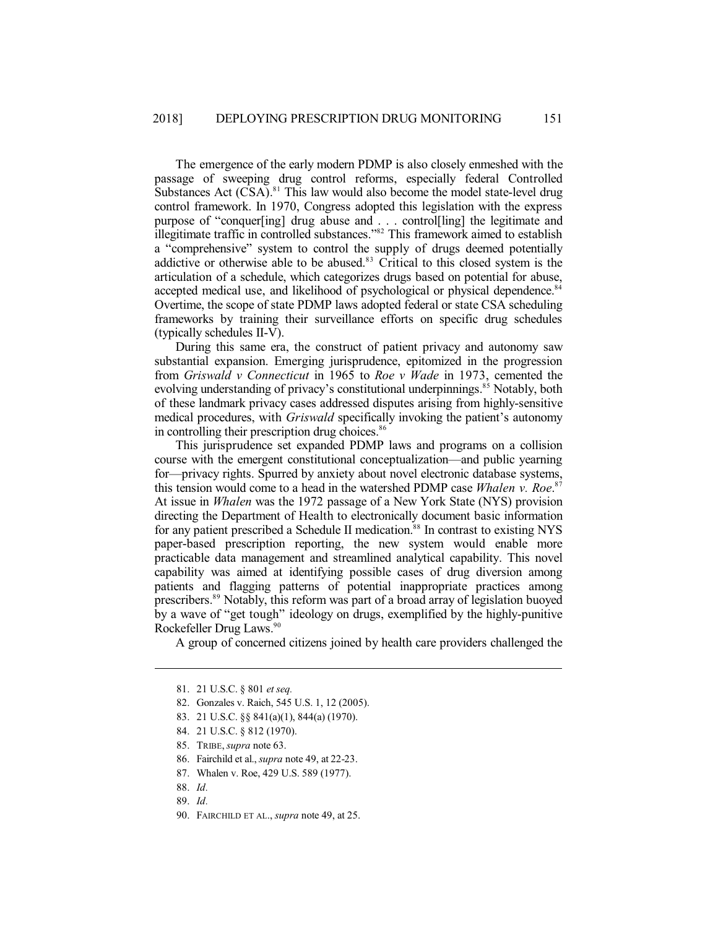The emergence of the early modern PDMP is also closely enmeshed with the passage of sweeping drug control reforms, especially federal Controlled Substances Act (CSA).<sup>81</sup> This law would also become the model state-level drug control framework. In 1970, Congress adopted this legislation with the express purpose of "conquer[ing] drug abuse and . . . control[ling] the legitimate and illegitimate traffic in controlled substances."<sup>82</sup> This framework aimed to establish a "comprehensive" system to control the supply of drugs deemed potentially addictive or otherwise able to be abused.<sup>83</sup> Critical to this closed system is the articulation of a schedule, which categorizes drugs based on potential for abuse, accepted medical use, and likelihood of psychological or physical dependence.<sup>84</sup> Overtime, the scope of state PDMP laws adopted federal or state CSA scheduling frameworks by training their surveillance efforts on specific drug schedules (typically schedules II-V).

During this same era, the construct of patient privacy and autonomy saw substantial expansion. Emerging jurisprudence, epitomized in the progression from *Griswald v Connecticut* in 1965 to *Roe v Wade* in 1973, cemented the evolving understanding of privacy's constitutional underpinnings.<sup>85</sup> Notably, both of these landmark privacy cases addressed disputes arising from highly-sensitive medical procedures, with *Griswald* specifically invoking the patient's autonomy in controlling their prescription drug choices.<sup>86</sup>

This jurisprudence set expanded PDMP laws and programs on a collision course with the emergent constitutional conceptualization—and public yearning for—privacy rights. Spurred by anxiety about novel electronic database systems, this tension would come to a head in the watershed PDMP case *Whalen v. Roe*. 87 At issue in *Whalen* was the 1972 passage of a New York State (NYS) provision directing the Department of Health to electronically document basic information for any patient prescribed a Schedule II medication.<sup>88</sup> In contrast to existing NYS paper-based prescription reporting, the new system would enable more practicable data management and streamlined analytical capability. This novel capability was aimed at identifying possible cases of drug diversion among patients and flagging patterns of potential inappropriate practices among prescribers.<sup>89</sup> Notably, this reform was part of a broad array of legislation buoyed by a wave of "get tough" ideology on drugs, exemplified by the highly-punitive Rockefeller Drug Laws.<sup>90</sup>

A group of concerned citizens joined by health care providers challenged the

<sup>81. 21</sup> U.S.C. § 801 *et seq.*

<sup>82.</sup> Gonzales v. Raich, 545 U.S. 1, 12 (2005).

<sup>83. 21</sup> U.S.C. §§ 841(a)(1), 844(a) (1970).

<sup>84. 21</sup> U.S.C. § 812 (1970).

<sup>85.</sup> TRIBE, *supra* note 63.

<sup>86.</sup> Fairchild et al., *supra* note 49, at 22-23.

<sup>87.</sup> Whalen v. Roe, 429 U.S. 589 (1977).

<sup>88.</sup> *Id.*

<sup>89.</sup> *Id.*

<sup>90.</sup> FAIRCHILD ET AL., *supra* note 49, at 25.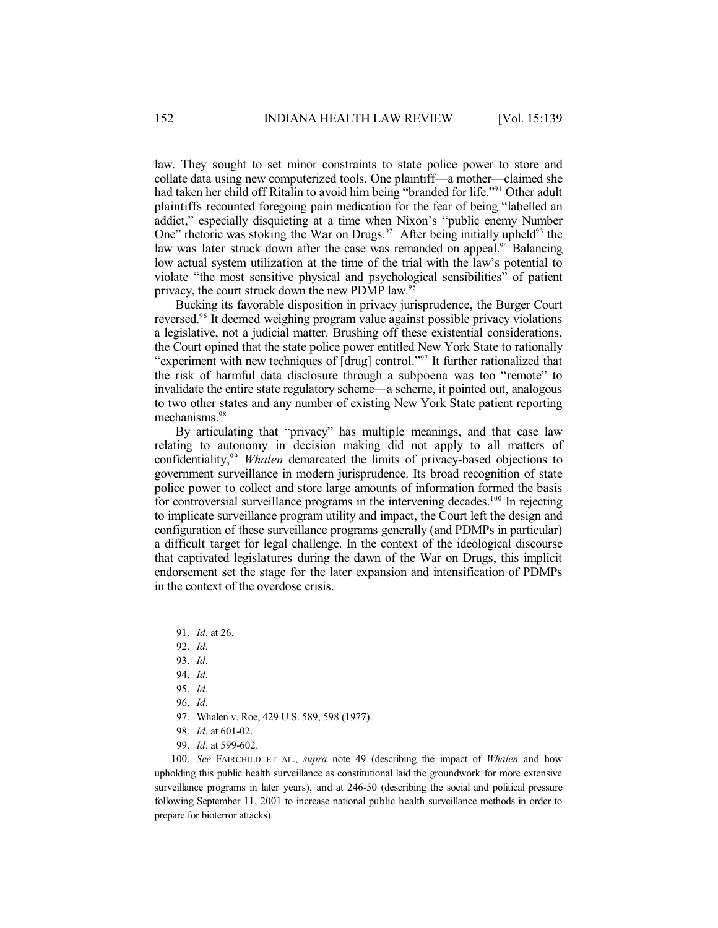law. They sought to set minor constraints to state police power to store and collate data using new computerized tools. One plaintiff—a mother—claimed she had taken her child off Ritalin to avoid him being "branded for life."<sup>91</sup> Other adult plaintiffs recounted foregoing pain medication for the fear of being "labelled an addict," especially disquieting at a time when Nixon's "public enemy Number One" rhetoric was stoking the War on Drugs.<sup>92</sup> After being initially upheld<sup>93</sup> the law was later struck down after the case was remanded on appeal.<sup>94</sup> Balancing low actual system utilization at the time of the trial with the law's potential to violate "the most sensitive physical and psychological sensibilities" of patient privacy, the court struck down the new PDMP law.<sup>95</sup>

Bucking its favorable disposition in privacy jurisprudence, the Burger Court reversed.<sup>96</sup> It deemed weighing program value against possible privacy violations a legislative, not a judicial matter. Brushing off these existential considerations, the Court opined that the state police power entitled New York State to rationally "experiment with new techniques of [drug] control."<sup>97</sup> It further rationalized that the risk of harmful data disclosure through a subpoena was too "remote" to invalidate the entire state regulatory scheme—a scheme, it pointed out, analogous to two other states and any number of existing New York State patient reporting mechanisms.<sup>98</sup>

By articulating that "privacy" has multiple meanings, and that case law relating to autonomy in decision making did not apply to all matters of confidentiality,<sup>99</sup> *Whalen* demarcated the limits of privacy-based objections to government surveillance in modern jurisprudence. Its broad recognition of state police power to collect and store large amounts of information formed the basis for controversial surveillance programs in the intervening decades.<sup>100</sup> In rejecting to implicate surveillance program utility and impact, the Court left the design and configuration of these surveillance programs generally (and PDMPs in particular) a difficult target for legal challenge. In the context of the ideological discourse that captivated legislatures during the dawn of the War on Drugs, this implicit endorsement set the stage for the later expansion and intensification of PDMPs in the context of the overdose crisis.

- 93. *Id.*
- 94. *Id.*
- 95. *Id.*
- 96. *Id.*
- 97. Whalen v. Roe, 429 U.S. 589, 598 (1977).
- 98. *Id.* at 601-02.
- 99. *Id.* at 599-602.

100. *See* FAIRCHILD ET AL., *supra* note 49 (describing the impact of *Whalen* and how upholding this public health surveillance as constitutional laid the groundwork for more extensive surveillance programs in later years), and at 246-50 (describing the social and political pressure following September 11, 2001 to increase national public health surveillance methods in order to prepare for bioterror attacks).

<sup>91.</sup> *Id.* at 26.

<sup>92.</sup> *Id.*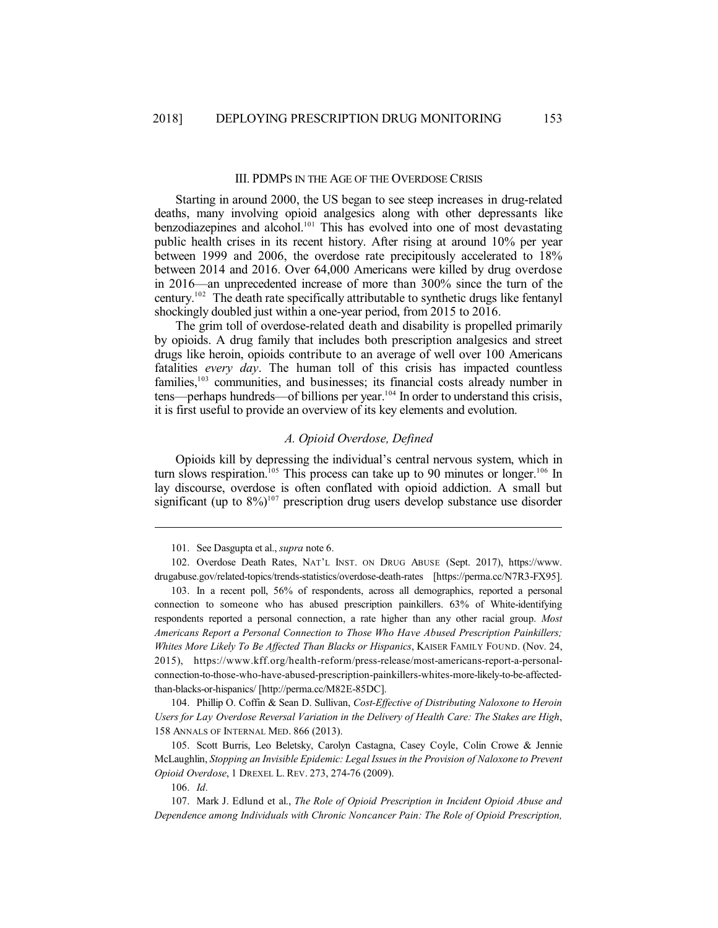#### III. PDMPS IN THE AGE OF THE OVERDOSE CRISIS

Starting in around 2000, the US began to see steep increases in drug-related deaths, many involving opioid analgesics along with other depressants like benzodiazepines and alcohol.<sup>101</sup> This has evolved into one of most devastating public health crises in its recent history. After rising at around 10% per year between 1999 and 2006, the overdose rate precipitously accelerated to 18% between 2014 and 2016. Over 64,000 Americans were killed by drug overdose in 2016—an unprecedented increase of more than 300% since the turn of the century.<sup>102</sup> The death rate specifically attributable to synthetic drugs like fentanyl shockingly doubled just within a one-year period, from 2015 to 2016.

The grim toll of overdose-related death and disability is propelled primarily by opioids. A drug family that includes both prescription analgesics and street drugs like heroin, opioids contribute to an average of well over 100 Americans fatalities *every day*. The human toll of this crisis has impacted countless families,<sup>103</sup> communities, and businesses; its financial costs already number in tens—perhaps hundreds—of billions per year.<sup>104</sup> In order to understand this crisis, it is first useful to provide an overview of its key elements and evolution.

## *A. Opioid Overdose, Defined*

Opioids kill by depressing the individual's central nervous system, which in turn slows respiration.<sup>105</sup> This process can take up to 90 minutes or longer.<sup>106</sup> In lay discourse, overdose is often conflated with opioid addiction. A small but significant (up to  $8\%$ )<sup>107</sup> prescription drug users develop substance use disorder

<sup>101.</sup> See Dasgupta et al., *supra* note 6.

<sup>102.</sup> Overdose Death Rates, NAT'L INST. ON DRUG ABUSE (Sept. 2017), https://www. drugabuse.gov/related-topics/trends-statistics/overdose-death-rates [https://perma.cc/N7R3-FX95].

<sup>103.</sup> In a recent poll, 56% of respondents, across all demographics, reported a personal connection to someone who has abused prescription painkillers. 63% of White-identifying respondents reported a personal connection, a rate higher than any other racial group. *Most Americans Report a Personal Connection to Those Who Have Abused Prescription Painkillers; Whites More Likely To Be Affected Than Blacks or Hispanics*, KAISER FAMILY FOUND. (Nov. 24, 2015), https://www.kff.org/health-reform/press-release/most-americans-report-a-personalconnection-to-those-who-have-abused-prescription-painkillers-whites-more-likely-to-be-affectedthan-blacks-or-hispanics/ [http://perma.cc/M82E-85DC].

<sup>104.</sup> Phillip O. Coffin & Sean D. Sullivan, *Cost-Effective of Distributing Naloxone to Heroin Users for Lay Overdose Reversal Variation in the Delivery of Health Care: The Stakes are High*, 158 ANNALS OF INTERNAL MED. 866 (2013).

<sup>105.</sup> Scott Burris, Leo Beletsky, Carolyn Castagna, Casey Coyle, Colin Crowe & Jennie McLaughlin, *Stopping an Invisible Epidemic: Legal Issues in the Provision of Naloxone to Prevent Opioid Overdose*, 1 DREXEL L. REV. 273, 274-76 (2009).

<sup>106.</sup> *Id.*

<sup>107.</sup> Mark J. Edlund et al., *The Role of Opioid Prescription in Incident Opioid Abuse and Dependence among Individuals with Chronic Noncancer Pain: The Role of Opioid Prescription,*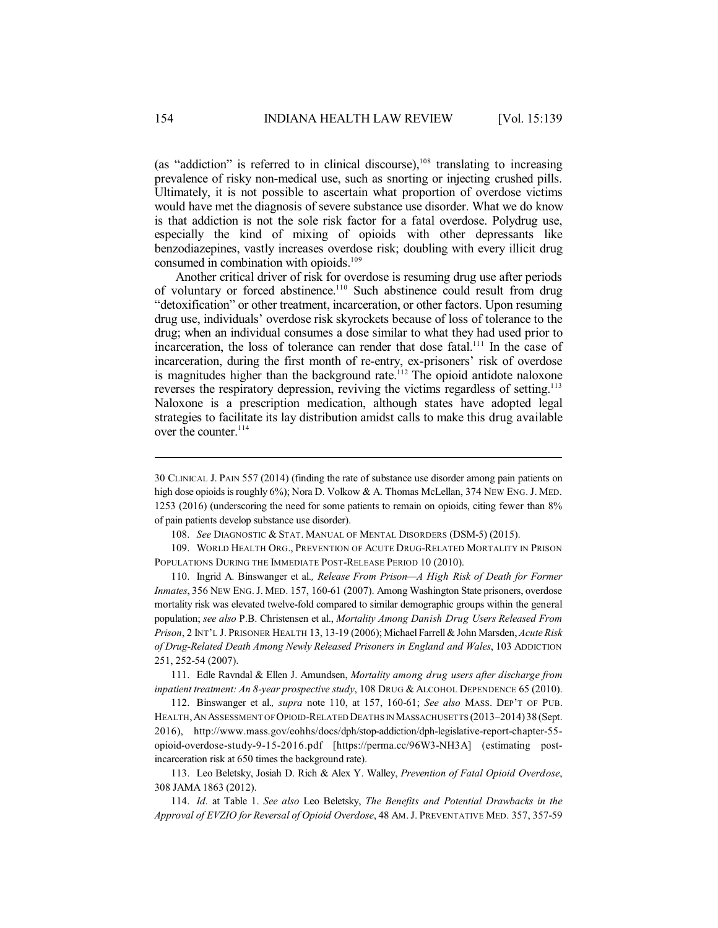(as "addiction" is referred to in clinical discourse), 108 translating to increasing prevalence of risky non-medical use, such as snorting or injecting crushed pills. Ultimately, it is not possible to ascertain what proportion of overdose victims would have met the diagnosis of severe substance use disorder. What we do know is that addiction is not the sole risk factor for a fatal overdose. Polydrug use, especially the kind of mixing of opioids with other depressants like benzodiazepines, vastly increases overdose risk; doubling with every illicit drug consumed in combination with opioids.<sup>109</sup>

Another critical driver of risk for overdose is resuming drug use after periods of voluntary or forced abstinence.<sup>110</sup> Such abstinence could result from drug "detoxification" or other treatment, incarceration, or other factors. Upon resuming drug use, individuals' overdose risk skyrockets because of loss of tolerance to the drug; when an individual consumes a dose similar to what they had used prior to incarceration, the loss of tolerance can render that dose fatal.<sup>111</sup> In the case of incarceration, during the first month of re-entry, ex-prisoners' risk of overdose is magnitudes higher than the background rate.<sup>112</sup> The opioid antidote naloxone reverses the respiratory depression, reviving the victims regardless of setting.<sup>113</sup> Naloxone is a prescription medication, although states have adopted legal strategies to facilitate its lay distribution amidst calls to make this drug available over the counter. 114

108. *See* DIAGNOSTIC & STAT. MANUAL OF MENTAL DISORDERS (DSM-5) (2015).

109. WORLD HEALTH ORG., PREVENTION OF ACUTE DRUG-RELATED MORTALITY IN PRISON POPULATIONS DURING THE IMMEDIATE POST-RELEASE PERIOD 10 (2010).

110. Ingrid A. Binswanger et al.*, Release From Prison—A High Risk of Death for Former Inmates*, 356 NEW ENG.J. MED. 157, 160-61 (2007). Among Washington State prisoners, overdose mortality risk was elevated twelve-fold compared to similar demographic groups within the general population; *see also* P.B. Christensen et al., *Mortality Among Danish Drug Users Released From Prison*, 2 INT'L J. PRISONER HEALTH 13, 13-19 (2006); Michael Farrell&John Marsden, *Acute Risk of Drug-Related Death Among Newly Released Prisoners in England and Wales*, 103 ADDICTION 251, 252-54 (2007).

111. Edle Ravndal & Ellen J. Amundsen, *Mortality among drug users after discharge from inpatient treatment: An 8-year prospective study*, 108 DRUG & ALCOHOL DEPENDENCE 65 (2010).

112. Binswanger et al.*, supra* note 110, at 157, 160-61; *See also* MASS. DEP'T OF PUB. HEALTH,AN ASSESSMENT OFOPIOID-RELATED DEATHS INMASSACHUSETTS (2013–2014)38 (Sept. 2016), http://www.mass.gov/eohhs/docs/dph/stop-addiction/dph-legislative-report-chapter-55 opioid-overdose-study-9-15-2016.pdf [https://perma.cc/96W3-NH3A] (estimating postincarceration risk at 650 times the background rate).

113. Leo Beletsky, Josiah D. Rich & Alex Y. Walley, *Prevention of Fatal Opioid Overdose*, 308 JAMA 1863 (2012).

114. *Id.* at Table 1. *See also* Leo Beletsky, *The Benefits and Potential Drawbacks in the Approval of EVZIO for Reversal of Opioid Overdose*, 48 AM.J. PREVENTATIVE MED. 357, 357-59

<sup>30</sup> CLINICAL J. PAIN 557 (2014) (finding the rate of substance use disorder among pain patients on high dose opioids is roughly 6%); Nora D. Volkow & A. Thomas McLellan, 374 NEW ENG. J. MED. 1253 (2016) (underscoring the need for some patients to remain on opioids, citing fewer than 8% of pain patients develop substance use disorder).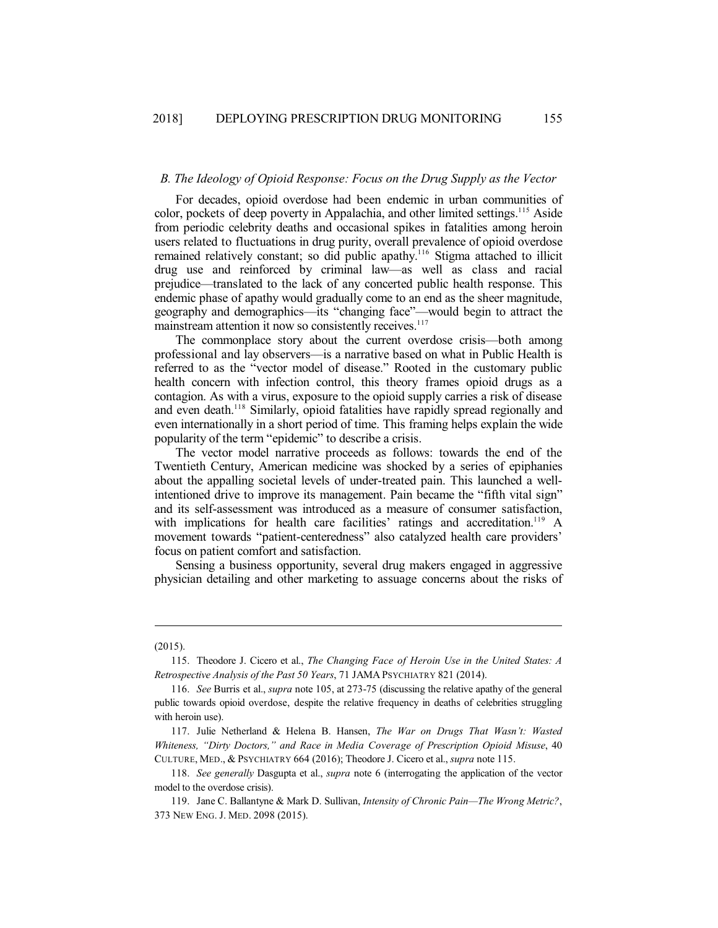## *B. The Ideology of Opioid Response: Focus on the Drug Supply as the Vector*

For decades, opioid overdose had been endemic in urban communities of color, pockets of deep poverty in Appalachia, and other limited settings.<sup>115</sup> Aside from periodic celebrity deaths and occasional spikes in fatalities among heroin users related to fluctuations in drug purity, overall prevalence of opioid overdose remained relatively constant; so did public apathy.<sup>116</sup> Stigma attached to illicit drug use and reinforced by criminal law—as well as class and racial prejudice—translated to the lack of any concerted public health response. This endemic phase of apathy would gradually come to an end as the sheer magnitude, geography and demographics—its "changing face"—would begin to attract the mainstream attention it now so consistently receives.<sup>117</sup>

The commonplace story about the current overdose crisis—both among professional and lay observers—is a narrative based on what in Public Health is referred to as the "vector model of disease." Rooted in the customary public health concern with infection control, this theory frames opioid drugs as a contagion. As with a virus, exposure to the opioid supply carries a risk of disease and even death. <sup>118</sup> Similarly, opioid fatalities have rapidly spread regionally and even internationally in a short period of time. This framing helps explain the wide popularity of the term "epidemic" to describe a crisis.

The vector model narrative proceeds as follows: towards the end of the Twentieth Century, American medicine was shocked by a series of epiphanies about the appalling societal levels of under-treated pain. This launched a wellintentioned drive to improve its management. Pain became the "fifth vital sign" and its self-assessment was introduced as a measure of consumer satisfaction, with implications for health care facilities' ratings and accreditation.<sup>119</sup> A movement towards "patient-centeredness" also catalyzed health care providers' focus on patient comfort and satisfaction.

Sensing a business opportunity, several drug makers engaged in aggressive physician detailing and other marketing to assuage concerns about the risks of

<sup>(2015).</sup>

<sup>115.</sup> Theodore J. Cicero et al., *The Changing Face of Heroin Use in the United States: A Retrospective Analysis of the Past 50 Years*, 71 JAMA PSYCHIATRY 821 (2014).

<sup>116.</sup> *See* Burris et al., *supra* note 105, at 273-75 (discussing the relative apathy of the general public towards opioid overdose, despite the relative frequency in deaths of celebrities struggling with heroin use).

<sup>117.</sup> Julie Netherland & Helena B. Hansen, *The War on Drugs That Wasn't: Wasted Whiteness, "Dirty Doctors," and Race in Media Coverage of Prescription Opioid Misuse*, 40 CULTURE, MED., & PSYCHIATRY 664 (2016); Theodore J. Cicero et al., *supra* note 115.

<sup>118.</sup> *See generally* Dasgupta et al., *supra* note 6 (interrogating the application of the vector model to the overdose crisis).

<sup>119.</sup> Jane C. Ballantyne & Mark D. Sullivan, *Intensity of Chronic Pain—The Wrong Metric?*, 373 NEW ENG. J. MED. 2098 (2015).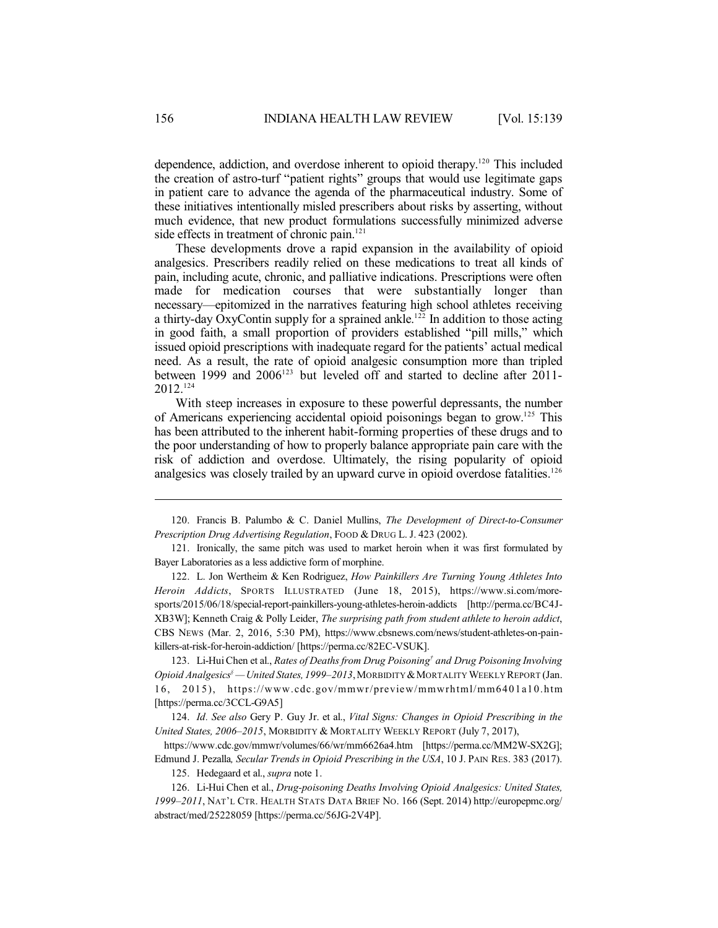dependence, addiction, and overdose inherent to opioid therapy.<sup>120</sup> This included the creation of astro-turf "patient rights" groups that would use legitimate gaps in patient care to advance the agenda of the pharmaceutical industry. Some of these initiatives intentionally misled prescribers about risks by asserting, without much evidence, that new product formulations successfully minimized adverse side effects in treatment of chronic pain. 121

These developments drove a rapid expansion in the availability of opioid analgesics. Prescribers readily relied on these medications to treat all kinds of pain, including acute, chronic, and palliative indications. Prescriptions were often made for medication courses that were substantially longer than necessary—epitomized in the narratives featuring high school athletes receiving a thirty-day OxyContin supply for a sprained ankle.<sup>122</sup> In addition to those acting in good faith, a small proportion of providers established "pill mills," which issued opioid prescriptions with inadequate regard for the patients' actual medical need. As a result, the rate of opioid analgesic consumption more than tripled between 1999 and 2006<sup>123</sup> but leveled off and started to decline after 2011-2012.<sup>124</sup>

With steep increases in exposure to these powerful depressants, the number of Americans experiencing accidental opioid poisonings began to grow. <sup>125</sup> This has been attributed to the inherent habit-forming properties of these drugs and to the poor understanding of how to properly balance appropriate pain care with the risk of addiction and overdose. Ultimately, the rising popularity of opioid analgesics was closely trailed by an upward curve in opioid overdose fatalities.<sup>126</sup>

120. Francis B. Palumbo & C. Daniel Mullins, *The Development of Direct-to-Consumer Prescription Drug Advertising Regulation*, FOOD & DRUG L. J. 423 (2002).

121. Ironically, the same pitch was used to market heroin when it was first formulated by Bayer Laboratories as a less addictive form of morphine.

122. L. Jon Wertheim & Ken Rodriguez, *How Painkillers Are Turning Young Athletes Into Heroin Addicts*, SPORTS ILLUSTRATED (June 18, 2015), https://www.si.com/moresports/2015/06/18/special-report-painkillers-young-athletes-heroin-addicts [http://perma.cc/BC4J-XB3W]; Kenneth Craig & Polly Leider, *The surprising path from student athlete to heroin addict*, CBS NEWS (Mar. 2, 2016, 5:30 PM), https://www.cbsnews.com/news/student-athletes-on-painkillers-at-risk-for-heroin-addiction/ [https://perma.cc/82EC-VSUK].

123. Li-HuiChen et al., *Rates of Deaths from Drug Poisoning † and Drug Poisoning Involving Opioid Analgesics § —United States,1999–2013*,MORBIDITY &MORTALITY WEEKLY REPORT (Jan. 16, 2015), https://www.cdc.gov/mmwr/preview/mmwrhtml/mm6401a10.htm [https://perma.cc/3CCL-G9A5]

124. *Id. See also* Gery P. Guy Jr. et al., *Vital Signs: Changes in Opioid Prescribing in the United States, 2006–2015*, MORBIDITY & MORTALITY WEEKLY REPORT (July 7, 2017),

https://www.cdc.gov/mmwr/volumes/66/wr/mm6626a4.htm [https://perma.cc/MM2W-SX2G]; Edmund J. Pezalla*, Secular Trends in Opioid Prescribing in the USA*, 10 J. PAIN RES. 383 (2017).

125. Hedegaard et al., *supra* note 1.

<sup>126.</sup> Li-Hui Chen et al., *Drug-poisoning Deaths Involving Opioid Analgesics: United States, 1999–2011*, NAT'L CTR. HEALTH STATS DATA BRIEF NO. 166 (Sept. 2014) http://europepmc.org/ abstract/med/25228059 [https://perma.cc/56JG-2V4P].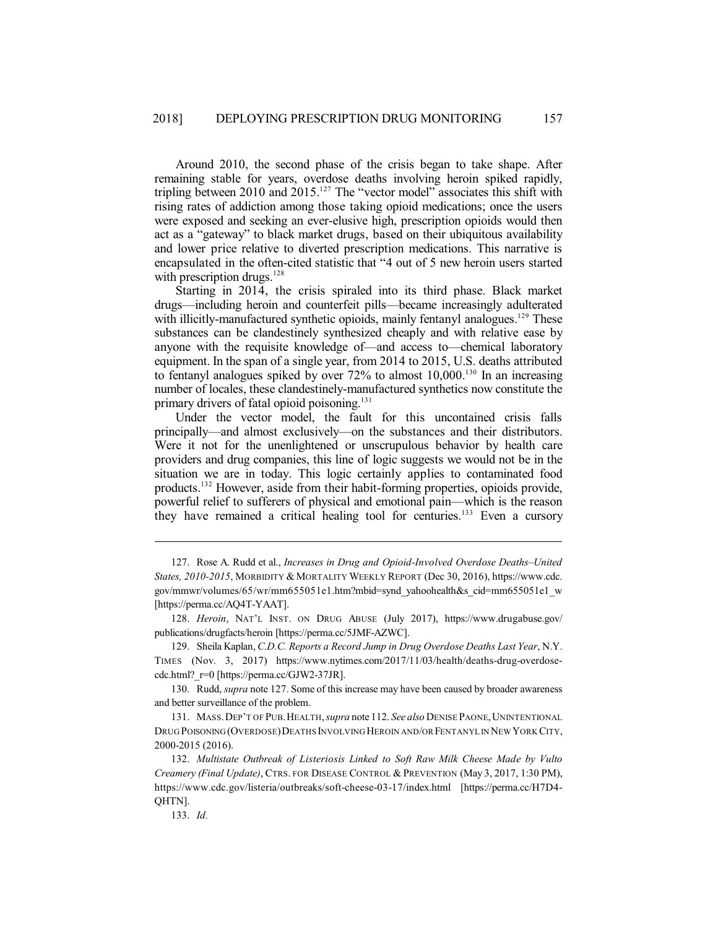Around 2010, the second phase of the crisis began to take shape. After remaining stable for years, overdose deaths involving heroin spiked rapidly, tripling between 2010 and 2015.<sup>127</sup> The "vector model" associates this shift with rising rates of addiction among those taking opioid medications; once the users were exposed and seeking an ever-elusive high, prescription opioids would then act as a "gateway" to black market drugs, based on their ubiquitous availability and lower price relative to diverted prescription medications. This narrative is encapsulated in the often-cited statistic that "4 out of 5 new heroin users started with prescription drugs.<sup>128</sup>

Starting in 2014, the crisis spiraled into its third phase. Black market drugs—including heroin and counterfeit pills—became increasingly adulterated with illicitly-manufactured synthetic opioids, mainly fentanyl analogues.<sup>129</sup> These substances can be clandestinely synthesized cheaply and with relative ease by anyone with the requisite knowledge of—and access to—chemical laboratory equipment. In the span of a single year, from 2014 to 2015, U.S. deaths attributed to fentanyl analogues spiked by over 72% to almost 10,000.<sup>130</sup> In an increasing number of locales, these clandestinely-manufactured synthetics now constitute the primary drivers of fatal opioid poisoning. 131

Under the vector model, the fault for this uncontained crisis falls principally—and almost exclusively—on the substances and their distributors. Were it not for the unenlightened or unscrupulous behavior by health care providers and drug companies, this line of logic suggests we would not be in the situation we are in today. This logic certainly applies to contaminated food products.<sup>132</sup> However, aside from their habit-forming properties, opioids provide, powerful relief to sufferers of physical and emotional pain—which is the reason they have remained a critical healing tool for centuries.<sup>133</sup> Even a cursory

128. *Heroin*, NAT'L INST. ON DRUG ABUSE (July 2017), https://www.drugabuse.gov/ publications/drugfacts/heroin [https://perma.cc/5JMF-AZWC].

129. Sheila Kaplan, *C.D.C. Reports a Record Jump in Drug Overdose Deaths Last Year*, N.Y. TIMES (Nov. 3, 2017) https://www.nytimes.com/2017/11/03/health/deaths-drug-overdosecdc.html?\_r=0 [https://perma.cc/GJW2-37JR].

130. Rudd, *supra* note 127. Some of this increase may have been caused by broader awareness and better surveillance of the problem.

131. MASS.DEP'T OF PUB.HEALTH,*supra* note 112. *See also* DENISE PAONE,UNINTENTIONAL DRUG POISONING (OVERDOSE) DEATHS INVOLVING HEROIN AND/OR FENTANYL IN NEW YORK CITY, 2000-2015 (2016).

132. *Multistate Outbreak of Listeriosis Linked to Soft Raw Milk Cheese Made by Vulto Creamery (Final Update)*, CTRS. FOR DISEASE CONTROL & PREVENTION (May 3, 2017, 1:30 PM), https://www.cdc.gov/listeria/outbreaks/soft-cheese-03-17/index.html [https://perma.cc/H7D4- QHTN].

133. *Id.*

<sup>127.</sup> Rose A. Rudd et al., *Increases in Drug and Opioid-Involved Overdose Deaths–United States, 2010-2015*, MORBIDITY & MORTALITY WEEKLY REPORT (Dec 30, 2016), https://www.cdc. gov/mmwr/volumes/65/wr/mm655051e1.htm?mbid=synd\_yahoohealth&s\_cid=mm655051e1\_w [https://perma.cc/AQ4T-YAAT].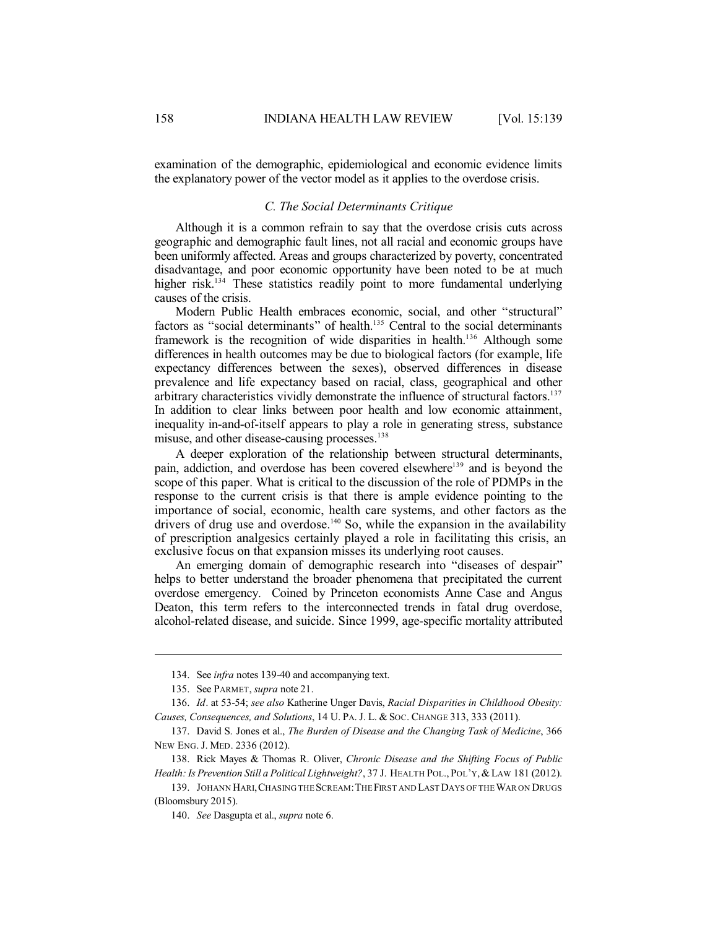examination of the demographic, epidemiological and economic evidence limits the explanatory power of the vector model as it applies to the overdose crisis.

# *C. The Social Determinants Critique*

Although it is a common refrain to say that the overdose crisis cuts across geographic and demographic fault lines, not all racial and economic groups have been uniformly affected. Areas and groups characterized by poverty, concentrated disadvantage, and poor economic opportunity have been noted to be at much higher risk.<sup>134</sup> These statistics readily point to more fundamental underlying causes of the crisis.

Modern Public Health embraces economic, social, and other "structural" factors as "social determinants" of health.<sup>135</sup> Central to the social determinants framework is the recognition of wide disparities in health.<sup>136</sup> Although some differences in health outcomes may be due to biological factors (for example, life expectancy differences between the sexes), observed differences in disease prevalence and life expectancy based on racial, class, geographical and other arbitrary characteristics vividly demonstrate the influence of structural factors.<sup>137</sup> In addition to clear links between poor health and low economic attainment, inequality in-and-of-itself appears to play a role in generating stress, substance misuse, and other disease-causing processes.<sup>138</sup>

A deeper exploration of the relationship between structural determinants, pain, addiction, and overdose has been covered elsewhere<sup>139</sup> and is beyond the scope of this paper. What is critical to the discussion of the role of PDMPs in the response to the current crisis is that there is ample evidence pointing to the importance of social, economic, health care systems, and other factors as the drivers of drug use and overdose.<sup>140</sup> So, while the expansion in the availability of prescription analgesics certainly played a role in facilitating this crisis, an exclusive focus on that expansion misses its underlying root causes.

An emerging domain of demographic research into "diseases of despair" helps to better understand the broader phenomena that precipitated the current overdose emergency. Coined by Princeton economists Anne Case and Angus Deaton, this term refers to the interconnected trends in fatal drug overdose, alcohol-related disease, and suicide. Since 1999, age-specific mortality attributed

<sup>134.</sup> See *infra* notes 139-40 and accompanying text.

<sup>135.</sup> See PARMET, *supra* note 21.

<sup>136.</sup> *Id*. at 53-54; *see also* Katherine Unger Davis, *Racial Disparities in Childhood Obesity: Causes, Consequences, and Solutions*, 14 U. PA. J. L. & SOC. CHANGE 313, 333 (2011).

<sup>137.</sup> David S. Jones et al., *The Burden of Disease and the Changing Task of Medicine*, 366 NEW ENG. J. MED. 2336 (2012).

<sup>138.</sup> Rick Mayes & Thomas R. Oliver, *Chronic Disease and the Shifting Focus of Public Health: Is Prevention Still a Political Lightweight?*, 37 J. HEALTH POL., POL'Y,&LAW 181 (2012).

<sup>139.</sup> JOHANN HARI,CHASING THE SCREAM:THE FIRST AND LAST DAYS OF THE WAR ON DRUGS (Bloomsbury 2015).

<sup>140.</sup> *See* Dasgupta et al., *supra* note 6.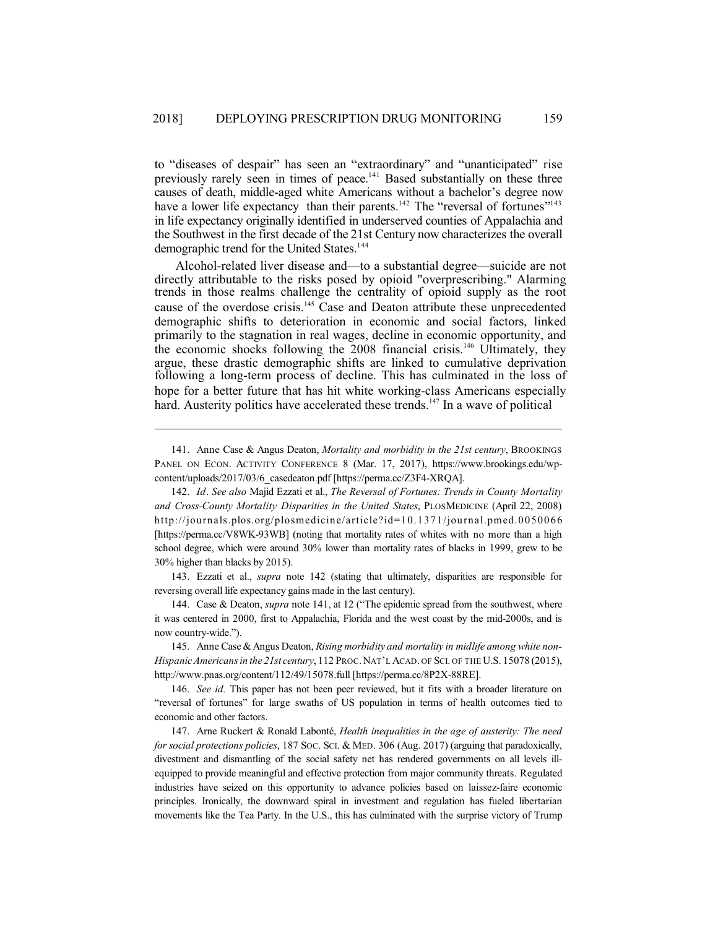to "diseases of despair" has seen an "extraordinary" and "unanticipated" rise previously rarely seen in times of peace.<sup>141</sup> Based substantially on these three causes of death, middle-aged white Americans without a bachelor's degree now have a lower life expectancy than their parents.<sup>142</sup> The "reversal of fortunes"<sup>143</sup> in life expectancy originally identified in underserved counties of Appalachia and the Southwest in the first decade of the 21st Century now characterizes the overall demographic trend for the United States.<sup>144</sup>

Alcohol-related liver disease and—to a substantial degree—suicide are not directly attributable to the risks posed by opioid "overprescribing." Alarming trends in those realms challenge the centrality of opioid supply as the root cause of the overdose crisis.<sup>145</sup> Case and Deaton attribute these unprecedented demographic shifts to deterioration in economic and social factors, linked primarily to the stagnation in real wages, decline in economic opportunity, and the economic shocks following the 2008 financial crisis.<sup>146</sup> Ultimately, they argue, these drastic demographic shifts are linked to cumulative deprivation following a long-term process of decline. This has culminated in the loss of hope for a better future that has hit white working-class Americans especially hard. Austerity politics have accelerated these trends.<sup>147</sup> In a wave of political

143. Ezzati et al., *supra* note 142 (stating that ultimately, disparities are responsible for reversing overall life expectancy gains made in the last century).

144. Case & Deaton, *supra* note 141, at 12 ("The epidemic spread from the southwest, where it was centered in 2000, first to Appalachia, Florida and the west coast by the mid-2000s, and is now country-wide.").

145. Anne Case & Angus Deaton, *Rising morbidity and mortality in midlife among white non-Hispanic Americans in the 21st century*, 112 PROC.NAT'L ACAD. OF SCI. OF THE U.S. 15078 (2015), http://www.pnas.org/content/112/49/15078.full [https://perma.cc/8P2X-88RE].

146. *See id.* This paper has not been peer reviewed, but it fits with a broader literature on "reversal of fortunes" for large swaths of US population in terms of health outcomes tied to economic and other factors.

147. Arne Ruckert & Ronald Labonté, *Health inequalities in the age of austerity: The need for social protections policies*, 187 SOC. SCI. & MED. 306 (Aug. 2017) (arguing that paradoxically, divestment and dismantling of the social safety net has rendered governments on all levels illequipped to provide meaningful and effective protection from major community threats. Regulated industries have seized on this opportunity to advance policies based on laissez-faire economic principles. Ironically, the downward spiral in investment and regulation has fueled libertarian movements like the Tea Party. In the U.S., this has culminated with the surprise victory of Trump

<sup>141.</sup> Anne Case & Angus Deaton, *Mortality and morbidity in the 21st century*, BROOKINGS PANEL ON ECON. ACTIVITY CONFERENCE 8 (Mar. 17, 2017), https://www.brookings.edu/wpcontent/uploads/2017/03/6\_casedeaton.pdf [https://perma.cc/Z3F4-XRQA].

<sup>142.</sup> *Id*. *See also* Majid Ezzati et al., *The Reversal of Fortunes: Trends in County Mortality and Cross-County Mortality Disparities in the United States*, PLOSMEDICINE (April 22, 2008) http://journals.plos.org/plosmedicine/article?id=10.1371/journal.pmed.0050066 [https://perma.cc/V8WK-93WB] (noting that mortality rates of whites with no more than a high school degree, which were around 30% lower than mortality rates of blacks in 1999, grew to be 30% higher than blacks by 2015).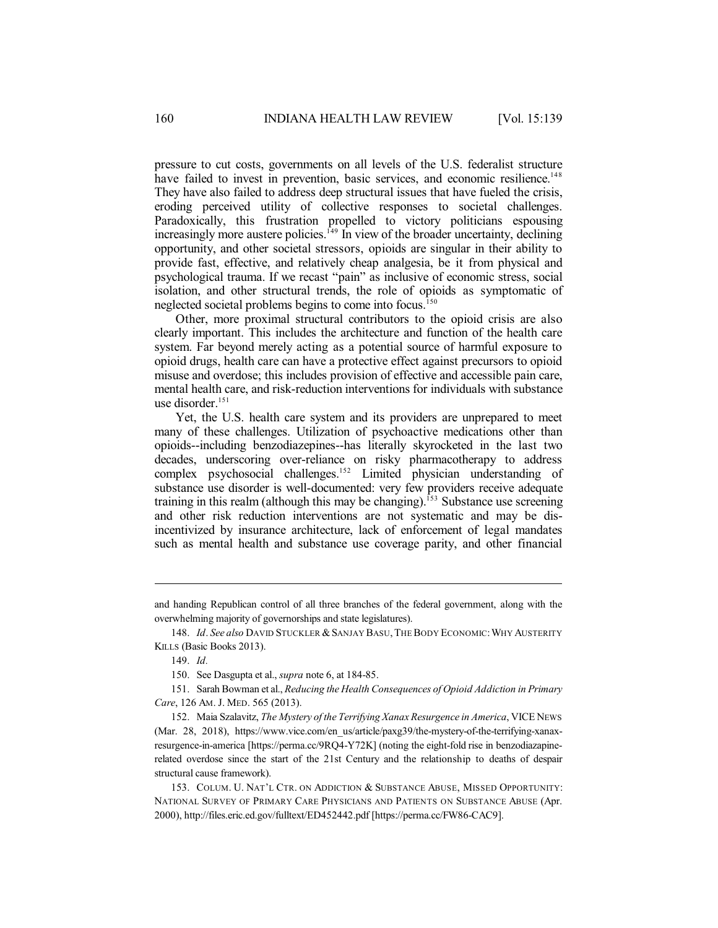pressure to cut costs, governments on all levels of the U.S. federalist structure have failed to invest in prevention, basic services, and economic resilience.<sup>148</sup> They have also failed to address deep structural issues that have fueled the crisis, eroding perceived utility of collective responses to societal challenges. Paradoxically, this frustration propelled to victory politicians espousing increasingly more austere policies.<sup>149</sup> In view of the broader uncertainty, declining opportunity, and other societal stressors, opioids are singular in their ability to provide fast, effective, and relatively cheap analgesia, be it from physical and psychological trauma. If we recast "pain" as inclusive of economic stress, social isolation, and other structural trends, the role of opioids as symptomatic of neglected societal problems begins to come into focus.<sup>150</sup>

Other, more proximal structural contributors to the opioid crisis are also clearly important. This includes the architecture and function of the health care system. Far beyond merely acting as a potential source of harmful exposure to opioid drugs, health care can have a protective effect against precursors to opioid misuse and overdose; this includes provision of effective and accessible pain care, mental health care, and risk-reduction interventions for individuals with substance use disorder. 151

Yet, the U.S. health care system and its providers are unprepared to meet many of these challenges. Utilization of psychoactive medications other than opioids--including benzodiazepines--has literally skyrocketed in the last two decades, underscoring over-reliance on risky pharmacotherapy to address complex psychosocial challenges.<sup>152</sup> Limited physician understanding of substance use disorder is well-documented: very few providers receive adequate training in this realm (although this may be changing).<sup>153</sup> Substance use screening and other risk reduction interventions are not systematic and may be disincentivized by insurance architecture, lack of enforcement of legal mandates such as mental health and substance use coverage parity, and other financial

and handing Republican control of all three branches of the federal government, along with the overwhelming majority of governorships and state legislatures).

<sup>148.</sup> *Id*. *See also* DAVID STUCKLER &SANJAY BASU,THE BODY ECONOMIC:WHY AUSTERITY KILLS (Basic Books 2013).

<sup>149.</sup> *Id.*

<sup>150.</sup> See Dasgupta et al., *supra* note 6, at 184-85.

<sup>151.</sup> Sarah Bowman et al., *Reducing the Health Consequences of Opioid Addiction in Primary Care*, 126 AM. J. MED. 565 (2013).

<sup>152.</sup> Maia Szalavitz, *The Mystery of the Terrifying Xanax Resurgence in America*, VICE NEWS (Mar. 28, 2018), https://www.vice.com/en\_us/article/paxg39/the-mystery-of-the-terrifying-xanaxresurgence-in-america [https://perma.cc/9RQ4-Y72K] (noting the eight-fold rise in benzodiazapinerelated overdose since the start of the 21st Century and the relationship to deaths of despair structural cause framework).

<sup>153.</sup> COLUM. U. NAT'L CTR. ON ADDICTION & SUBSTANCE ABUSE, MISSED OPPORTUNITY: NATIONAL SURVEY OF PRIMARY CARE PHYSICIANS AND PATIENTS ON SUBSTANCE ABUSE (Apr. 2000), http://files.eric.ed.gov/fulltext/ED452442.pdf [https://perma.cc/FW86-CAC9].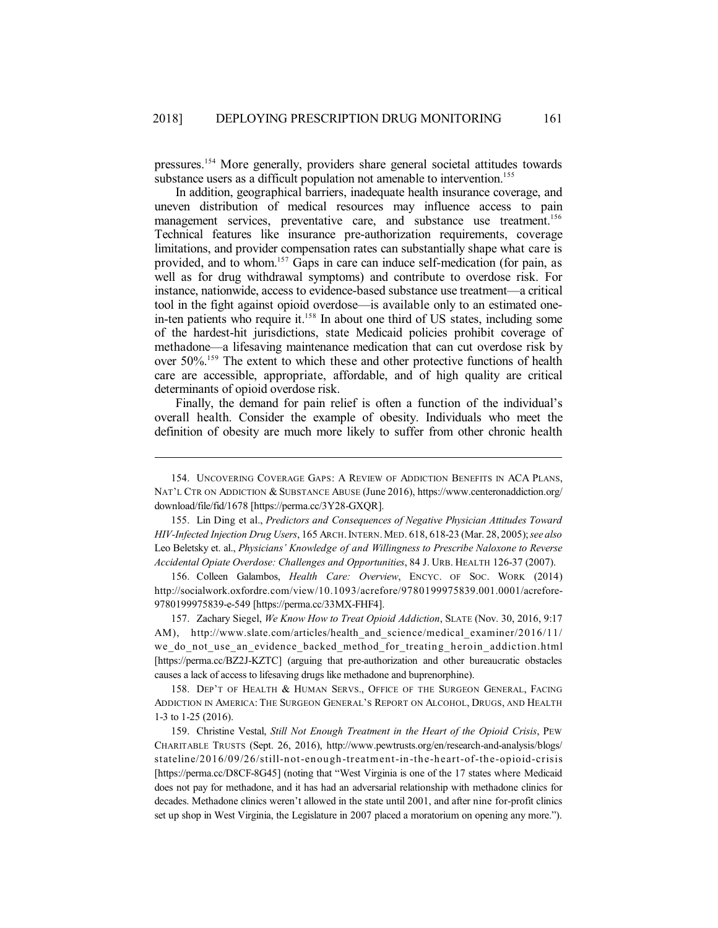pressures.<sup>154</sup> More generally, providers share general societal attitudes towards substance users as a difficult population not amenable to intervention.<sup>155</sup>

In addition, geographical barriers, inadequate health insurance coverage, and uneven distribution of medical resources may influence access to pain management services, preventative care, and substance use treatment.<sup>156</sup> Technical features like insurance pre-authorization requirements, coverage limitations, and provider compensation rates can substantially shape what care is provided, and to whom. <sup>157</sup> Gaps in care can induce self-medication (for pain, as well as for drug withdrawal symptoms) and contribute to overdose risk. For instance, nationwide, access to evidence-based substance use treatment—a critical tool in the fight against opioid overdose—is available only to an estimated onein-ten patients who require it. 158 In about one third of US states, including some of the hardest-hit jurisdictions, state Medicaid policies prohibit coverage of methadone—a lifesaving maintenance medication that can cut overdose risk by over 50%. <sup>159</sup> The extent to which these and other protective functions of health care are accessible, appropriate, affordable, and of high quality are critical determinants of opioid overdose risk.

Finally, the demand for pain relief is often a function of the individual's overall health. Consider the example of obesity. Individuals who meet the definition of obesity are much more likely to suffer from other chronic health

156. Colleen Galambos, *Health Care: Overview*, ENCYC. OF SOC. WORK (2014) http://socialwork.oxfordre.com/view/10.1093/acrefore/9780199975839.001.0001/acrefore-9780199975839-e-549 [https://perma.cc/33MX-FHF4].

157. Zachary Siegel, *We Know How to Treat Opioid Addiction*, SLATE (Nov. 30, 2016, 9:17 AM), http://www.slate.com/articles/health and science/medical examiner/2016/11/ we do not use an evidence backed method for treating heroin addiction.html [https://perma.cc/BZ2J-KZTC] (arguing that pre-authorization and other bureaucratic obstacles causes a lack of access to lifesaving drugs like methadone and buprenorphine).

158. DEP'T OF HEALTH & HUMAN SERVS., OFFICE OF THE SURGEON GENERAL, FACING ADDICTION IN AMERICA: THE SURGEON GENERAL'S REPORT ON ALCOHOL, DRUGS, AND HEALTH 1-3 to 1-25 (2016).

159. Christine Vestal, *Still Not Enough Treatment in the Heart of the Opioid Crisis*, PEW CHARITABLE TRUSTS (Sept. 26, 2016), http://www.pewtrusts.org/en/research-and-analysis/blogs/ stateline/2016/09/26/still-not-enough-treatment-in-the-heart-of-the-opioid-crisis [https://perma.cc/D8CF-8G45] (noting that "West Virginia is one of the 17 states where Medicaid does not pay for methadone, and it has had an adversarial relationship with methadone clinics for decades. Methadone clinics weren't allowed in the state until 2001, and after nine for-profit clinics set up shop in West Virginia, the Legislature in 2007 placed a moratorium on opening any more.").

<sup>154.</sup> UNCOVERING COVERAGE GAPS: A REVIEW OF ADDICTION BENEFITS IN ACA PLANS, NAT'L CTR ON ADDICTION & SUBSTANCE ABUSE (June 2016), https://www.centeronaddiction.org/ download/file/fid/1678 [https://perma.cc/3Y28-GXQR].

<sup>155.</sup> Lin Ding et al., *Predictors and Consequences of Negative Physician Attitudes Toward HIV-Infected Injection Drug Users*, 165 ARCH.INTERN.MED. 618, 618-23 (Mar. 28, 2005);*see also* Leo Beletsky et. al., *Physicians' Knowledge of and Willingness to Prescribe Naloxone to Reverse Accidental Opiate Overdose: Challenges and Opportunities*, 84 J. URB. HEALTH 126-37 (2007).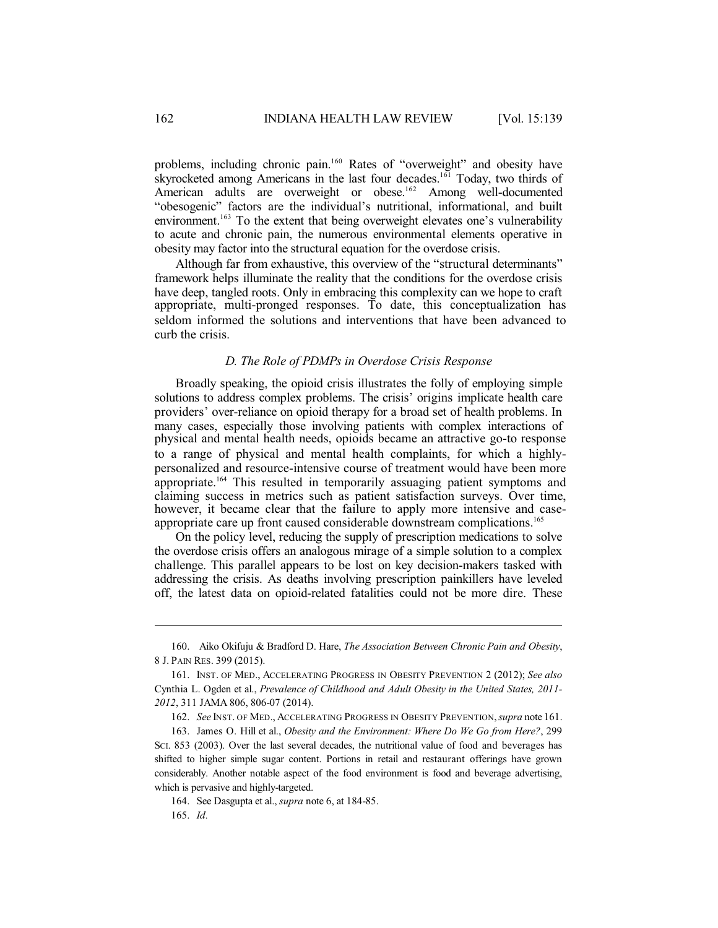problems, including chronic pain.<sup>160</sup> Rates of "overweight" and obesity have skyrocketed among Americans in the last four decades.<sup>161</sup> Today, two thirds of American adults are overweight or obese.<sup>162</sup> Among well-documented "obesogenic" factors are the individual's nutritional, informational, and built environment.<sup>163</sup> To the extent that being overweight elevates one's vulnerability to acute and chronic pain, the numerous environmental elements operative in obesity may factor into the structural equation for the overdose crisis.

Although far from exhaustive, this overview of the "structural determinants" framework helps illuminate the reality that the conditions for the overdose crisis have deep, tangled roots. Only in embracing this complexity can we hope to craft appropriate, multi-pronged responses. To date, this conceptualization has seldom informed the solutions and interventions that have been advanced to curb the crisis.

## *D. The Role of PDMPs in Overdose Crisis Response*

Broadly speaking, the opioid crisis illustrates the folly of employing simple solutions to address complex problems. The crisis' origins implicate health care providers' over-reliance on opioid therapy for a broad set of health problems. In many cases, especially those involving patients with complex interactions of physical and mental health needs, opioids became an attractive go-to response to a range of physical and mental health complaints, for which a highlypersonalized and resource-intensive course of treatment would have been more appropriate.<sup>164</sup> This resulted in temporarily assuaging patient symptoms and claiming success in metrics such as patient satisfaction surveys. Over time, however, it became clear that the failure to apply more intensive and caseappropriate care up front caused considerable downstream complications.<sup>165</sup>

On the policy level, reducing the supply of prescription medications to solve the overdose crisis offers an analogous mirage of a simple solution to a complex challenge. This parallel appears to be lost on key decision-makers tasked with addressing the crisis. As deaths involving prescription painkillers have leveled off, the latest data on opioid-related fatalities could not be more dire. These

<sup>160.</sup> Aiko Okifuju & Bradford D. Hare, *The Association Between Chronic Pain and Obesity*, 8 J. PAIN RES. 399 (2015).

<sup>161.</sup> INST. OF MED., ACCELERATING PROGRESS IN OBESITY PREVENTION 2 (2012); *See also* Cynthia L. Ogden et al., *Prevalence of Childhood and Adult Obesity in the United States, 2011- 2012*, 311 JAMA 806, 806-07 (2014).

<sup>162.</sup> *See* INST. OF MED., ACCELERATING PROGRESS IN OBESITY PREVENTION,*supra* note 161.

<sup>163.</sup> James O. Hill et al., *Obesity and the Environment: Where Do We Go from Here?*, 299 SCI. 853 (2003). Over the last several decades, the nutritional value of food and beverages has shifted to higher simple sugar content. Portions in retail and restaurant offerings have grown considerably. Another notable aspect of the food environment is food and beverage advertising, which is pervasive and highly-targeted.

<sup>164.</sup> See Dasgupta et al., *supra* note 6, at 184-85.

<sup>165.</sup> *Id.*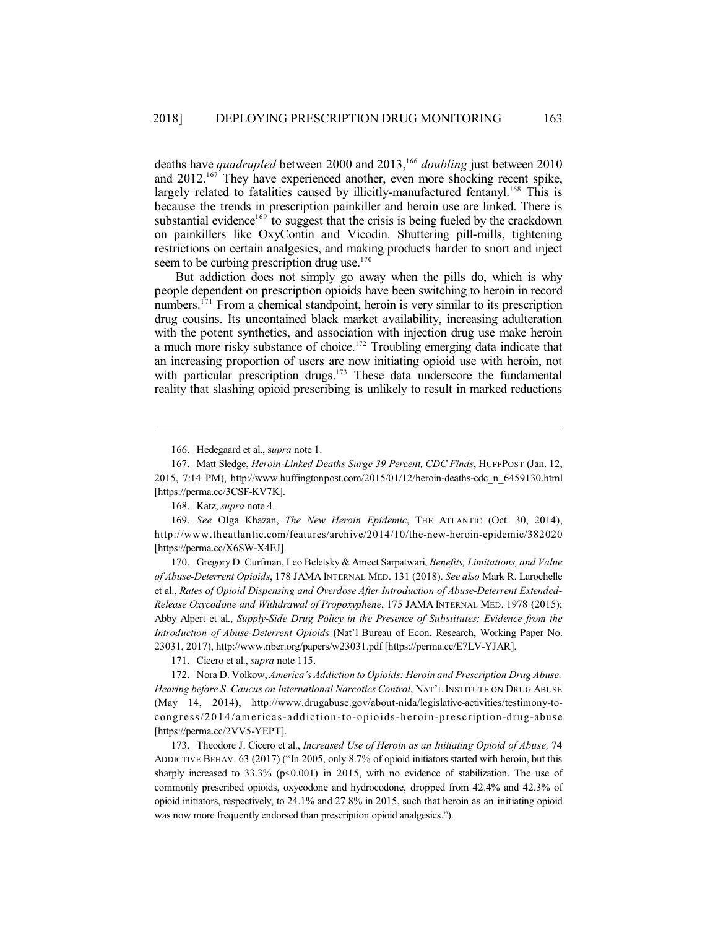deaths have *quadrupled* between 2000 and 2013,<sup>166</sup> doubling just between 2010 and 2012.<sup>167</sup> They have experienced another, even more shocking recent spike, largely related to fatalities caused by illicitly-manufactured fentanyl.<sup>168</sup> This is because the trends in prescription painkiller and heroin use are linked. There is substantial evidence<sup>169</sup> to suggest that the crisis is being fueled by the crackdown on painkillers like OxyContin and Vicodin. Shuttering pill-mills, tightening restrictions on certain analgesics, and making products harder to snort and inject seem to be curbing prescription drug use.<sup>170</sup>

But addiction does not simply go away when the pills do, which is why people dependent on prescription opioids have been switching to heroin in record numbers.<sup>171</sup> From a chemical standpoint, heroin is very similar to its prescription drug cousins. Its uncontained black market availability, increasing adulteration with the potent synthetics, and association with injection drug use make heroin a much more risky substance of choice. <sup>172</sup> Troubling emerging data indicate that an increasing proportion of users are now initiating opioid use with heroin, not with particular prescription drugs.<sup>173</sup> These data underscore the fundamental reality that slashing opioid prescribing is unlikely to result in marked reductions

170. Gregory D. Curfman, Leo Beletsky & Ameet Sarpatwari, *Benefits, Limitations, and Value of Abuse-Deterrent Opioids*, 178 JAMA INTERNAL MED. 131 (2018). *See also* Mark R. Larochelle et al., *Rates of Opioid Dispensing and Overdose After Introduction of Abuse-Deterrent Extended-Release Oxycodone and Withdrawal of Propoxyphene*, 175 JAMA INTERNAL MED. 1978 (2015); Abby Alpert et al., *Supply-Side Drug Policy in the Presence of Substitutes: Evidence from the Introduction of Abuse-Deterrent Opioids* (Nat'l Bureau of Econ. Research, Working Paper No. 23031, 2017), http://www.nber.org/papers/w23031.pdf [https://perma.cc/E7LV-YJAR].

171. Cicero et al., *supra* note 115.

172. Nora D. Volkow, *America's Addiction to Opioids: Heroin and Prescription Drug Abuse: Hearing before S. Caucus on International Narcotics Control*, NAT'L INSTITUTE ON DRUG ABUSE (May 14, 2014), http://www.drugabuse.gov/about-nida/legislative-activities/testimony-tocongress/2014/americas-addiction-to-opioids-heroin-prescription-drug-abuse [https://perma.cc/2VV5-YEPT].

173. Theodore J. Cicero et al., *Increased Use of Heroin as an Initiating Opioid of Abuse,* 74 ADDICTIVE BEHAV. 63 (2017) ("In 2005, only 8.7% of opioid initiators started with heroin, but this sharply increased to  $33.3\%$  (p<0.001) in 2015, with no evidence of stabilization. The use of commonly prescribed opioids, oxycodone and hydrocodone, dropped from 42.4% and 42.3% of opioid initiators, respectively, to 24.1% and 27.8% in 2015, such that heroin as an initiating opioid was now more frequently endorsed than prescription opioid analgesics.").

<sup>166.</sup> Hedegaard et al., s*upra* note 1.

<sup>167.</sup> Matt Sledge, *Heroin-Linked Deaths Surge 39 Percent, CDC Finds*, HUFFPOST (Jan. 12, 2015, 7:14 PM), http://www.huffingtonpost.com/2015/01/12/heroin-deaths-cdc\_n\_6459130.html [https://perma.cc/3CSF-KV7K].

<sup>168.</sup> Katz, *supra* note 4.

<sup>169.</sup> *See* Olga Khazan, *The New Heroin Epidemic*, THE ATLANTIC (Oct. 30, 2014), http://www.theatlantic.com/features/archive/2014/10/the-new-heroin-epidemic/382020 [https://perma.cc/X6SW-X4EJ].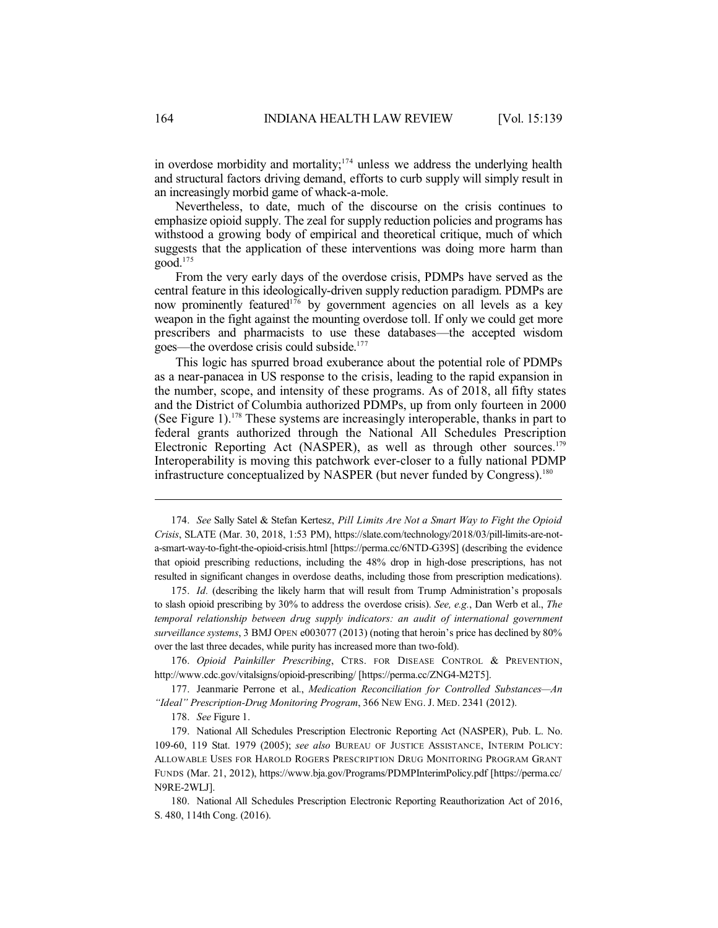in overdose morbidity and mortality; $174$  unless we address the underlying health and structural factors driving demand, efforts to curb supply will simply result in an increasingly morbid game of whack-a-mole.

Nevertheless, to date, much of the discourse on the crisis continues to emphasize opioid supply. The zeal for supply reduction policies and programs has withstood a growing body of empirical and theoretical critique, much of which suggests that the application of these interventions was doing more harm than good.<sup>175</sup>

From the very early days of the overdose crisis, PDMPs have served as the central feature in this ideologically-driven supply reduction paradigm. PDMPs are now prominently featured<sup>176</sup> by government agencies on all levels as a key weapon in the fight against the mounting overdose toll. If only we could get more prescribers and pharmacists to use these databases—the accepted wisdom goes—the overdose crisis could subside.<sup>177</sup>

This logic has spurred broad exuberance about the potential role of PDMPs as a near-panacea in US response to the crisis, leading to the rapid expansion in the number, scope, and intensity of these programs. As of 2018, all fifty states and the District of Columbia authorized PDMPs, up from only fourteen in 2000 (See Figure 1).<sup>178</sup> These systems are increasingly interoperable, thanks in part to federal grants authorized through the National All Schedules Prescription Electronic Reporting Act (NASPER), as well as through other sources.<sup>179</sup> Interoperability is moving this patchwork ever-closer to a fully national PDMP infrastructure conceptualized by NASPER (but never funded by Congress).<sup>180</sup>

175. *Id.* (describing the likely harm that will result from Trump Administration's proposals to slash opioid prescribing by 30% to address the overdose crisis). *See, e.g.*, Dan Werb et al., *The temporal relationship between drug supply indicators: an audit of international government surveillance systems*, 3 BMJ OPEN e003077 (2013) (noting that heroin's price has declined by 80% over the last three decades, while purity has increased more than two-fold).

176. *Opioid Painkiller Prescribing*, CTRS. FOR DISEASE CONTROL & PREVENTION, http://www.cdc.gov/vitalsigns/opioid-prescribing/ [https://perma.cc/ZNG4-M2T5].

177. Jeanmarie Perrone et al., *Medication Reconciliation for Controlled Substances—An "Ideal" Prescription-Drug Monitoring Program*, 366 NEW ENG. J. MED. 2341 (2012).

178. *See* Figure 1.

179. National All Schedules Prescription Electronic Reporting Act (NASPER), Pub. L. No. 109-60, 119 Stat. 1979 (2005); *see also* BUREAU OF JUSTICE ASSISTANCE, INTERIM POLICY: ALLOWABLE USES FOR HAROLD ROGERS PRESCRIPTION DRUG MONITORING PROGRAM GRANT FUNDS (Mar. 21, 2012), https://www.bja.gov/Programs/PDMPInterimPolicy.pdf [https://perma.cc/ N9RE-2WLJ].

180. National All Schedules Prescription Electronic Reporting Reauthorization Act of 2016, S. 480, 114th Cong. (2016).

<sup>174.</sup> *See* Sally Satel & Stefan Kertesz, *Pill Limits Are Not a Smart Way to Fight the Opioid Crisis*, SLATE (Mar. 30, 2018, 1:53 PM), https://slate.com/technology/2018/03/pill-limits-are-nota-smart-way-to-fight-the-opioid-crisis.html [https://perma.cc/6NTD-G39S] (describing the evidence that opioid prescribing reductions, including the 48% drop in high-dose prescriptions, has not resulted in significant changes in overdose deaths, including those from prescription medications).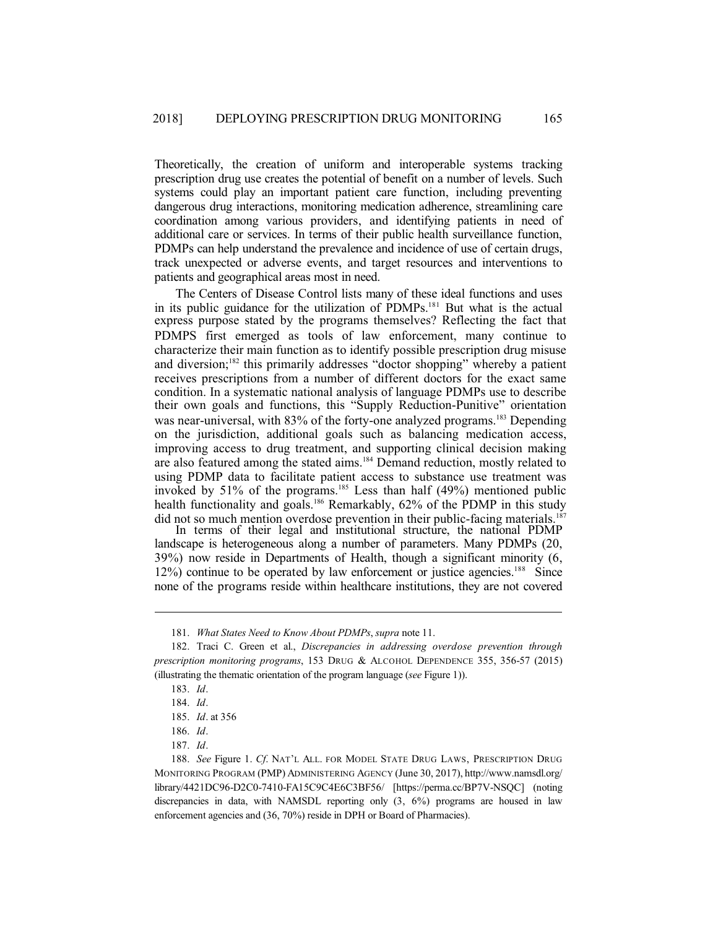Theoretically, the creation of uniform and interoperable systems tracking prescription drug use creates the potential of benefit on a number of levels. Such systems could play an important patient care function, including preventing dangerous drug interactions, monitoring medication adherence, streamlining care coordination among various providers, and identifying patients in need of additional care or services. In terms of their public health surveillance function, PDMPs can help understand the prevalence and incidence of use of certain drugs, track unexpected or adverse events, and target resources and interventions to patients and geographical areas most in need.

The Centers of Disease Control lists many of these ideal functions and uses in its public guidance for the utilization of PDMPs.<sup>181</sup> But what is the actual express purpose stated by the programs themselves? Reflecting the fact that PDMPS first emerged as tools of law enforcement, many continue to characterize their main function as to identify possible prescription drug misuse and diversion;<sup>182</sup> this primarily addresses "doctor shopping" whereby a patient receives prescriptions from a number of different doctors for the exact same condition. In a systematic national analysis of language PDMPs use to describe their own goals and functions, this "Supply Reduction-Punitive" orientation was near-universal, with 83% of the forty-one analyzed programs.<sup>183</sup> Depending on the jurisdiction, additional goals such as balancing medication access, improving access to drug treatment, and supporting clinical decision making are also featured among the stated aims.<sup>184</sup> Demand reduction, mostly related to using PDMP data to facilitate patient access to substance use treatment was invoked by 51% of the programs.<sup>185</sup> Less than half  $(49%)$  mentioned public health functionality and goals.<sup>186</sup> Remarkably, 62% of the PDMP in this study did not so much mention overdose prevention in their public-facing materials.<sup>187</sup>

In terms of their legal and institutional structure, the national PDMP landscape is heterogeneous along a number of parameters. Many PDMPs (20, 39%) now reside in Departments of Health, though a significant minority (6, 12%) continue to be operated by law enforcement or justice agencies.<sup>188</sup> Since none of the programs reside within healthcare institutions, they are not covered

<sup>181.</sup> *What States Need to Know About PDMPs*, *supra* note 11.

<sup>182.</sup> Traci C. Green et al., *Discrepancies in addressing overdose prevention through prescription monitoring programs*, 153 DRUG & ALCOHOL DEPENDENCE 355, 356-57 (2015) (illustrating the thematic orientation of the program language (*see* Figure 1)).

<sup>183.</sup> *Id*.

<sup>184.</sup> *Id*.

<sup>185.</sup> *Id*. at 356

<sup>186.</sup> *Id*.

<sup>187.</sup> *Id*.

<sup>188.</sup> *See* Figure 1. *Cf*. NAT'L ALL. FOR MODEL STATE DRUG LAWS, PRESCRIPTION DRUG MONITORING PROGRAM (PMP) ADMINISTERING AGENCY (June 30, 2017), http://www.namsdl.org/ library/4421DC96-D2C0-7410-FA15C9C4E6C3BF56/ [https://perma.cc/BP7V-NSQC] (noting discrepancies in data, with NAMSDL reporting only (3, 6%) programs are housed in law enforcement agencies and (36, 70%) reside in DPH or Board of Pharmacies).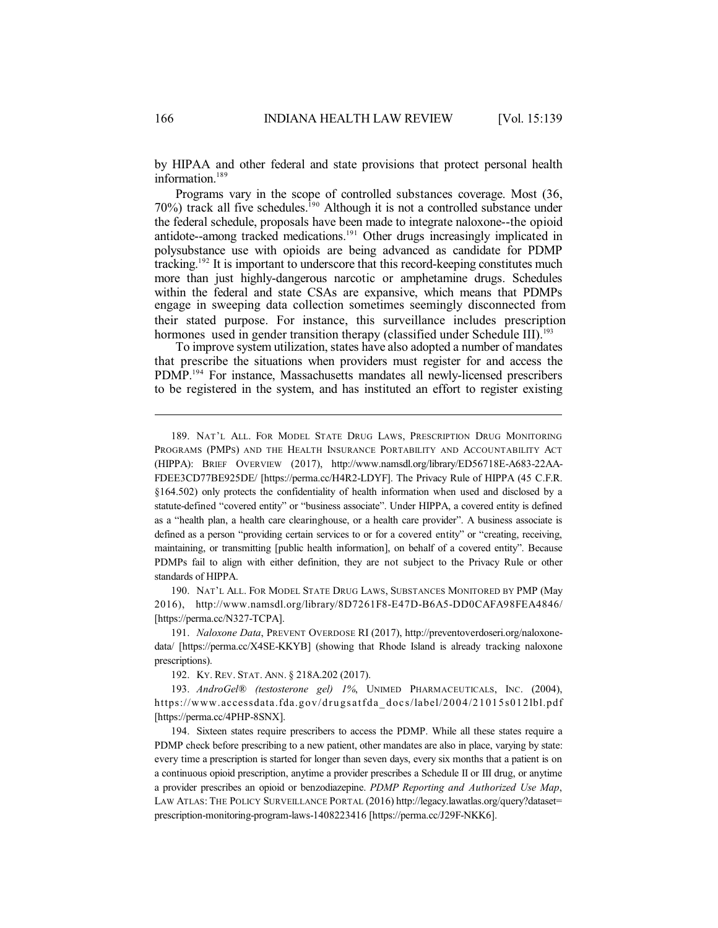by HIPAA and other federal and state provisions that protect personal health information.<sup>189</sup>

Programs vary in the scope of controlled substances coverage. Most (36, 70%) track all five schedules.<sup>190</sup> Although it is not a controlled substance under the federal schedule, proposals have been made to integrate naloxone--the opioid antidote--among tracked medications.<sup>191</sup> Other drugs increasingly implicated in polysubstance use with opioids are being advanced as candidate for PDMP tracking.<sup>192</sup> It is important to underscore that this record-keeping constitutes much more than just highly-dangerous narcotic or amphetamine drugs. Schedules within the federal and state CSAs are expansive, which means that PDMPs engage in sweeping data collection sometimes seemingly disconnected from their stated purpose. For instance, this surveillance includes prescription hormones used in gender transition therapy (classified under Schedule III).<sup>193</sup>

To improve system utilization, states have also adopted a number of mandates that prescribe the situations when providers must register for and access the PDMP.<sup>194</sup> For instance, Massachusetts mandates all newly-licensed prescribers to be registered in the system, and has instituted an effort to register existing

190. NAT'L ALL. FOR MODEL STATE DRUG LAWS, SUBSTANCES MONITORED BY PMP (May 2016), http://www.namsdl.org/library/8D7261F8-E47D-B6A5-DD0CAFA98FEA4846/ [https://perma.cc/N327-TCPA].

191. *Naloxone Data*, PREVENT OVERDOSE RI (2017), http://preventoverdoseri.org/naloxonedata/ [https://perma.cc/X4SE-KKYB] (showing that Rhode Island is already tracking naloxone prescriptions).

192. KY. REV. STAT. ANN. § 218A.202 (2017).

193. *AndroGel® (testosterone gel) 1%*, UNIMED PHARMACEUTICALS, INC. (2004), https://www.accessdata.fda.gov/dru gsatfda\_ docs/label/2004/21015s012lbl.pdf [https://perma.cc/4PHP-8SNX].

194. Sixteen states require prescribers to access the PDMP. While all these states require a PDMP check before prescribing to a new patient, other mandates are also in place, varying by state: every time a prescription is started for longer than seven days, every six months that a patient is on a continuous opioid prescription, anytime a provider prescribes a Schedule II or III drug, or anytime a provider prescribes an opioid or benzodiazepine. *PDMP Reporting and Authorized Use Map*, LAW ATLAS: THE POLICY SURVEILLANCE PORTAL (2016) http://legacy.lawatlas.org/query?dataset= prescription-monitoring-program-laws-1408223416 [https://perma.cc/J29F-NKK6].

<sup>189.</sup> NAT'L ALL. FOR MODEL STATE DRUG LAWS, PRESCRIPTION DRUG MONITORING PROGRAMS (PMPS) AND THE HEALTH INSURANCE PORTABILITY AND ACCOUNTABILITY ACT (HIPPA): BRIEF OVERVIEW (2017), http://www.namsdl.org/library/ED56718E-A683-22AA-FDEE3CD77BE925DE/ [https://perma.cc/H4R2-LDYF]. The Privacy Rule of HIPPA (45 C.F.R. §164.502) only protects the confidentiality of health information when used and disclosed by a statute-defined "covered entity" or "business associate". Under HIPPA, a covered entity is defined as a "health plan, a health care clearinghouse, or a health care provider". A business associate is defined as a person "providing certain services to or for a covered entity" or "creating, receiving, maintaining, or transmitting [public health information], on behalf of a covered entity". Because PDMPs fail to align with either definition, they are not subject to the Privacy Rule or other standards of HIPPA.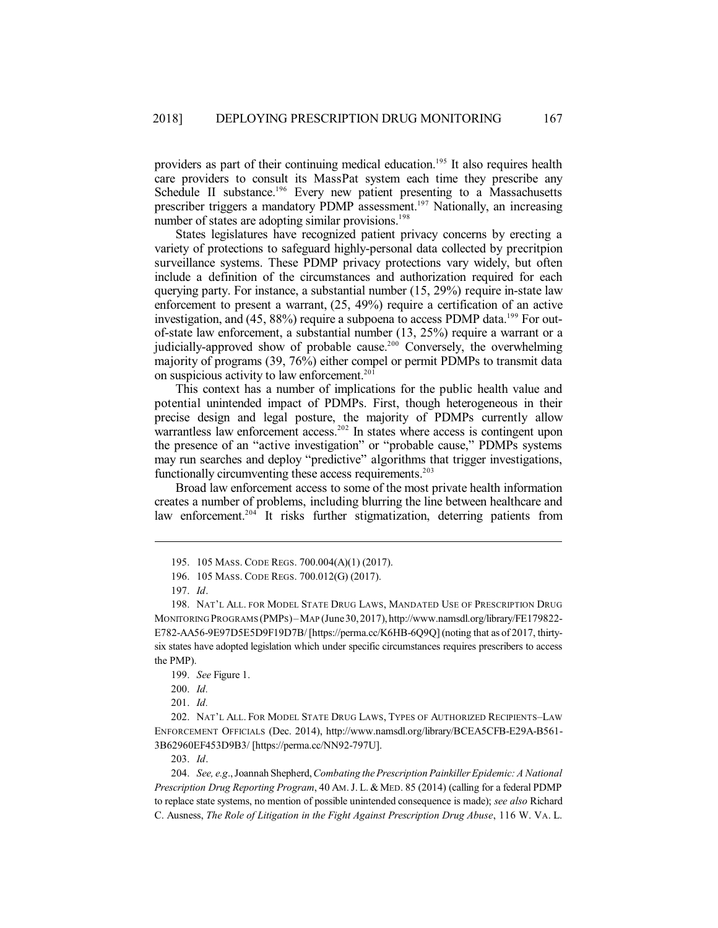providers as part of their continuing medical education.<sup>195</sup> It also requires health care providers to consult its MassPat system each time they prescribe any Schedule II substance.<sup>196</sup> Every new patient presenting to a Massachusetts prescriber triggers a mandatory PDMP assessment. <sup>197</sup> Nationally, an increasing number of states are adopting similar provisions.<sup>198</sup>

States legislatures have recognized patient privacy concerns by erecting a variety of protections to safeguard highly-personal data collected by precritpion surveillance systems. These PDMP privacy protections vary widely, but often include a definition of the circumstances and authorization required for each querying party. For instance, a substantial number (15, 29%) require in-state law enforcement to present a warrant, (25, 49%) require a certification of an active investigation, and (45, 88%) require a subpoena to access PDMP data.<sup>199</sup> For outof-state law enforcement, a substantial number (13, 25%) require a warrant or a judicially-approved show of probable cause.<sup>200</sup> Conversely, the overwhelming majority of programs (39, 76%) either compel or permit PDMPs to transmit data on suspicious activity to law enforcement. 201

This context has a number of implications for the public health value and potential unintended impact of PDMPs. First, though heterogeneous in their precise design and legal posture, the majority of PDMPs currently allow warrantless law enforcement access.<sup>202</sup> In states where access is contingent upon the presence of an "active investigation" or "probable cause," PDMPs systems may run searches and deploy "predictive" algorithms that trigger investigations, functionally circumventing these access requirements.<sup>203</sup>

Broad law enforcement access to some of the most private health information creates a number of problems, including blurring the line between healthcare and law enforcement.<sup>204</sup> It risks further stigmatization, deterring patients from

199. *See* Figure 1.

201. *Id.*

202. NAT'L ALL. FOR MODEL STATE DRUG LAWS, TYPES OF AUTHORIZED RECIPIENTS–LAW ENFORCEMENT OFFICIALS (Dec. 2014), http://www.namsdl.org/library/BCEA5CFB-E29A-B561- 3B62960EF453D9B3/ [https://perma.cc/NN92-797U].

203. *Id*.

204. *See, e.g*.,Joannah Shepherd,*Combating thePrescription PainkillerEpidemic: A National Prescription Drug Reporting Program*, 40 AM.J. L. & MED. 85 (2014) (calling for a federal PDMP to replace state systems, no mention of possible unintended consequence is made); *see also* Richard C. Ausness, *The Role of Litigation in the Fight Against Prescription Drug Abuse*, 116 W. VA. L.

<sup>195.</sup> 105 MASS. CODE REGS. 700.004(A)(1) (2017).

<sup>196.</sup> 105 MASS. CODE REGS. 700.012(G) (2017).

<sup>197.</sup> *Id*.

<sup>198.</sup> NAT'L ALL. FOR MODEL STATE DRUG LAWS, MANDATED USE OF PRESCRIPTION DRUG MONITORING PROGRAMS (PMPS)–MAP (June30,2017),http://www.namsdl.org/library/FE179822- E782-AA56-9E97D5E5D9F19D7B/ [https://perma.cc/K6HB-6Q9Q](noting that as of 2017, thirtysix states have adopted legislation which under specific circumstances requires prescribers to access the PMP).

<sup>200.</sup> *Id.*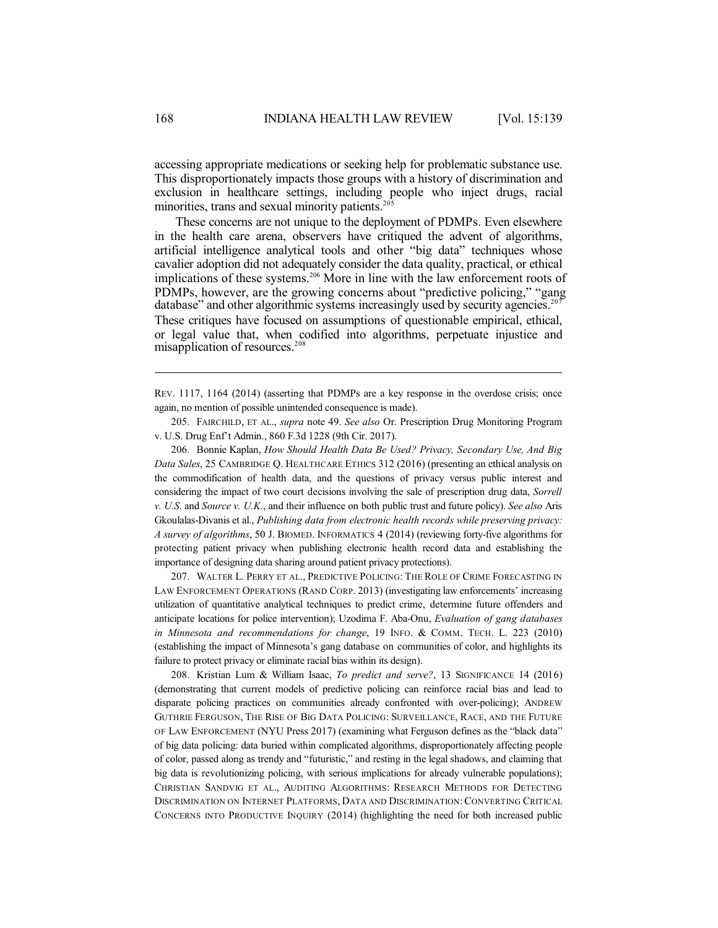accessing appropriate medications or seeking help for problematic substance use. This disproportionately impacts those groups with a history of discrimination and exclusion in healthcare settings, including people who inject drugs, racial minorities, trans and sexual minority patients.<sup>205</sup>

These concerns are not unique to the deployment of PDMPs. Even elsewhere in the health care arena, observers have critiqued the advent of algorithms, artificial intelligence analytical tools and other "big data" techniques whose cavalier adoption did not adequately consider the data quality, practical, or ethical implications of these systems.<sup>206</sup> More in line with the law enforcement roots of PDMPs, however, are the growing concerns about "predictive policing," "gang database" and other algorithmic systems increasingly used by security agencies.<sup>207</sup> These critiques have focused on assumptions of questionable empirical, ethical, or legal value that, when codified into algorithms, perpetuate injustice and misapplication of resources.<sup>208</sup>

REV. 1117, 1164 (2014) (asserting that PDMPs are a key response in the overdose crisis; once again, no mention of possible unintended consequence is made).

205. FAIRCHILD, ET AL., *supra* note 49. *See also* Or. Prescription Drug Monitoring Program v. U.S. Drug Enf't Admin., 860 F.3d 1228 (9th Cir. 2017).

206. Bonnie Kaplan, *How Should Health Data Be Used? Privacy, Secondary Use, And Big Data Sales*, 25 CAMBRIDGE Q. HEALTHCARE ETHICS 312 (2016) (presenting an ethical analysis on the commodification of health data, and the questions of privacy versus public interest and considering the impact of two court decisions involving the sale of prescription drug data, *Sorrell v. U.S.* and *Source v. U.K.*, and their influence on both public trust and future policy). *See also* Aris Gkoulalas-Divanis et al., *Publishing data from electronic health records while preserving privacy: A survey of algorithms*, 50 J. BIOMED. INFORMATICS 4 (2014) (reviewing forty-five algorithms for protecting patient privacy when publishing electronic health record data and establishing the importance of designing data sharing around patient privacy protections).

207. WALTER L. PERRY ET AL., PREDICTIVE POLICING: THE ROLE OF CRIME FORECASTING IN LAW ENFORCEMENT OPERATIONS (RAND CORP. 2013) (investigating law enforcements' increasing utilization of quantitative analytical techniques to predict crime, determine future offenders and anticipate locations for police intervention); Uzodima F. Aba-Onu, *Evaluation of gang databases in Minnesota and recommendations for change*, 19 INFO. & COMM. TECH. L. 223 (2010) (establishing the impact of Minnesota's gang database on communities of color, and highlights its failure to protect privacy or eliminate racial bias within its design).

208. Kristian Lum & William Isaac, *To predict and serve?*, 13 SIGNIFICANCE 14 (2016) (demonstrating that current models of predictive policing can reinforce racial bias and lead to disparate policing practices on communities already confronted with over-policing); ANDREW GUTHRIE FERGUSON, THE RISE OF BIG DATA POLICING: SURVEILLANCE, RACE, AND THE FUTURE OF LAW ENFORCEMENT (NYU Press 2017) (examining what Ferguson defines as the "black data" of big data policing: data buried within complicated algorithms, disproportionately affecting people of color, passed along as trendy and "futuristic," and resting in the legal shadows, and claiming that big data is revolutionizing policing, with serious implications for already vulnerable populations); CHRISTIAN SANDVIG ET AL., AUDITING ALGORITHMS: RESEARCH METHODS FOR DETECTING DISCRIMINATION ON INTERNET PLATFORMS, DATA AND DISCRIMINATION:CONVERTING CRITICAL CONCERNS INTO PRODUCTIVE INQUIRY (2014) (highlighting the need for both increased public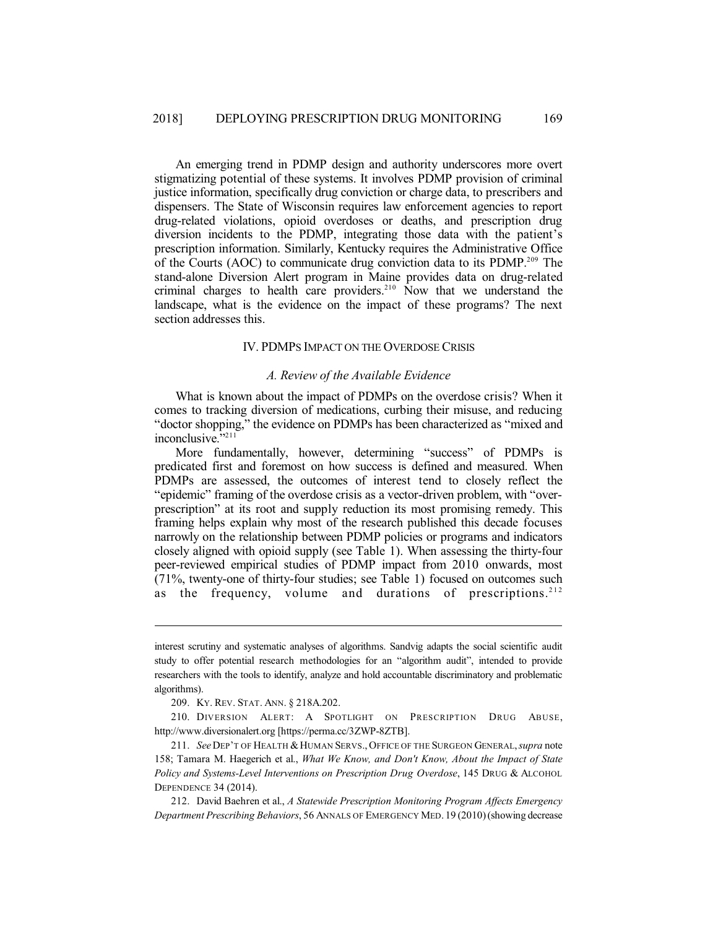An emerging trend in PDMP design and authority underscores more overt stigmatizing potential of these systems. It involves PDMP provision of criminal justice information, specifically drug conviction or charge data, to prescribers and dispensers. The State of Wisconsin requires law enforcement agencies to report drug-related violations, opioid overdoses or deaths, and prescription drug diversion incidents to the PDMP, integrating those data with the patient's prescription information. Similarly, Kentucky requires the Administrative Office of the Courts (AOC) to communicate drug conviction data to its PDMP.<sup>209</sup> The stand-alone Diversion Alert program in Maine provides data on drug-related criminal charges to health care providers.<sup>210</sup> Now that we understand the landscape, what is the evidence on the impact of these programs? The next section addresses this.

## IV. PDMPS IMPACT ON THE OVERDOSE CRISIS

#### *A. Review of the Available Evidence*

What is known about the impact of PDMPs on the overdose crisis? When it comes to tracking diversion of medications, curbing their misuse, and reducing "doctor shopping," the evidence on PDMPs has been characterized as "mixed and inconclusive."<sup>211</sup>

More fundamentally, however, determining "success" of PDMPs is predicated first and foremost on how success is defined and measured. When PDMPs are assessed, the outcomes of interest tend to closely reflect the "epidemic" framing of the overdose crisis as a vector-driven problem, with "overprescription" at its root and supply reduction its most promising remedy. This framing helps explain why most of the research published this decade focuses narrowly on the relationship between PDMP policies or programs and indicators closely aligned with opioid supply (see Table 1). When assessing the thirty-four peer-reviewed empirical studies of PDMP impact from 2010 onwards, most (71%, twenty-one of thirty-four studies; see Table 1) focused on outcomes such as the frequency, volume and durations of prescriptions.<sup>212</sup>

interest scrutiny and systematic analyses of algorithms. Sandvig adapts the social scientific audit study to offer potential research methodologies for an "algorithm audit", intended to provide researchers with the tools to identify, analyze and hold accountable discriminatory and problematic algorithms).

<sup>209.</sup> KY. REV. STAT. ANN. § 218A.202.

<sup>210.</sup> DIVERSION ALERT: A SPOTLIGHT ON PRESCRIPTION DRUG ABUSE, http://www.diversionalert.org [https://perma.cc/3ZWP-8ZTB].

<sup>211.</sup> *See* DEP'T OF HEALTH &HUMAN SERVS., OFFICE OF THE SURGEON GENERAL,*supra* note 158; Tamara M. Haegerich et al., *What We Know, and Don't Know, About the Impact of State Policy and Systems-Level Interventions on Prescription Drug Overdose*, 145 DRUG & ALCOHOL DEPENDENCE 34 (2014).

<sup>212.</sup> David Baehren et al., *A Statewide Prescription Monitoring Program Affects Emergency Department Prescribing Behaviors*, 56 ANNALS OF EMERGENCY MED.19 (2010)(showing decrease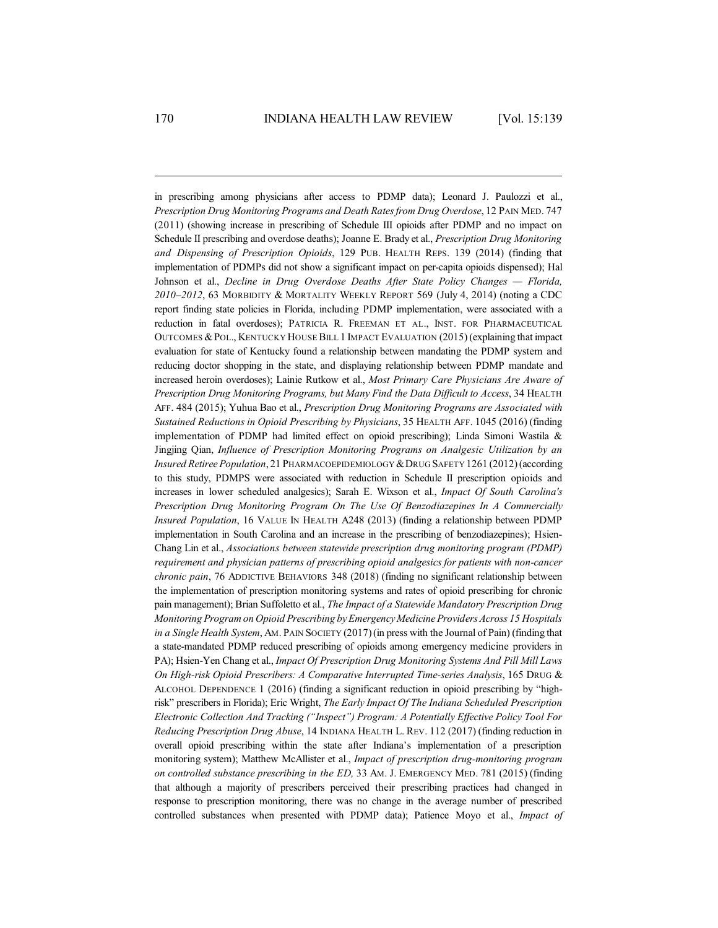in prescribing among physicians after access to PDMP data); Leonard J. Paulozzi et al., *Prescription Drug Monitoring Programs and Death Ratesfrom Drug Overdose*, 12 PAIN MED. 747 (2011) (showing increase in prescribing of Schedule III opioids after PDMP and no impact on Schedule II prescribing and overdose deaths); Joanne E. Brady et al., *Prescription Drug Monitoring and Dispensing of Prescription Opioids*, 129 PUB. HEALTH REPS. 139 (2014) (finding that implementation of PDMPs did not show a significant impact on per-capita opioids dispensed); Hal Johnson et al., *Decline in Drug Overdose Deaths After State Policy Changes — Florida, 2010–2012*, 63 MORBIDITY & MORTALITY WEEKLY REPORT 569 (July 4, 2014) (noting a CDC report finding state policies in Florida, including PDMP implementation, were associated with a reduction in fatal overdoses); PATRICIA R. FREEMAN ET AL., INST. FOR PHARMACEUTICAL OUTCOMES &POL., KENTUCKY HOUSE BILL 1 IMPACT EVALUATION (2015) (explaining that impact evaluation for state of Kentucky found a relationship between mandating the PDMP system and reducing doctor shopping in the state, and displaying relationship between PDMP mandate and increased heroin overdoses); Lainie Rutkow et al., *Most Primary Care Physicians Are Aware of Prescription Drug Monitoring Programs, but Many Find the Data Difficult to Access*, 34 HEALTH AFF. 484 (2015); Yuhua Bao et al., *Prescription Drug Monitoring Programs are Associated with Sustained Reductions in Opioid Prescribing by Physicians*, 35 HEALTH AFF. 1045 (2016) (finding implementation of PDMP had limited effect on opioid prescribing); Linda Simoni Wastila & Jingjing Qian, *Influence of Prescription Monitoring Programs on Analgesic Utilization by an Insured RetireePopulation*, 21 PHARMACOEPIDEMIOLOGY &DRUG SAFETY 1261 (2012)(according to this study, PDMPS were associated with reduction in Schedule II prescription opioids and increases in lower scheduled analgesics); Sarah E. Wixson et al., *Impact Of South Carolina's Prescription Drug Monitoring Program On The Use Of Benzodiazepines In A Commercially Insured Population*, 16 VALUE IN HEALTH A248 (2013) (finding a relationship between PDMP implementation in South Carolina and an increase in the prescribing of benzodiazepines); Hsien-Chang Lin et al., *Associations between statewide prescription drug monitoring program (PDMP) requirement and physician patterns of prescribing opioid analgesics for patients with non-cancer chronic pain*, 76 ADDICTIVE BEHAVIORS 348 (2018) (finding no significant relationship between the implementation of prescription monitoring systems and rates of opioid prescribing for chronic pain management); Brian Suffoletto et al., *The Impact of a Statewide Mandatory Prescription Drug Monitoring Program on Opioid Prescribing byEmergencyMedicineProvidersAcross 15 Hospitals in a Single Health System*, AM. PAIN SOCIETY (2017)(in press with the Journal of Pain) (finding that a state-mandated PDMP reduced prescribing of opioids among emergency medicine providers in PA); Hsien-Yen Chang et al., *Impact Of Prescription Drug Monitoring Systems And Pill Mill Laws On High-risk Opioid Prescribers: A Comparative Interrupted Time-series Analysis*, 165 DRUG & ALCOHOL DEPENDENCE 1 (2016) (finding a significant reduction in opioid prescribing by "highrisk" prescribers in Florida); Eric Wright, *The Early Impact Of The Indiana Scheduled Prescription Electronic Collection And Tracking ("Inspect") Program: A Potentially Effective Policy Tool For Reducing Prescription Drug Abuse*, 14 INDIANA HEALTH L. REV. 112 (2017) (finding reduction in overall opioid prescribing within the state after Indiana's implementation of a prescription monitoring system); Matthew McAllister et al., *Impact of prescription drug-monitoring program on controlled substance prescribing in the ED,* 33 AM. J. EMERGENCY MED. 781 (2015) (finding that although a majority of prescribers perceived their prescribing practices had changed in response to prescription monitoring, there was no change in the average number of prescribed controlled substances when presented with PDMP data); Patience Moyo et al., *Impact of*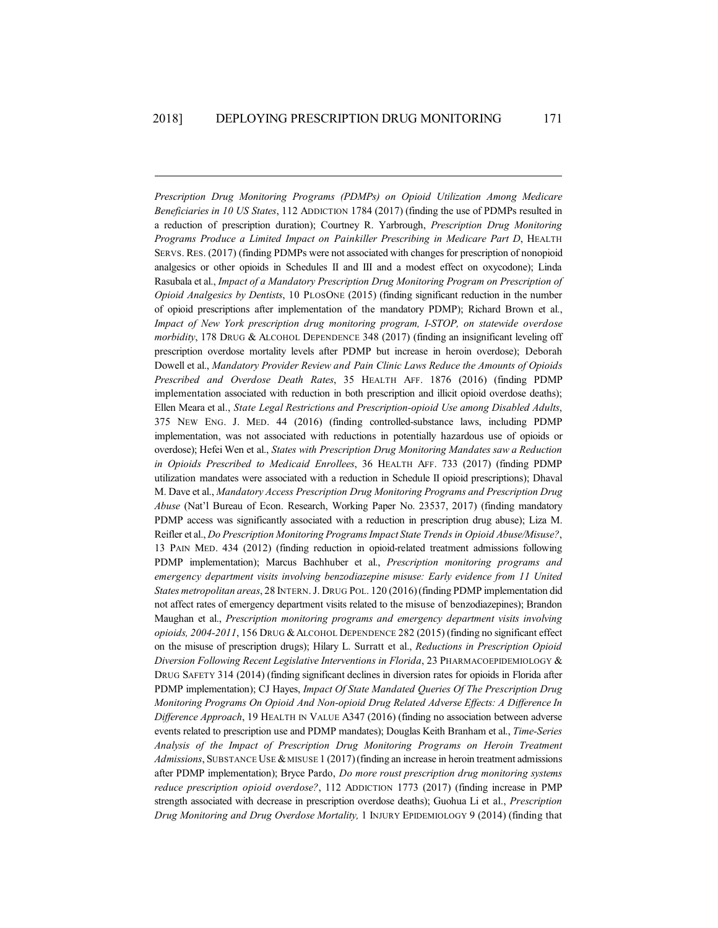*Prescription Drug Monitoring Programs (PDMPs) on Opioid Utilization Among Medicare Beneficiaries in 10 US States*, 112 ADDICTION 1784 (2017) (finding the use of PDMPs resulted in a reduction of prescription duration); Courtney R. Yarbrough, *Prescription Drug Monitoring Programs Produce a Limited Impact on Painkiller Prescribing in Medicare Part D*, HEALTH SERVS. RES. (2017) (finding PDMPs were not associated with changes for prescription of nonopioid analgesics or other opioids in Schedules II and III and a modest effect on oxycodone); Linda Rasubala et al., *Impact of a Mandatory Prescription Drug Monitoring Program on Prescription of Opioid Analgesics by Dentists*, 10 PLOSONE (2015) (finding significant reduction in the number of opioid prescriptions after implementation of the mandatory PDMP); Richard Brown et al., *Impact of New York prescription drug monitoring program, I-STOP, on statewide overdose morbidity*, 178 DRUG & ALCOHOL DEPENDENCE 348 (2017) (finding an insignificant leveling off prescription overdose mortality levels after PDMP but increase in heroin overdose); Deborah Dowell et al., *Mandatory Provider Review and Pain Clinic Laws Reduce the Amounts of Opioids Prescribed and Overdose Death Rates*, 35 HEALTH AFF. 1876 (2016) (finding PDMP implementation associated with reduction in both prescription and illicit opioid overdose deaths); Ellen Meara et al., *State Legal Restrictions and Prescription-opioid Use among Disabled Adults*, 375 NEW ENG. J. MED. 44 (2016) (finding controlled-substance laws, including PDMP implementation, was not associated with reductions in potentially hazardous use of opioids or overdose); Hefei Wen et al., *States with Prescription Drug Monitoring Mandates saw a Reduction in Opioids Prescribed to Medicaid Enrollees*, 36 HEALTH AFF. 733 (2017) (finding PDMP utilization mandates were associated with a reduction in Schedule II opioid prescriptions); Dhaval M. Dave et al., *Mandatory Access Prescription Drug Monitoring Programs and Prescription Drug Abuse* (Nat'l Bureau of Econ. Research, Working Paper No. 23537, 2017) (finding mandatory PDMP access was significantly associated with a reduction in prescription drug abuse); Liza M. Reifler et al., *Do Prescription Monitoring ProgramsImpact State Trends in Opioid Abuse/Misuse?*, 13 PAIN MED. 434 (2012) (finding reduction in opioid-related treatment admissions following PDMP implementation); Marcus Bachhuber et al., *Prescription monitoring programs and emergency department visits involving benzodiazepine misuse: Early evidence from 11 United States metropolitan areas*, 28 INTERN.J. DRUG POL. 120 (2016)(finding PDMP implementation did not affect rates of emergency department visits related to the misuse of benzodiazepines); Brandon Maughan et al., *Prescription monitoring programs and emergency department visits involving opioids, 2004-2011*, 156 DRUG &ALCOHOL DEPENDENCE 282 (2015) (finding no significant effect on the misuse of prescription drugs); Hilary L. Surratt et al., *Reductions in Prescription Opioid Diversion Following Recent Legislative Interventions in Florida*, 23 PHARMACOEPIDEMIOLOGY & DRUG SAFETY 314 (2014) (finding significant declines in diversion rates for opioids in Florida after PDMP implementation); CJ Hayes, *Impact Of State Mandated Queries Of The Prescription Drug Monitoring Programs On Opioid And Non-opioid Drug Related Adverse Effects: A Difference In Difference Approach*, 19 HEALTH IN VALUE A347 (2016) (finding no association between adverse events related to prescription use and PDMP mandates); Douglas Keith Branham et al., *Time-Series Analysis of the Impact of Prescription Drug Monitoring Programs on Heroin Treatment Admissions*, SUBSTANCE USE & MISUSE 1 (2017)(finding an increase in heroin treatment admissions after PDMP implementation); Bryce Pardo, *Do more roust prescription drug monitoring systems reduce prescription opioid overdose?*, 112 ADDICTION 1773 (2017) (finding increase in PMP strength associated with decrease in prescription overdose deaths); Guohua Li et al., *Prescription Drug Monitoring and Drug Overdose Mortality,* 1 INJURY EPIDEMIOLOGY 9 (2014) (finding that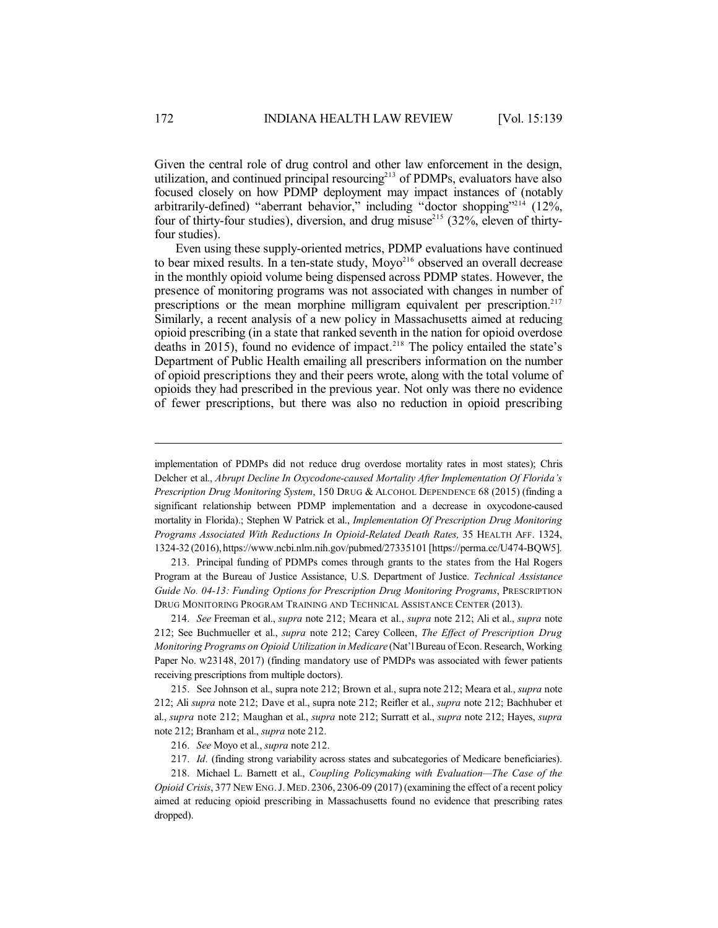Given the central role of drug control and other law enforcement in the design, utilization, and continued principal resourcing 213 of PDMPs, evaluators have also focused closely on how PDMP deployment may impact instances of (notably arbitrarily-defined) "aberrant behavior," including "doctor shopping"<sup>214</sup> (12%, four of thirty-four studies), diversion, and drug misuse<sup>215</sup> (32%, eleven of thirtyfour studies).

Even using these supply-oriented metrics, PDMP evaluations have continued to bear mixed results. In a ten-state study, Moyo<sup>216</sup> observed an overall decrease in the monthly opioid volume being dispensed across PDMP states. However, the presence of monitoring programs was not associated with changes in number of prescriptions or the mean morphine milligram equivalent per prescription.<sup>217</sup> Similarly, a recent analysis of a new policy in Massachusetts aimed at reducing opioid prescribing (in a state that ranked seventh in the nation for opioid overdose deaths in 2015), found no evidence of impact. <sup>218</sup> The policy entailed the state's Department of Public Health emailing all prescribers information on the number of opioid prescriptions they and their peers wrote, along with the total volume of opioids they had prescribed in the previous year. Not only was there no evidence of fewer prescriptions, but there was also no reduction in opioid prescribing

213. Principal funding of PDMPs comes through grants to the states from the Hal Rogers Program at the Bureau of Justice Assistance, U.S. Department of Justice. *Technical Assistance Guide No. 04-13: Funding Options for Prescription Drug Monitoring Programs*, PRESCRIPTION DRUG MONITORING PROGRAM TRAINING AND TECHNICAL ASSISTANCE CENTER (2013).

214. *See* Freeman et al., *supra* note 212; Meara et al., *supra* note 212; Ali et al., *supra* note 212; See Buchmueller et al., *supra* note 212; Carey Colleen, *The Effect of Prescription Drug Monitoring Programs on Opioid Utilization in Medicare* (Nat'lBureau of Econ. Research, Working Paper No. W23148, 2017) (finding mandatory use of PMDPs was associated with fewer patients receiving prescriptions from multiple doctors).

215. See Johnson et al., supra note 212; Brown et al., supra note 212; Meara et al., *supra* note 212; Ali *supra* note 212; Dave et al., supra note 212; Reifler et al., *supra* note 212; Bachhuber et al., *supra* note 212; Maughan et al., *supra* note 212; Surratt et al., *supra* note 212; Hayes, *supra* note 212; Branham et al., *supra* note 212.

216. *See* Moyo et al., *supra* note 212.

217. *Id.* (finding strong variability across states and subcategories of Medicare beneficiaries).

218. Michael L. Barnett et al., *Coupling Policymaking with Evaluation—The Case of the Opioid Crisis*, 377 NEW ENG.J.MED. 2306, 2306-09 (2017) (examining the effect of a recent policy aimed at reducing opioid prescribing in Massachusetts found no evidence that prescribing rates dropped).

implementation of PDMPs did not reduce drug overdose mortality rates in most states); Chris Delcher et al., *Abrupt Decline In Oxycodone-caused Mortality After Implementation Of Florida's Prescription Drug Monitoring System*, 150 DRUG & ALCOHOL DEPENDENCE 68 (2015) (finding a significant relationship between PDMP implementation and a decrease in oxycodone-caused mortality in Florida).; Stephen W Patrick et al., *Implementation Of Prescription Drug Monitoring Programs Associated With Reductions In Opioid-Related Death Rates,* 35 HEALTH AFF. 1324, 1324-32 (2016),https://www.ncbi.nlm.nih.gov/pubmed/27335101 [https://perma.cc/U474-BQW5]*.*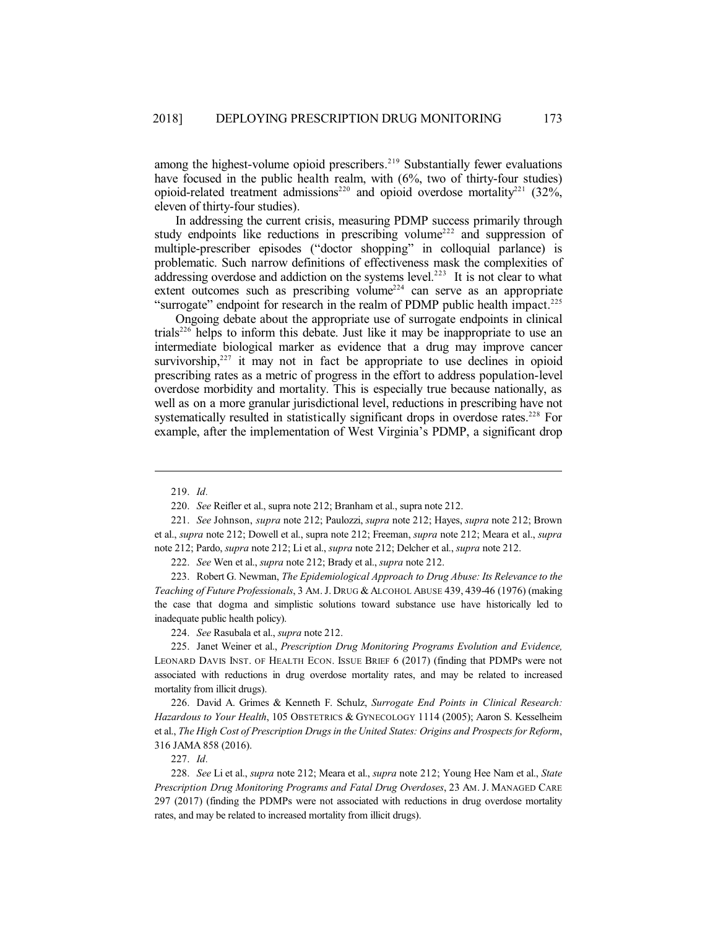among the highest-volume opioid prescribers. <sup>219</sup> Substantially fewer evaluations have focused in the public health realm, with (6%, two of thirty-four studies) opioid-related treatment admissions<sup>220</sup> and opioid overdose mortality<sup>221</sup> (32%, eleven of thirty-four studies).

In addressing the current crisis, measuring PDMP success primarily through study endpoints like reductions in prescribing volume<sup>222</sup> and suppression of multiple-prescriber episodes ("doctor shopping" in colloquial parlance) is problematic. Such narrow definitions of effectiveness mask the complexities of addressing overdose and addiction on the systems level.<sup>223</sup> It is not clear to what extent outcomes such as prescribing volume<sup>224</sup> can serve as an appropriate "surrogate" endpoint for research in the realm of PDMP public health impact.<sup>225</sup>

Ongoing debate about the appropriate use of surrogate endpoints in clinical trials 226 helps to inform this debate. Just like it may be inappropriate to use an intermediate biological marker as evidence that a drug may improve cancer survivorship, $227$  it may not in fact be appropriate to use declines in opioid prescribing rates as a metric of progress in the effort to address population-level overdose morbidity and mortality. This is especially true because nationally, as well as on a more granular jurisdictional level, reductions in prescribing have not systematically resulted in statistically significant drops in overdose rates.<sup>228</sup> For example, after the implementation of West Virginia's PDMP, a significant drop

222. *See* Wen et al., *supra* note 212; Brady et al., *supra* note 212.

223. Robert G. Newman, *The Epidemiological Approach to Drug Abuse: Its Relevance to the Teaching of Future Professionals*, 3 AM.J. DRUG &ALCOHOL ABUSE 439, 439-46 (1976) (making the case that dogma and simplistic solutions toward substance use have historically led to inadequate public health policy).

224. *See* Rasubala et al., *supra* note 212.

225. Janet Weiner et al., *Prescription Drug Monitoring Programs Evolution and Evidence,* LEONARD DAVIS INST. OF HEALTH ECON. ISSUE BRIEF 6 (2017) (finding that PDMPs were not associated with reductions in drug overdose mortality rates, and may be related to increased mortality from illicit drugs).

226. David A. Grimes & Kenneth F. Schulz, *Surrogate End Points in Clinical Research: Hazardous to Your Health*, 105 OBSTETRICS & GYNECOLOGY 1114 (2005); Aaron S. Kesselheim et al., *The High Cost of Prescription Drugsin the United States: Origins and Prospects for Reform*, 316 JAMA 858 (2016).

227. *Id.*

228. *See* Li et al., *supra* note 212; Meara et al., *supra* note 212; Young Hee Nam et al., *State Prescription Drug Monitoring Programs and Fatal Drug Overdoses*, 23 AM. J. MANAGED CARE 297 (2017) (finding the PDMPs were not associated with reductions in drug overdose mortality rates, and may be related to increased mortality from illicit drugs).

<sup>219.</sup> *Id.*

<sup>220.</sup> *See* Reifler et al., supra note 212; Branham et al., supra note 212.

<sup>221.</sup> *See* Johnson, *supra* note 212; Paulozzi, *supra* note 212; Hayes, *supra* note 212; Brown et al., *supra* note 212; Dowell et al., supra note 212; Freeman, *supra* note 212; Meara et al., *supra* note 212; Pardo, *supra* note 212; Li et al., *supra* note 212; Delcher et al., *supra* note 212.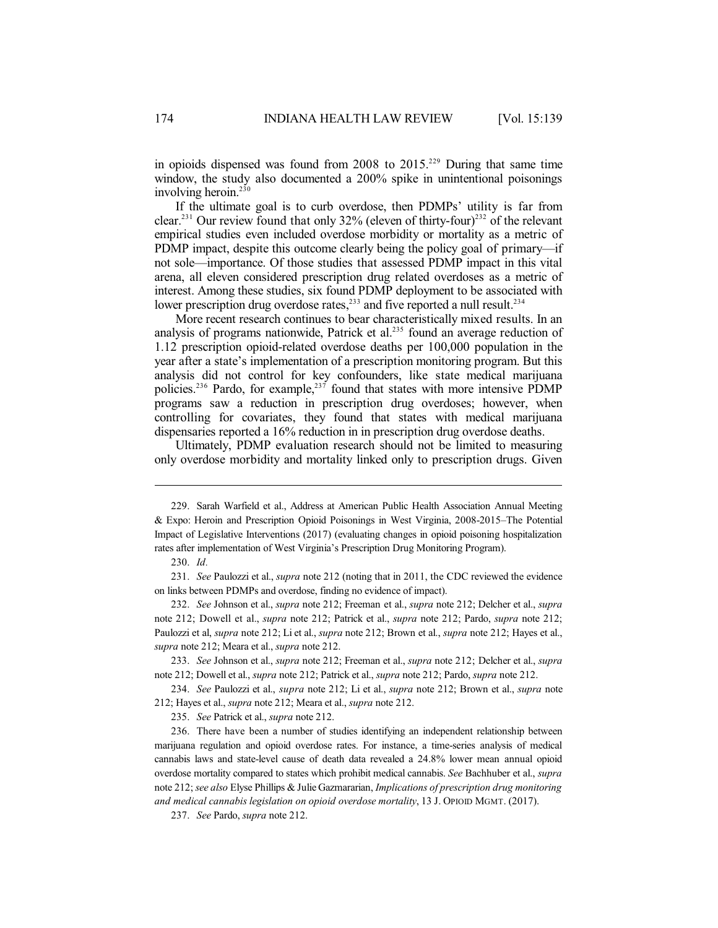in opioids dispensed was found from 2008 to 2015.<sup>229</sup> During that same time window, the study also documented a 200% spike in unintentional poisonings involving heroin. 230

If the ultimate goal is to curb overdose, then PDMPs' utility is far from clear.<sup>231</sup> Our review found that only  $32\%$  (eleven of thirty-four)<sup>232</sup> of the relevant empirical studies even included overdose morbidity or mortality as a metric of PDMP impact, despite this outcome clearly being the policy goal of primary—if not sole—importance. Of those studies that assessed PDMP impact in this vital arena, all eleven considered prescription drug related overdoses as a metric of interest. Among these studies, six found PDMP deployment to be associated with lower prescription drug overdose rates,<sup>233</sup> and five reported a null result.<sup>234</sup>

More recent research continues to bear characteristically mixed results. In an analysis of programs nationwide, Patrick et al.<sup>235</sup> found an average reduction of 1.12 prescription opioid-related overdose deaths per 100,000 population in the year after a state's implementation of a prescription monitoring program. But this analysis did not control for key confounders, like state medical marijuana policies.<sup>236</sup> Pardo, for example,<sup>237</sup> found that states with more intensive PDMP programs saw a reduction in prescription drug overdoses; however, when controlling for covariates, they found that states with medical marijuana dispensaries reported a 16% reduction in in prescription drug overdose deaths.

Ultimately, PDMP evaluation research should not be limited to measuring only overdose morbidity and mortality linked only to prescription drugs. Given

233. *See* Johnson et al., *supra* note 212; Freeman et al., *supra* note 212; Delcher et al., *supra* note 212; Dowell et al., *supra* note 212; Patrick et al., *supra* note 212; Pardo, *supra* note 212.

234. *See* Paulozzi et al., *supra* note 212; Li et al., *supra* note 212; Brown et al., *supra* note 212; Hayes et al., *supra* note 212; Meara et al., *supra* note 212.

235. *See* Patrick et al., *supra* note 212.

237. *See* Pardo, *supra* note 212.

<sup>229.</sup> Sarah Warfield et al., Address at American Public Health Association Annual Meeting & Expo: Heroin and Prescription Opioid Poisonings in West Virginia, 2008-2015–The Potential Impact of Legislative Interventions (2017) (evaluating changes in opioid poisoning hospitalization rates after implementation of West Virginia's Prescription Drug Monitoring Program).

<sup>230.</sup> *Id.*

<sup>231.</sup> *See* Paulozzi et al., *supra* note 212 (noting that in 2011, the CDC reviewed the evidence on links between PDMPs and overdose, finding no evidence of impact).

<sup>232.</sup> *See* Johnson et al., *supra* note 212; Freeman et al., *supra* note 212; Delcher et al., *supra* note 212; Dowell et al., *supra* note 212; Patrick et al., *supra* note 212; Pardo, *supra* note 212; Paulozzi et al, *supra* note 212; Li et al., *supra* note 212; Brown et al., *supra* note 212; Hayes et al., *supra* note 212; Meara et al., *supra* note 212.

<sup>236.</sup> There have been a number of studies identifying an independent relationship between marijuana regulation and opioid overdose rates. For instance, a time-series analysis of medical cannabis laws and state-level cause of death data revealed a 24.8% lower mean annual opioid overdose mortality compared to states which prohibit medical cannabis. *See* Bachhuber et al., *supra* note 212; *see also* Elyse Phillips & Julie Gazmararian, *Implications of prescription drug monitoring and medical cannabis legislation on opioid overdose mortality*, 13 J. OPIOID MGMT. (2017).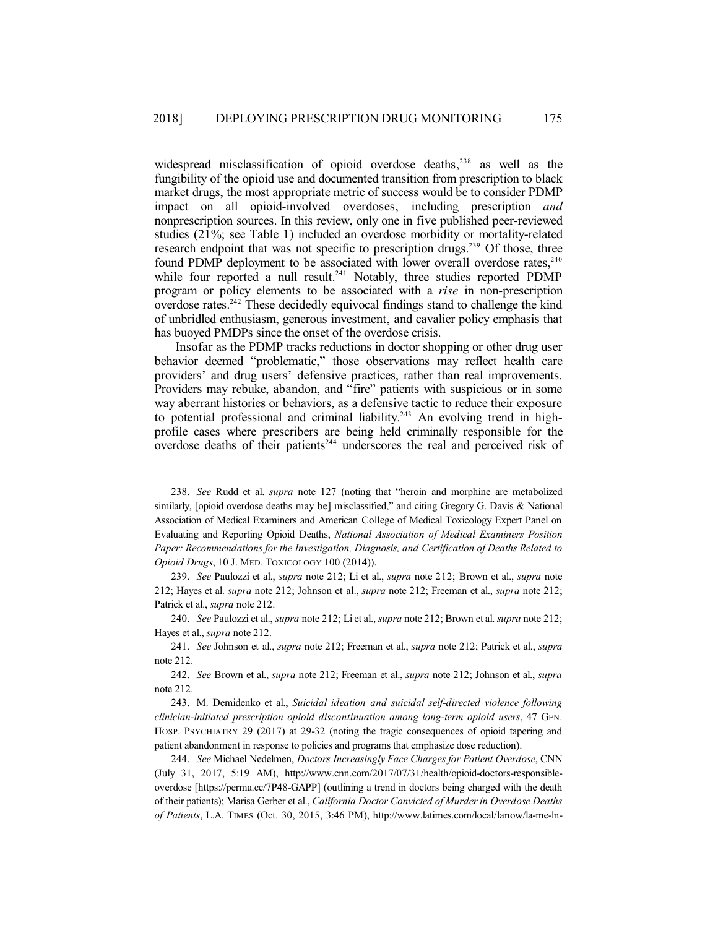widespread misclassification of opioid overdose deaths,<sup>238</sup> as well as the fungibility of the opioid use and documented transition from prescription to black market drugs, the most appropriate metric of success would be to consider PDMP impact on all opioid-involved overdoses, including prescription *and* nonprescription sources. In this review, only one in five published peer-reviewed studies (21%; see Table 1) included an overdose morbidity or mortality-related research endpoint that was not specific to prescription drugs.<sup>239</sup> Of those, three found PDMP deployment to be associated with lower overall overdose rates,  $240$ while four reported a null result.<sup>241</sup> Notably, three studies reported PDMP program or policy elements to be associated with a *rise* in non-prescription overdose rates.<sup>242</sup> These decidedly equivocal findings stand to challenge the kind of unbridled enthusiasm, generous investment, and cavalier policy emphasis that has buoyed PMDPs since the onset of the overdose crisis.

Insofar as the PDMP tracks reductions in doctor shopping or other drug user behavior deemed "problematic," those observations may reflect health care providers' and drug users' defensive practices, rather than real improvements. Providers may rebuke, abandon, and "fire" patients with suspicious or in some way aberrant histories or behaviors, as a defensive tactic to reduce their exposure to potential professional and criminal liability.<sup>243</sup> An evolving trend in highprofile cases where prescribers are being held criminally responsible for the overdose deaths of their patients 244 underscores the real and perceived risk of

<sup>238.</sup> *See* Rudd et al. *supra* note 127 (noting that "heroin and morphine are metabolized similarly, [opioid overdose deaths may be] misclassified," and citing Gregory G. Davis & National Association of Medical Examiners and American College of Medical Toxicology Expert Panel on Evaluating and Reporting Opioid Deaths, *National Association of Medical Examiners Position Paper: Recommendations for the Investigation, Diagnosis, and Certification of Deaths Related to Opioid Drugs*, 10 J. MED. TOXICOLOGY 100 (2014)).

<sup>239.</sup> *See* Paulozzi et al., *supra* note 212; Li et al., *supra* note 212; Brown et al., *supra* note 212; Hayes et al. *supra* note 212; Johnson et al., *supra* note 212; Freeman et al., *supra* note 212; Patrick et al., *supra* note 212.

<sup>240.</sup> *See* Paulozzi et al., *supra* note 212; Li et al., *supra* note 212; Brown et al. *supra* note 212; Hayes et al., *supra* note 212.

<sup>241.</sup> *See* Johnson et al., *supra* note 212; Freeman et al., *supra* note 212; Patrick et al., *supra* note 212.

<sup>242.</sup> *See* Brown et al., *supra* note 212; Freeman et al., *supra* note 212; Johnson et al., *supra* note 212.

<sup>243.</sup> M. Demidenko et al., *Suicidal ideation and suicidal self-directed violence following clinician-initiated prescription opioid discontinuation among long-term opioid users*, 47 GEN. HOSP. PSYCHIATRY 29 (2017) at 29-32 (noting the tragic consequences of opioid tapering and patient abandonment in response to policies and programs that emphasize dose reduction).

<sup>244.</sup> *See* Michael Nedelmen, *Doctors Increasingly Face Charges for Patient Overdose*, CNN (July 31, 2017, 5:19 AM), http://www.cnn.com/2017/07/31/health/opioid-doctors-responsibleoverdose [https://perma.cc/7P48-GAPP] (outlining a trend in doctors being charged with the death of their patients); Marisa Gerber et al., *California Doctor Convicted of Murder in Overdose Deaths of Patients*, L.A. TIMES (Oct. 30, 2015, 3:46 PM), http://www.latimes.com/local/lanow/la-me-ln-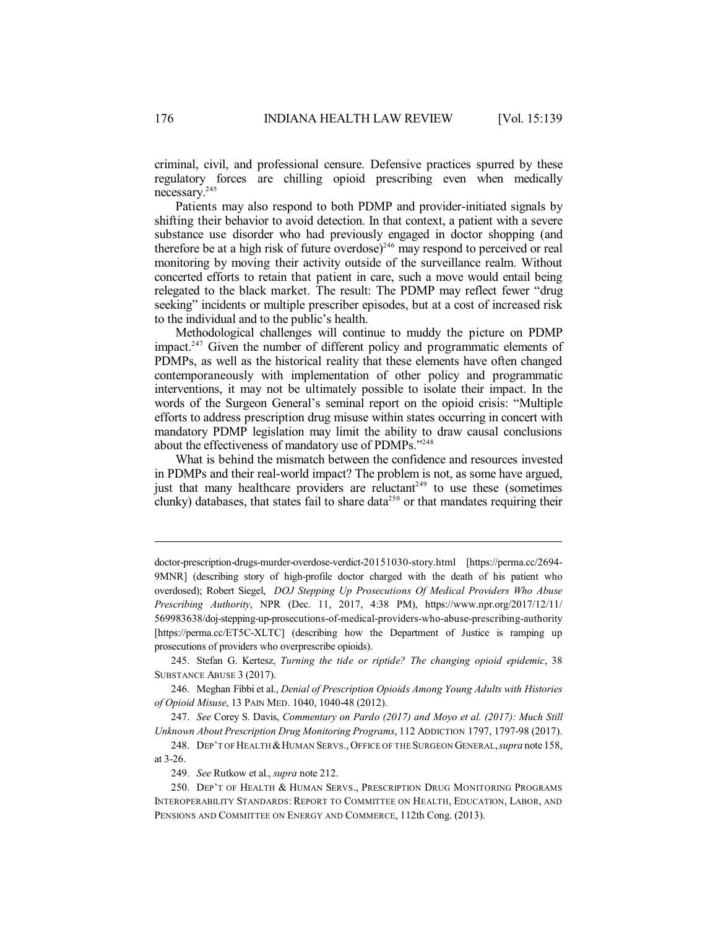criminal, civil, and professional censure. Defensive practices spurred by these regulatory forces are chilling opioid prescribing even when medically necessary. 245

Patients may also respond to both PDMP and provider-initiated signals by shifting their behavior to avoid detection. In that context, a patient with a severe substance use disorder who had previously engaged in doctor shopping (and therefore be at a high risk of future overdose)<sup>246</sup> may respond to perceived or real monitoring by moving their activity outside of the surveillance realm. Without concerted efforts to retain that patient in care, such a move would entail being relegated to the black market. The result: The PDMP may reflect fewer "drug seeking" incidents or multiple prescriber episodes, but at a cost of increased risk to the individual and to the public's health.

Methodological challenges will continue to muddy the picture on PDMP impact.<sup>247</sup> Given the number of different policy and programmatic elements of PDMPs, as well as the historical reality that these elements have often changed contemporaneously with implementation of other policy and programmatic interventions, it may not be ultimately possible to isolate their impact. In the words of the Surgeon General's seminal report on the opioid crisis: "Multiple efforts to address prescription drug misuse within states occurring in concert with mandatory PDMP legislation may limit the ability to draw causal conclusions about the effectiveness of mandatory use of PDMPs."248

What is behind the mismatch between the confidence and resources invested in PDMPs and their real-world impact? The problem is not, as some have argued, just that many healthcare providers are reluctant<sup>249</sup> to use these (sometimes clunky) databases, that states fail to share data $250$  or that mandates requiring their

doctor-prescription-drugs-murder-overdose-verdict-20151030-story.html [https://perma.cc/2694- 9MNR] (describing story of high-profile doctor charged with the death of his patient who overdosed); Robert Siegel, *DOJ Stepping Up Prosecutions Of Medical Providers Who Abuse Prescribing Authority*, NPR (Dec. 11, 2017, 4:38 PM), https://www.npr.org/2017/12/11/ 569983638/doj-stepping-up-prosecutions-of-medical-providers-who-abuse-prescribing-authority [https://perma.cc/ET5C-XLTC] (describing how the Department of Justice is ramping up prosecutions of providers who overprescribe opioids).

<sup>245.</sup> Stefan G. Kertesz, *Turning the tide or riptide? The changing opioid epidemic*, 38 SUBSTANCE ABUSE 3 (2017).

<sup>246.</sup> Meghan Fibbi et al., *Denial of Prescription Opioids Among Young Adults with Histories of Opioid Misuse*, 13 PAIN MED. 1040, 1040-48 (2012).

<sup>247.</sup> *See* Corey S. Davis, *Commentary on Pardo (2017) and Moyo et al. (2017): Much Still Unknown About Prescription Drug Monitoring Programs*, 112 ADDICTION 1797, 1797-98 (2017).

<sup>248.</sup> DEP'T OFHEALTH&HUMAN SERVS.,OFFICE OF THE SURGEON GENERAL,*supra* note 158, at 3-26.

<sup>249.</sup> *See* Rutkow et al., *supra* note 212.

<sup>250.</sup> DEP'T OF HEALTH & HUMAN SERVS., PRESCRIPTION DRUG MONITORING PROGRAMS INTEROPERABILITY STANDARDS: REPORT TO COMMITTEE ON HEALTH, EDUCATION, LABOR, AND PENSIONS AND COMMITTEE ON ENERGY AND COMMERCE, 112th Cong. (2013).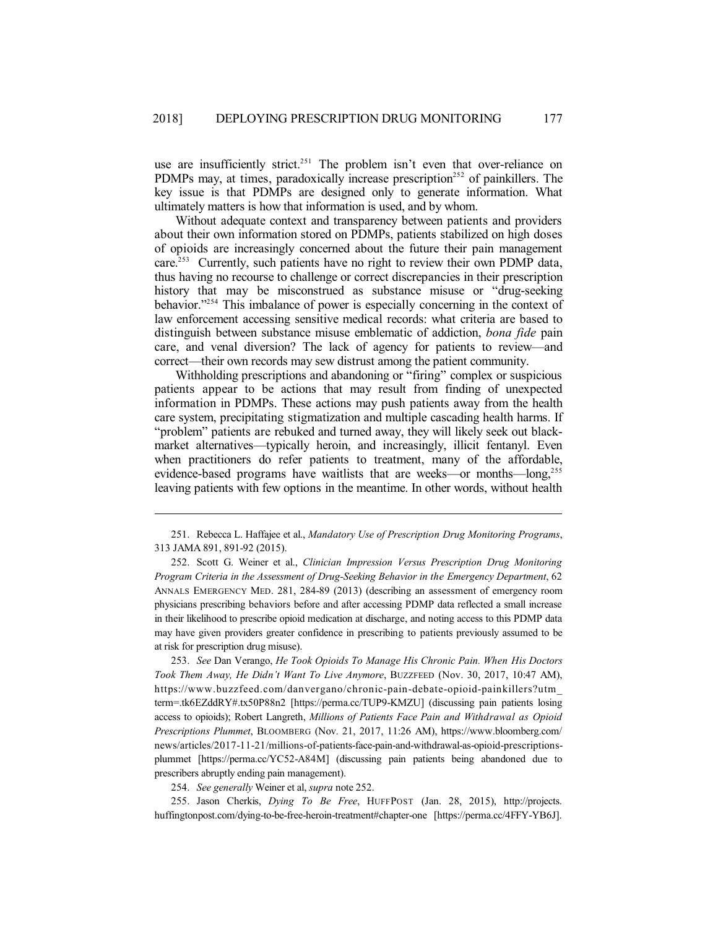use are insufficiently strict. <sup>251</sup> The problem isn't even that over-reliance on PDMPs may, at times, paradoxically increase prescription<sup>252</sup> of painkillers. The key issue is that PDMPs are designed only to generate information. What ultimately matters is how that information is used, and by whom.

Without adequate context and transparency between patients and providers about their own information stored on PDMPs, patients stabilized on high doses of opioids are increasingly concerned about the future their pain management care. <sup>253</sup> Currently, such patients have no right to review their own PDMP data, thus having no recourse to challenge or correct discrepancies in their prescription history that may be misconstrued as substance misuse or "drug-seeking behavior." <sup>254</sup> This imbalance of power is especially concerning in the context of law enforcement accessing sensitive medical records: what criteria are based to distinguish between substance misuse emblematic of addiction, *bona fide* pain care, and venal diversion? The lack of agency for patients to review—and correct—their own records may sew distrust among the patient community.

Withholding prescriptions and abandoning or "firing" complex or suspicious patients appear to be actions that may result from finding of unexpected information in PDMPs. These actions may push patients away from the health care system, precipitating stigmatization and multiple cascading health harms. If "problem" patients are rebuked and turned away, they will likely seek out blackmarket alternatives—typically heroin, and increasingly, illicit fentanyl. Even when practitioners do refer patients to treatment, many of the affordable, evidence-based programs have waitlists that are weeks---or months---long,<sup>255</sup> leaving patients with few options in the meantime. In other words, without health

253. *See* Dan Verango, *He Took Opioids To Manage His Chronic Pain. When His Doctors Took Them Away, He Didn't Want To Live Anymore*, BUZZFEED (Nov. 30, 2017, 10:47 AM), https://www.buzzfeed.com/danvergano/chronic-pain-debate-opioid-painkillers?utm\_ term=.tk6EZddRY#.tx50P88n2 [https://perma.cc/TUP9-KMZU] (discussing pain patients losing access to opioids); Robert Langreth, *Millions of Patients Face Pain and Withdrawal as Opioid Prescriptions Plummet*, BLOOMBERG (Nov. 21, 2017, 11:26 AM), https://www.bloomberg.com/ news/articles/2017-11-21/millions-of-patients-face-pain-and-withdrawal-as-opioid-prescriptionsplummet [https://perma.cc/YC52-A84M] (discussing pain patients being abandoned due to prescribers abruptly ending pain management).

254. *See generally* Weiner et al, *supra* note 252.

255. Jason Cherkis, *Dying To Be Free*, HUFFPOST (Jan. 28, 2015), http://projects. huffingtonpost.com/dying-to-be-free-heroin-treatment#chapter-one [https://perma.cc/4FFY-YB6J].

<sup>251.</sup> Rebecca L. Haffajee et al., *Mandatory Use of Prescription Drug Monitoring Programs*, 313 JAMA 891, 891-92 (2015).

<sup>252.</sup> Scott G. Weiner et al., *Clinician Impression Versus Prescription Drug Monitoring Program Criteria in the Assessment of Drug-Seeking Behavior in the Emergency Department*, 62 ANNALS EMERGENCY MED. 281, 284-89 (2013) (describing an assessment of emergency room physicians prescribing behaviors before and after accessing PDMP data reflected a small increase in their likelihood to prescribe opioid medication at discharge, and noting access to this PDMP data may have given providers greater confidence in prescribing to patients previously assumed to be at risk for prescription drug misuse).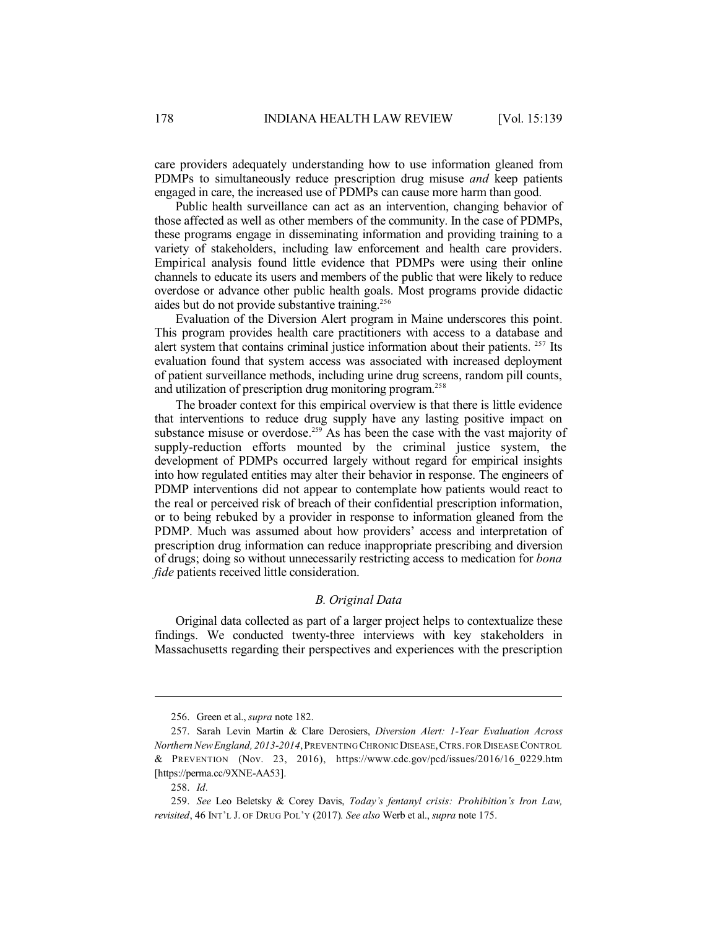care providers adequately understanding how to use information gleaned from PDMPs to simultaneously reduce prescription drug misuse *and* keep patients engaged in care, the increased use of PDMPs can cause more harm than good.

Public health surveillance can act as an intervention, changing behavior of those affected as well as other members of the community. In the case of PDMPs, these programs engage in disseminating information and providing training to a variety of stakeholders, including law enforcement and health care providers. Empirical analysis found little evidence that PDMPs were using their online channels to educate its users and members of the public that were likely to reduce overdose or advance other public health goals. Most programs provide didactic aides but do not provide substantive training.<sup>256</sup>

Evaluation of the Diversion Alert program in Maine underscores this point. This program provides health care practitioners with access to a database and alert system that contains criminal justice information about their patients. <sup>257</sup> Its evaluation found that system access was associated with increased deployment of patient surveillance methods, including urine drug screens, random pill counts, and utilization of prescription drug monitoring program.<sup>258</sup>

The broader context for this empirical overview is that there is little evidence that interventions to reduce drug supply have any lasting positive impact on substance misuse or overdose.<sup>259</sup> As has been the case with the vast majority of supply-reduction efforts mounted by the criminal justice system, the development of PDMPs occurred largely without regard for empirical insights into how regulated entities may alter their behavior in response. The engineers of PDMP interventions did not appear to contemplate how patients would react to the real or perceived risk of breach of their confidential prescription information, or to being rebuked by a provider in response to information gleaned from the PDMP. Much was assumed about how providers' access and interpretation of prescription drug information can reduce inappropriate prescribing and diversion of drugs; doing so without unnecessarily restricting access to medication for *bona fide* patients received little consideration.

# *B. Original Data*

Original data collected as part of a larger project helps to contextualize these findings. We conducted twenty-three interviews with key stakeholders in Massachusetts regarding their perspectives and experiences with the prescription

<sup>256.</sup> Green et al., *supra* note 182.

<sup>257.</sup> Sarah Levin Martin & Clare Derosiers, *Diversion Alert: 1-Year Evaluation Across Northern New England, 2013-2014*, PREVENTING CHRONIC DISEASE, CTRS. FOR DISEASE CONTROL & PREVENTION (Nov. 23, 2016), https://www.cdc.gov/pcd/issues/2016/16\_0229.htm [https://perma.cc/9XNE-AA53].

<sup>258.</sup> *Id.*

<sup>259.</sup> *See* Leo Beletsky & Corey Davis, *Today's fentanyl crisis: Prohibition's Iron Law, revisited*, 46 INT'L J. OF DRUG POL'Y (2017)*. See also* Werb et al., *supra* note 175.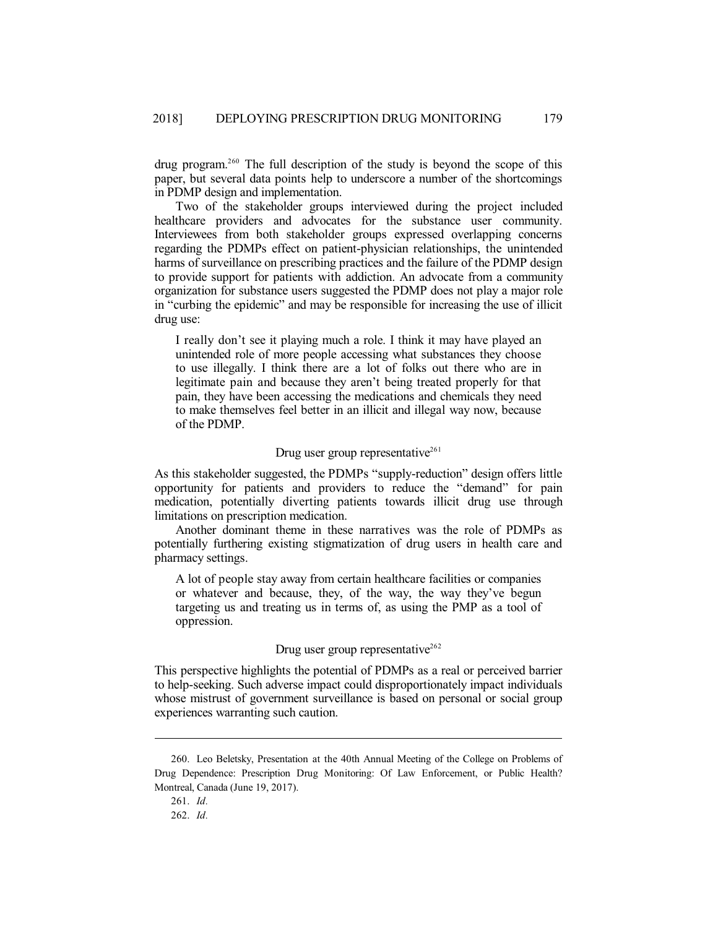drug program. <sup>260</sup> The full description of the study is beyond the scope of this paper, but several data points help to underscore a number of the shortcomings in PDMP design and implementation.

Two of the stakeholder groups interviewed during the project included healthcare providers and advocates for the substance user community. Interviewees from both stakeholder groups expressed overlapping concerns regarding the PDMPs effect on patient-physician relationships, the unintended harms of surveillance on prescribing practices and the failure of the PDMP design to provide support for patients with addiction. An advocate from a community organization for substance users suggested the PDMP does not play a major role in "curbing the epidemic" and may be responsible for increasing the use of illicit drug use:

I really don't see it playing much a role. I think it may have played an unintended role of more people accessing what substances they choose to use illegally. I think there are a lot of folks out there who are in legitimate pain and because they aren't being treated properly for that pain, they have been accessing the medications and chemicals they need to make themselves feel better in an illicit and illegal way now, because of the PDMP.

# Drug user group representative<sup>261</sup>

As this stakeholder suggested, the PDMPs "supply-reduction" design offers little opportunity for patients and providers to reduce the "demand" for pain medication, potentially diverting patients towards illicit drug use through limitations on prescription medication.

Another dominant theme in these narratives was the role of PDMPs as potentially furthering existing stigmatization of drug users in health care and pharmacy settings.

A lot of people stay away from certain healthcare facilities or companies or whatever and because, they, of the way, the way they've begun targeting us and treating us in terms of, as using the PMP as a tool of oppression.

# Drug user group representative<sup>262</sup>

This perspective highlights the potential of PDMPs as a real or perceived barrier to help-seeking. Such adverse impact could disproportionately impact individuals whose mistrust of government surveillance is based on personal or social group experiences warranting such caution.

<sup>260.</sup> Leo Beletsky, Presentation at the 40th Annual Meeting of the College on Problems of Drug Dependence: Prescription Drug Monitoring: Of Law Enforcement, or Public Health? Montreal, Canada (June 19, 2017).

<sup>261.</sup> *Id.*

<sup>262.</sup> *Id.*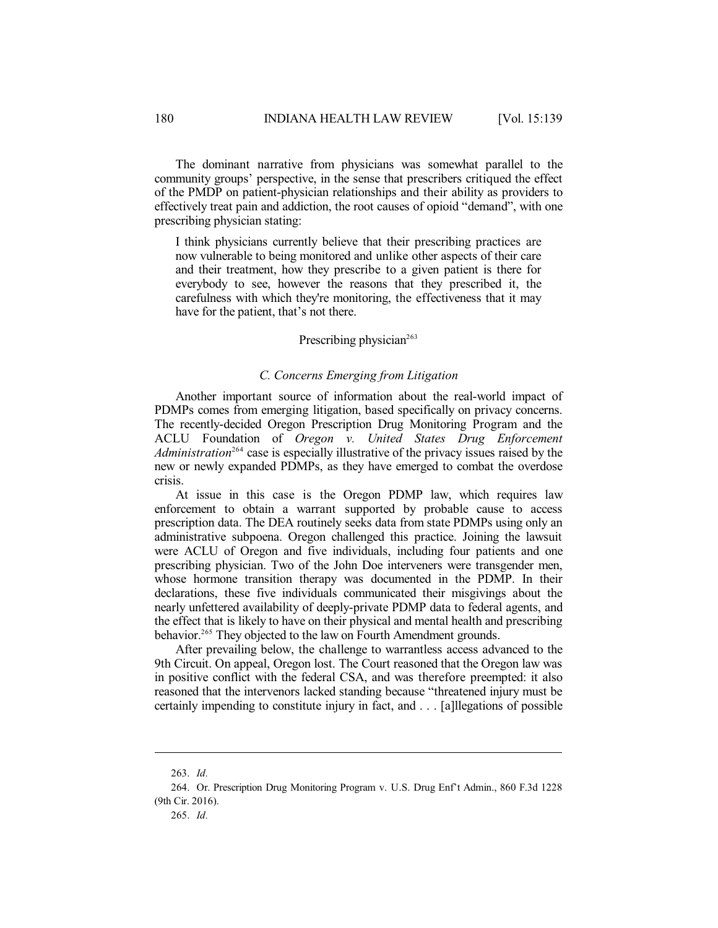The dominant narrative from physicians was somewhat parallel to the community groups' perspective, in the sense that prescribers critiqued the effect of the PMDP on patient-physician relationships and their ability as providers to effectively treat pain and addiction, the root causes of opioid "demand", with one prescribing physician stating:

I think physicians currently believe that their prescribing practices are now vulnerable to being monitored and unlike other aspects of their care and their treatment, how they prescribe to a given patient is there for everybody to see, however the reasons that they prescribed it, the carefulness with which they're monitoring, the effectiveness that it may have for the patient, that's not there.

# Prescribing physician<sup>263</sup>

## *C. Concerns Emerging from Litigation*

Another important source of information about the real-world impact of PDMPs comes from emerging litigation, based specifically on privacy concerns. The recently-decided Oregon Prescription Drug Monitoring Program and the ACLU Foundation of *Oregon v. United States Drug Enforcement* Administration<sup>264</sup> case is especially illustrative of the privacy issues raised by the new or newly expanded PDMPs, as they have emerged to combat the overdose crisis.

At issue in this case is the Oregon PDMP law, which requires law enforcement to obtain a warrant supported by probable cause to access prescription data. The DEA routinely seeks data from state PDMPs using only an administrative subpoena. Oregon challenged this practice. Joining the lawsuit were ACLU of Oregon and five individuals, including four patients and one prescribing physician. Two of the John Doe interveners were transgender men, whose hormone transition therapy was documented in the PDMP. In their declarations, these five individuals communicated their misgivings about the nearly unfettered availability of deeply-private PDMP data to federal agents, and the effect that is likely to have on their physical and mental health and prescribing behavior. <sup>265</sup> They objected to the law on Fourth Amendment grounds.

After prevailing below, the challenge to warrantless access advanced to the 9th Circuit. On appeal, Oregon lost. The Court reasoned that the Oregon law was in positive conflict with the federal CSA, and was therefore preempted: it also reasoned that the intervenors lacked standing because "threatened injury must be certainly impending to constitute injury in fact, and . . . [a]llegations of possible

<sup>263.</sup> *Id.*

<sup>264.</sup> Or. Prescription Drug Monitoring Program v. U.S. Drug Enf't Admin., 860 F.3d 1228 (9th Cir. 2016).

<sup>265.</sup> *Id.*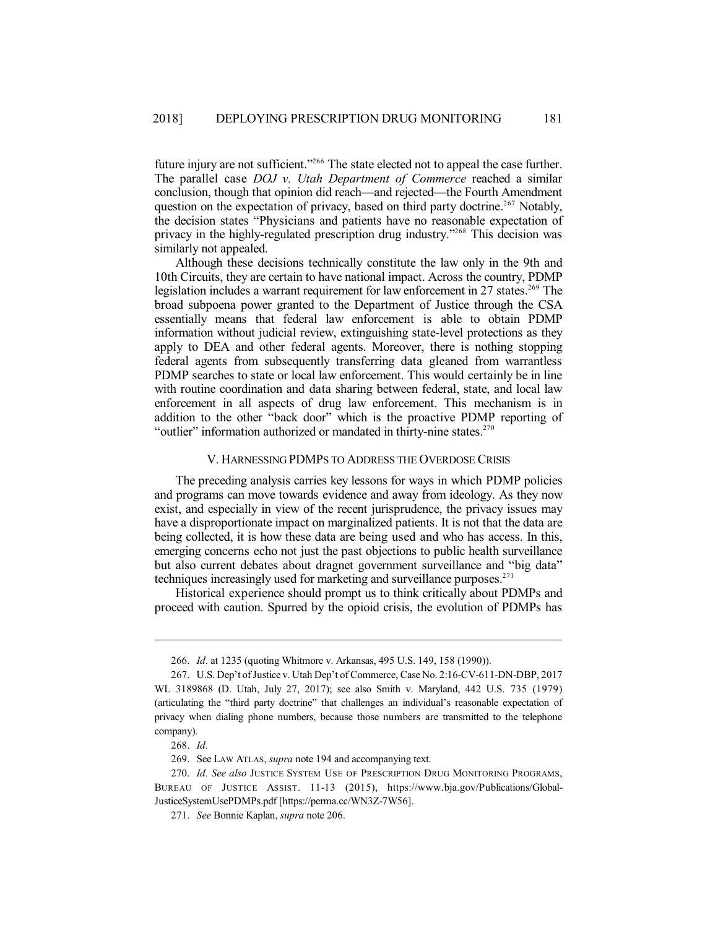future injury are not sufficient."<sup>266</sup> The state elected not to appeal the case further. The parallel case *DOJ v. Utah Department of Commerce* reached a similar conclusion, though that opinion did reach—and rejected—the Fourth Amendment question on the expectation of privacy, based on third party doctrine. <sup>267</sup> Notably, the decision states "Physicians and patients have no reasonable expectation of privacy in the highly-regulated prescription drug industry." <sup>268</sup> This decision was similarly not appealed.

Although these decisions technically constitute the law only in the 9th and 10th Circuits, they are certain to have national impact. Across the country, PDMP legislation includes a warrant requirement for law enforcement in 27 states.<sup>269</sup> The broad subpoena power granted to the Department of Justice through the CSA essentially means that federal law enforcement is able to obtain PDMP information without judicial review, extinguishing state-level protections as they apply to DEA and other federal agents. Moreover, there is nothing stopping federal agents from subsequently transferring data gleaned from warrantless PDMP searches to state or local law enforcement. This would certainly be in line with routine coordination and data sharing between federal, state, and local law enforcement in all aspects of drug law enforcement. This mechanism is in addition to the other "back door" which is the proactive PDMP reporting of "outlier" information authorized or mandated in thirty-nine states. $270$ 

## V. HARNESSING PDMPS TO ADDRESS THE OVERDOSE CRISIS

The preceding analysis carries key lessons for ways in which PDMP policies and programs can move towards evidence and away from ideology. As they now exist, and especially in view of the recent jurisprudence, the privacy issues may have a disproportionate impact on marginalized patients. It is not that the data are being collected, it is how these data are being used and who has access. In this, emerging concerns echo not just the past objections to public health surveillance but also current debates about dragnet government surveillance and "big data" techniques increasingly used for marketing and surveillance purposes.<sup>271</sup>

Historical experience should prompt us to think critically about PDMPs and proceed with caution. Spurred by the opioid crisis, the evolution of PDMPs has

<sup>266.</sup> *Id.* at 1235 (quoting Whitmore v. Arkansas, 495 U.S. 149, 158 (1990)).

<sup>267.</sup> U.S. Dep't of Justice v. Utah Dep't of Commerce, Case No. 2:16-CV-611-DN-DBP, 2017 WL 3189868 (D. Utah, July 27, 2017); see also Smith v. Maryland, 442 U.S. 735 (1979) (articulating the "third party doctrine" that challenges an individual's reasonable expectation of privacy when dialing phone numbers, because those numbers are transmitted to the telephone company).

<sup>268.</sup> *Id.*

<sup>269.</sup> See LAW ATLAS, *supra* note 194 and accompanying text.

<sup>270.</sup> *Id. See also* JUSTICE SYSTEM USE OF PRESCRIPTION DRUG MONITORING PROGRAMS, BUREAU OF JUSTICE ASSIST. 11-13 (2015), https://www.bja.gov/Publications/Global-JusticeSystemUsePDMPs.pdf [https://perma.cc/WN3Z-7W56].

<sup>271.</sup> *See* Bonnie Kaplan, *supra* note 206.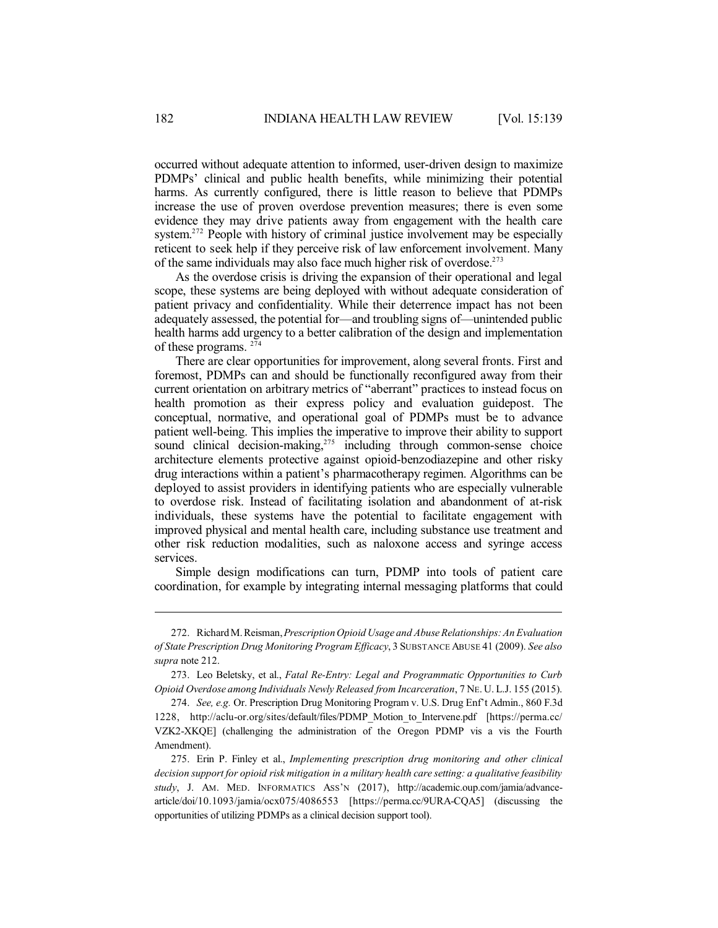occurred without adequate attention to informed, user-driven design to maximize PDMPs' clinical and public health benefits, while minimizing their potential harms. As currently configured, there is little reason to believe that PDMPs increase the use of proven overdose prevention measures; there is even some evidence they may drive patients away from engagement with the health care system.<sup>272</sup> People with history of criminal justice involvement may be especially reticent to seek help if they perceive risk of law enforcement involvement. Many of the same individuals may also face much higher risk of overdose. 273

As the overdose crisis is driving the expansion of their operational and legal scope, these systems are being deployed with without adequate consideration of patient privacy and confidentiality. While their deterrence impact has not been adequately assessed, the potential for—and troubling signs of—unintended public health harms add urgency to a better calibration of the design and implementation of these programs. <sup>274</sup>

There are clear opportunities for improvement, along several fronts. First and foremost, PDMPs can and should be functionally reconfigured away from their current orientation on arbitrary metrics of "aberrant" practices to instead focus on health promotion as their express policy and evaluation guidepost. The conceptual, normative, and operational goal of PDMPs must be to advance patient well-being. This implies the imperative to improve their ability to support sound clinical decision-making,<sup>275</sup> including through common-sense choice architecture elements protective against opioid-benzodiazepine and other risky drug interactions within a patient's pharmacotherapy regimen. Algorithms can be deployed to assist providers in identifying patients who are especially vulnerable to overdose risk. Instead of facilitating isolation and abandonment of at-risk individuals, these systems have the potential to facilitate engagement with improved physical and mental health care, including substance use treatment and other risk reduction modalities, such as naloxone access and syringe access services.

Simple design modifications can turn, PDMP into tools of patient care coordination, for example by integrating internal messaging platforms that could

<sup>272.</sup> RichardM.Reisman,*PrescriptionOpioid Usage and AbuseRelationships:An Evaluation of State Prescription Drug Monitoring Program Efficacy*, 3 SUBSTANCE ABUSE 41 (2009). *See also supra* note 212.

<sup>273.</sup> Leo Beletsky, et al., *Fatal Re-Entry: Legal and Programmatic Opportunities to Curb Opioid Overdose among Individuals Newly Released from Incarceration*, 7 NE. U. L.J. 155 (2015).

<sup>274.</sup> *See, e.g.* Or. Prescription Drug Monitoring Program v. U.S. Drug Enf't Admin., 860 F.3d 1228, http://aclu-or.org/sites/default/files/PDMP\_Motion\_to\_Intervene.pdf [https://perma.cc/ VZK2-XKQE] (challenging the administration of the Oregon PDMP vis a vis the Fourth Amendment).

<sup>275.</sup> Erin P. Finley et al., *Implementing prescription drug monitoring and other clinical decision support for opioid risk mitigation in a military health care setting: a qualitative feasibility study*, J. AM. MED. INFORMATICS ASS'N (2017), http://academic.oup.com/jamia/advancearticle/doi/10.1093/jamia/ocx075/4086553 [https://perma.cc/9URA-CQA5] (discussing the opportunities of utilizing PDMPs as a clinical decision support tool).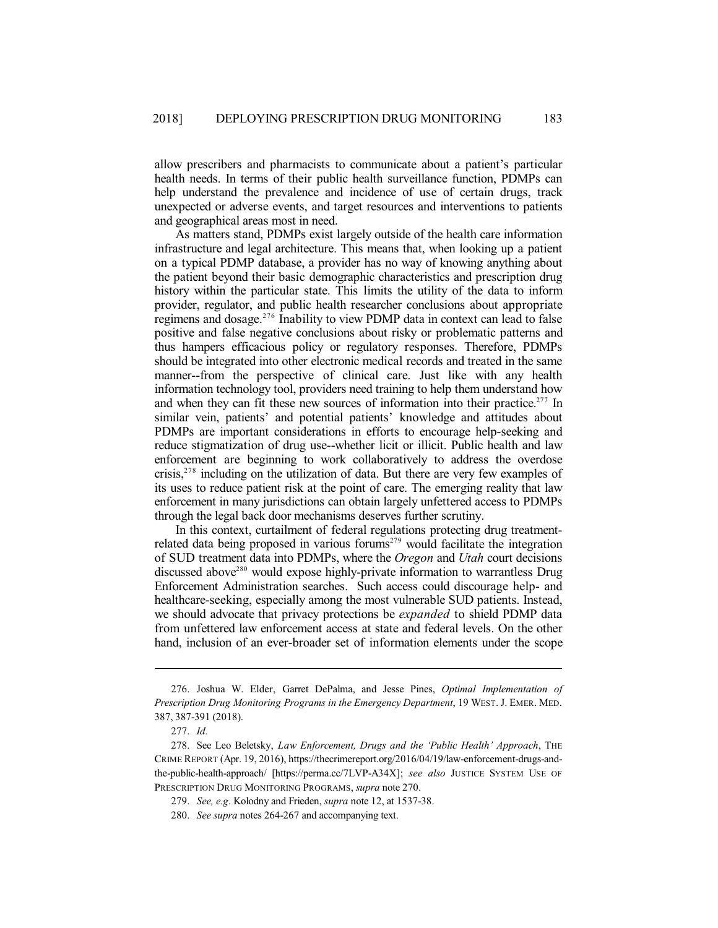allow prescribers and pharmacists to communicate about a patient's particular health needs. In terms of their public health surveillance function, PDMPs can help understand the prevalence and incidence of use of certain drugs, track unexpected or adverse events, and target resources and interventions to patients and geographical areas most in need.

As matters stand, PDMPs exist largely outside of the health care information infrastructure and legal architecture. This means that, when looking up a patient on a typical PDMP database, a provider has no way of knowing anything about the patient beyond their basic demographic characteristics and prescription drug history within the particular state. This limits the utility of the data to inform provider, regulator, and public health researcher conclusions about appropriate regimens and dosage. 276 Inability to view PDMP data in context can lead to false positive and false negative conclusions about risky or problematic patterns and thus hampers efficacious policy or regulatory responses. Therefore, PDMPs should be integrated into other electronic medical records and treated in the same manner--from the perspective of clinical care. Just like with any health information technology tool, providers need training to help them understand how and when they can fit these new sources of information into their practice. 277 In similar vein, patients' and potential patients' knowledge and attitudes about PDMPs are important considerations in efforts to encourage help-seeking and reduce stigmatization of drug use--whether licit or illicit. Public health and law enforcement are beginning to work collaboratively to address the overdose crisis,<sup>278</sup> including on the utilization of data. But there are very few examples of its uses to reduce patient risk at the point of care. The emerging reality that law enforcement in many jurisdictions can obtain largely unfettered access to PDMPs through the legal back door mechanisms deserves further scrutiny.

In this context, curtailment of federal regulations protecting drug treatmentrelated data being proposed in various forums <sup>279</sup> would facilitate the integration of SUD treatment data into PDMPs, where the *Oregon* and *Utah* court decisions discussed above<sup>280</sup> would expose highly-private information to warrantless Drug Enforcement Administration searches. Such access could discourage help- and healthcare-seeking, especially among the most vulnerable SUD patients. Instead, we should advocate that privacy protections be *expanded* to shield PDMP data from unfettered law enforcement access at state and federal levels. On the other hand, inclusion of an ever-broader set of information elements under the scope

<sup>276.</sup> Joshua W. Elder, Garret DePalma, and Jesse Pines, *Optimal Implementation of Prescription Drug Monitoring Programs in the Emergency Department*, 19 WEST. J. EMER. MED. 387, 387-391 (2018).

<sup>277.</sup> *Id.*

<sup>278.</sup> See Leo Beletsky, *Law Enforcement, Drugs and the 'Public Health' Approach*, THE CRIME REPORT (Apr. 19, 2016), https://thecrimereport.org/2016/04/19/law-enforcement-drugs-andthe-public-health-approach/ [https://perma.cc/7LVP-A34X]; *see also* JUSTICE SYSTEM USE OF PRESCRIPTION DRUG MONITORING PROGRAMS, *supra* note 270.

<sup>279.</sup> *See, e.g*. Kolodny and Frieden, *supra* note 12, at 1537-38.

<sup>280.</sup> *See supra* notes 264-267 and accompanying text.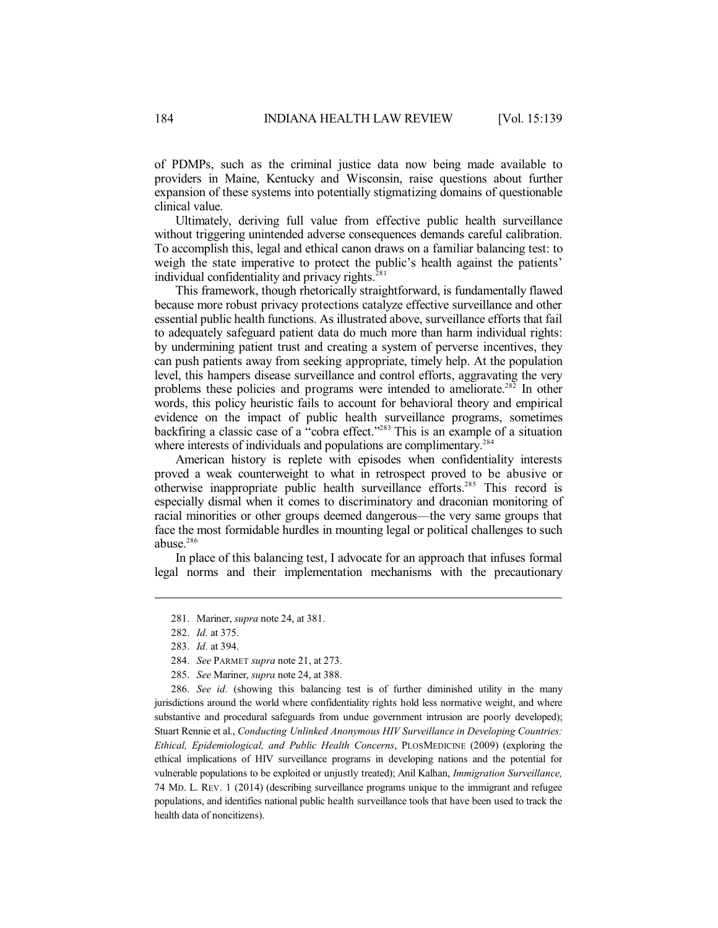of PDMPs, such as the criminal justice data now being made available to providers in Maine, Kentucky and Wisconsin, raise questions about further expansion of these systems into potentially stigmatizing domains of questionable clinical value.

Ultimately, deriving full value from effective public health surveillance without triggering unintended adverse consequences demands careful calibration. To accomplish this, legal and ethical canon draws on a familiar balancing test: to weigh the state imperative to protect the public's health against the patients' individual confidentiality and privacy rights.<sup>281</sup>

This framework, though rhetorically straightforward, is fundamentally flawed because more robust privacy protections catalyze effective surveillance and other essential public health functions. As illustrated above, surveillance efforts that fail to adequately safeguard patient data do much more than harm individual rights: by undermining patient trust and creating a system of perverse incentives, they can push patients away from seeking appropriate, timely help. At the population level, this hampers disease surveillance and control efforts, aggravating the very problems these policies and programs were intended to ameliorate.<sup>282</sup> In other words, this policy heuristic fails to account for behavioral theory and empirical evidence on the impact of public health surveillance programs, sometimes backfiring a classic case of a "cobra effect." <sup>283</sup> This is an example of a situation where interests of individuals and populations are complimentary.<sup>284</sup>

American history is replete with episodes when confidentiality interests proved a weak counterweight to what in retrospect proved to be abusive or otherwise inappropriate public health surveillance efforts.<sup>285</sup> This record is especially dismal when it comes to discriminatory and draconian monitoring of racial minorities or other groups deemed dangerous—the very same groups that face the most formidable hurdles in mounting legal or political challenges to such abuse. 286

In place of this balancing test, I advocate for an approach that infuses formal legal norms and their implementation mechanisms with the precautionary

286. *See id.* (showing this balancing test is of further diminished utility in the many jurisdictions around the world where confidentiality rights hold less normative weight, and where substantive and procedural safeguards from undue government intrusion are poorly developed); Stuart Rennie et al., *Conducting Unlinked Anonymous HIV Surveillance in Developing Countries: Ethical, Epidemiological, and Public Health Concerns*, PLOSMEDICINE (2009) (exploring the ethical implications of HIV surveillance programs in developing nations and the potential for vulnerable populations to be exploited or unjustly treated); Anil Kalhan, *Immigration Surveillance,* 74 MD. L. REV. 1 (2014) (describing surveillance programs unique to the immigrant and refugee populations, and identifies national public health surveillance tools that have been used to track the health data of noncitizens).

<sup>281.</sup> Mariner, *supra* note 24, at 381.

<sup>282.</sup> *Id.* at 375.

<sup>283.</sup> *Id.* at 394.

<sup>284.</sup> *See* PARMET *supra* note 21, at 273.

<sup>285.</sup> *See* Mariner, *supra* note 24, at 388.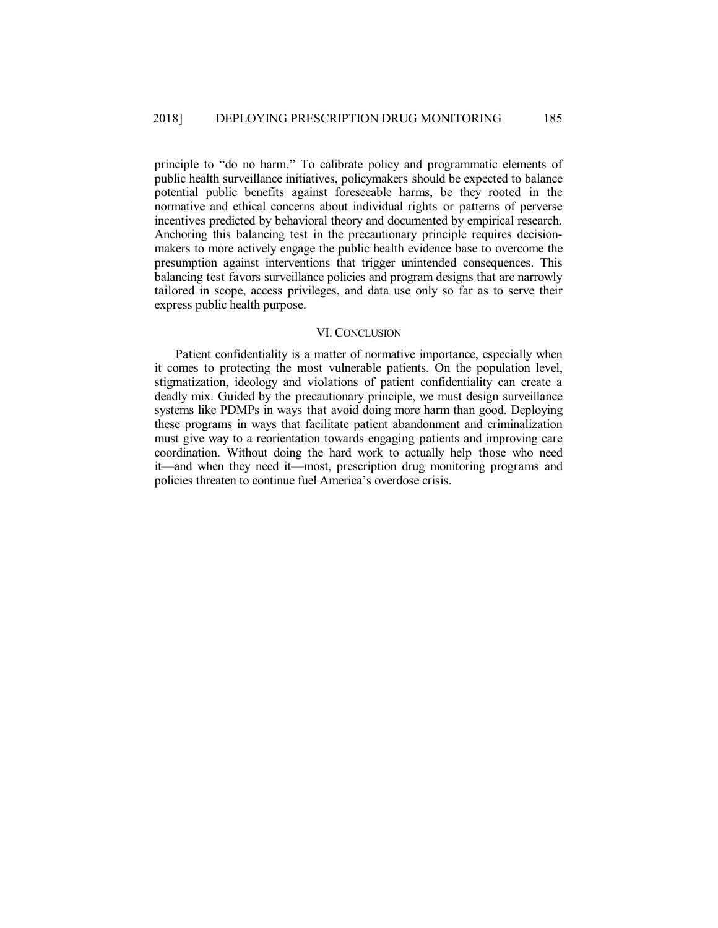principle to "do no harm." To calibrate policy and programmatic elements of public health surveillance initiatives, policymakers should be expected to balance potential public benefits against foreseeable harms, be they rooted in the normative and ethical concerns about individual rights or patterns of perverse incentives predicted by behavioral theory and documented by empirical research. Anchoring this balancing test in the precautionary principle requires decisionmakers to more actively engage the public health evidence base to overcome the presumption against interventions that trigger unintended consequences. This balancing test favors surveillance policies and program designs that are narrowly tailored in scope, access privileges, and data use only so far as to serve their express public health purpose.

#### VI. CONCLUSION

Patient confidentiality is a matter of normative importance, especially when it comes to protecting the most vulnerable patients. On the population level, stigmatization, ideology and violations of patient confidentiality can create a deadly mix. Guided by the precautionary principle, we must design surveillance systems like PDMPs in ways that avoid doing more harm than good. Deploying these programs in ways that facilitate patient abandonment and criminalization must give way to a reorientation towards engaging patients and improving care coordination. Without doing the hard work to actually help those who need it—and when they need it—most, prescription drug monitoring programs and policies threaten to continue fuel America's overdose crisis.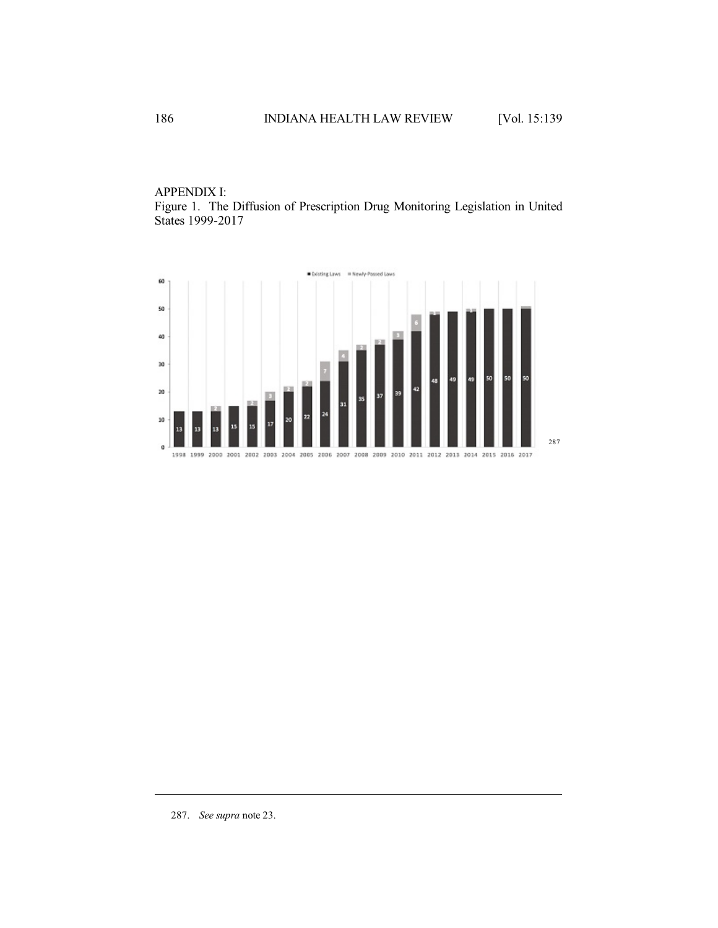



287. *See supra* note 23.